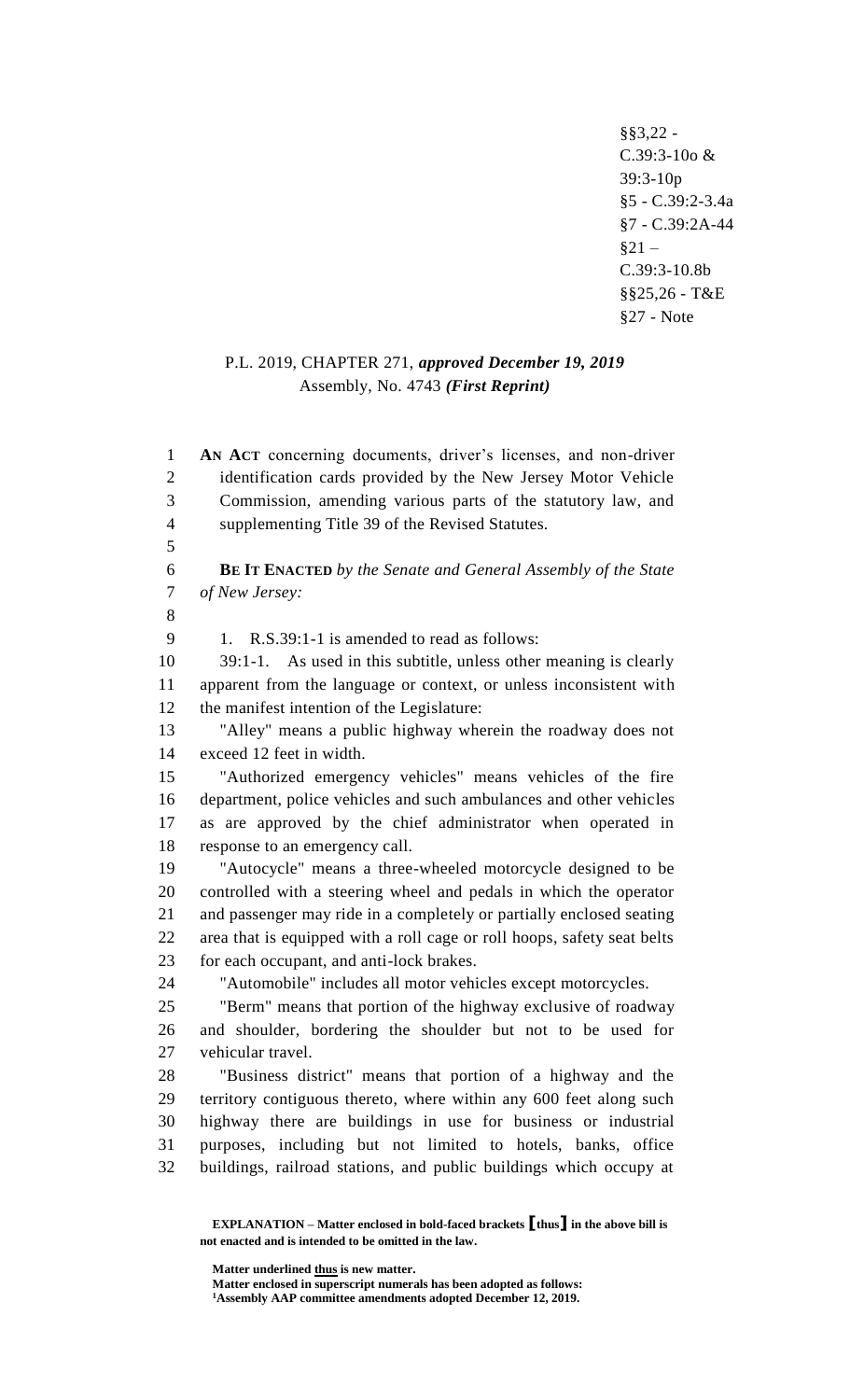§§3,22 - C.39:3-10o & 39:3-10p §5 - C.39:2-3.4a §7 - C.39:2A-44  $§21 -$ C.39:3-10.8b §§25,26 - T&E §27 - Note

# P.L. 2019, CHAPTER 271, *approved December 19, 2019* Assembly, No. 4743 *(First Reprint)*

 **AN ACT** concerning documents, driver's licenses, and non-driver identification cards provided by the New Jersey Motor Vehicle Commission, amending various parts of the statutory law, and supplementing Title 39 of the Revised Statutes. **BE IT ENACTED** *by the Senate and General Assembly of the State of New Jersey:* 1. R.S.39:1-1 is amended to read as follows: 39:1-1. As used in this subtitle, unless other meaning is clearly apparent from the language or context, or unless inconsistent with the manifest intention of the Legislature: "Alley" means a public highway wherein the roadway does not exceed 12 feet in width. "Authorized emergency vehicles" means vehicles of the fire department, police vehicles and such ambulances and other vehicles as are approved by the chief administrator when operated in response to an emergency call. "Autocycle" means a three-wheeled motorcycle designed to be controlled with a steering wheel and pedals in which the operator and passenger may ride in a completely or partially enclosed seating area that is equipped with a roll cage or roll hoops, safety seat belts for each occupant, and anti-lock brakes. "Automobile" includes all motor vehicles except motorcycles. "Berm" means that portion of the highway exclusive of roadway and shoulder, bordering the shoulder but not to be used for vehicular travel. "Business district" means that portion of a highway and the territory contiguous thereto, where within any 600 feet along such highway there are buildings in use for business or industrial purposes, including but not limited to hotels, banks, office buildings, railroad stations, and public buildings which occupy at

**Matter underlined thus is new matter. Matter enclosed in superscript numerals has been adopted as follows: Assembly AAP committee amendments adopted December 12, 2019.**

**EXPLANATION – Matter enclosed in bold-faced brackets [thus] in the above bill is not enacted and is intended to be omitted in the law.**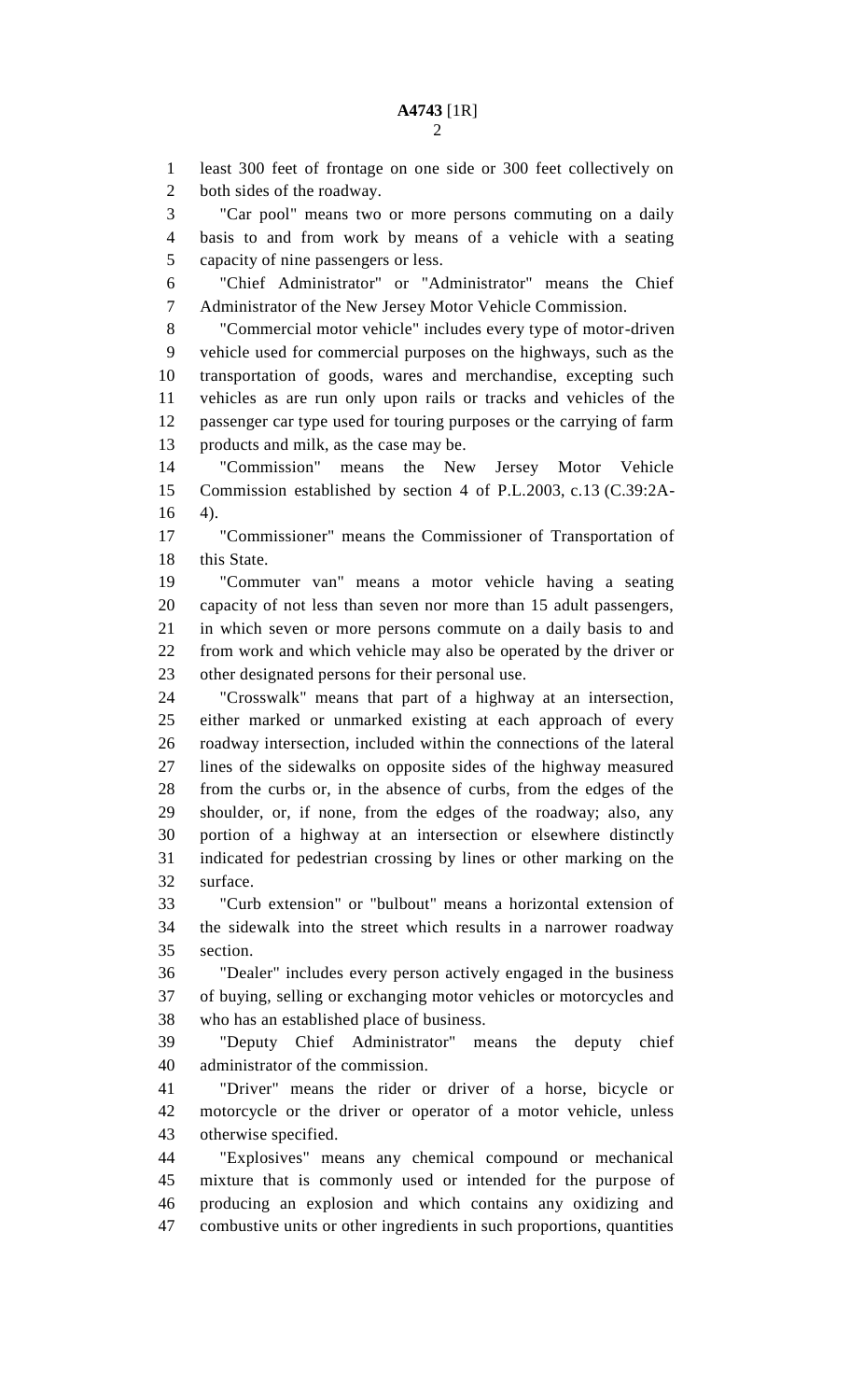least 300 feet of frontage on one side or 300 feet collectively on both sides of the roadway. "Car pool" means two or more persons commuting on a daily basis to and from work by means of a vehicle with a seating

capacity of nine passengers or less.

 "Chief Administrator" or "Administrator" means the Chief Administrator of the New Jersey Motor Vehicle Commission.

 "Commercial motor vehicle" includes every type of motor-driven vehicle used for commercial purposes on the highways, such as the transportation of goods, wares and merchandise, excepting such vehicles as are run only upon rails or tracks and vehicles of the passenger car type used for touring purposes or the carrying of farm products and milk, as the case may be.

 "Commission" means the New Jersey Motor Vehicle Commission established by section 4 of P.L.2003, c.13 (C.39:2A-4).

 "Commissioner" means the Commissioner of Transportation of 18 this State.

 "Commuter van" means a motor vehicle having a seating capacity of not less than seven nor more than 15 adult passengers, in which seven or more persons commute on a daily basis to and from work and which vehicle may also be operated by the driver or other designated persons for their personal use.

 "Crosswalk" means that part of a highway at an intersection, either marked or unmarked existing at each approach of every roadway intersection, included within the connections of the lateral lines of the sidewalks on opposite sides of the highway measured from the curbs or, in the absence of curbs, from the edges of the shoulder, or, if none, from the edges of the roadway; also, any portion of a highway at an intersection or elsewhere distinctly indicated for pedestrian crossing by lines or other marking on the surface.

 "Curb extension" or "bulbout" means a horizontal extension of the sidewalk into the street which results in a narrower roadway section.

 "Dealer" includes every person actively engaged in the business of buying, selling or exchanging motor vehicles or motorcycles and who has an established place of business.

 "Deputy Chief Administrator" means the deputy chief administrator of the commission.

 "Driver" means the rider or driver of a horse, bicycle or motorcycle or the driver or operator of a motor vehicle, unless otherwise specified.

 "Explosives" means any chemical compound or mechanical mixture that is commonly used or intended for the purpose of producing an explosion and which contains any oxidizing and combustive units or other ingredients in such proportions, quantities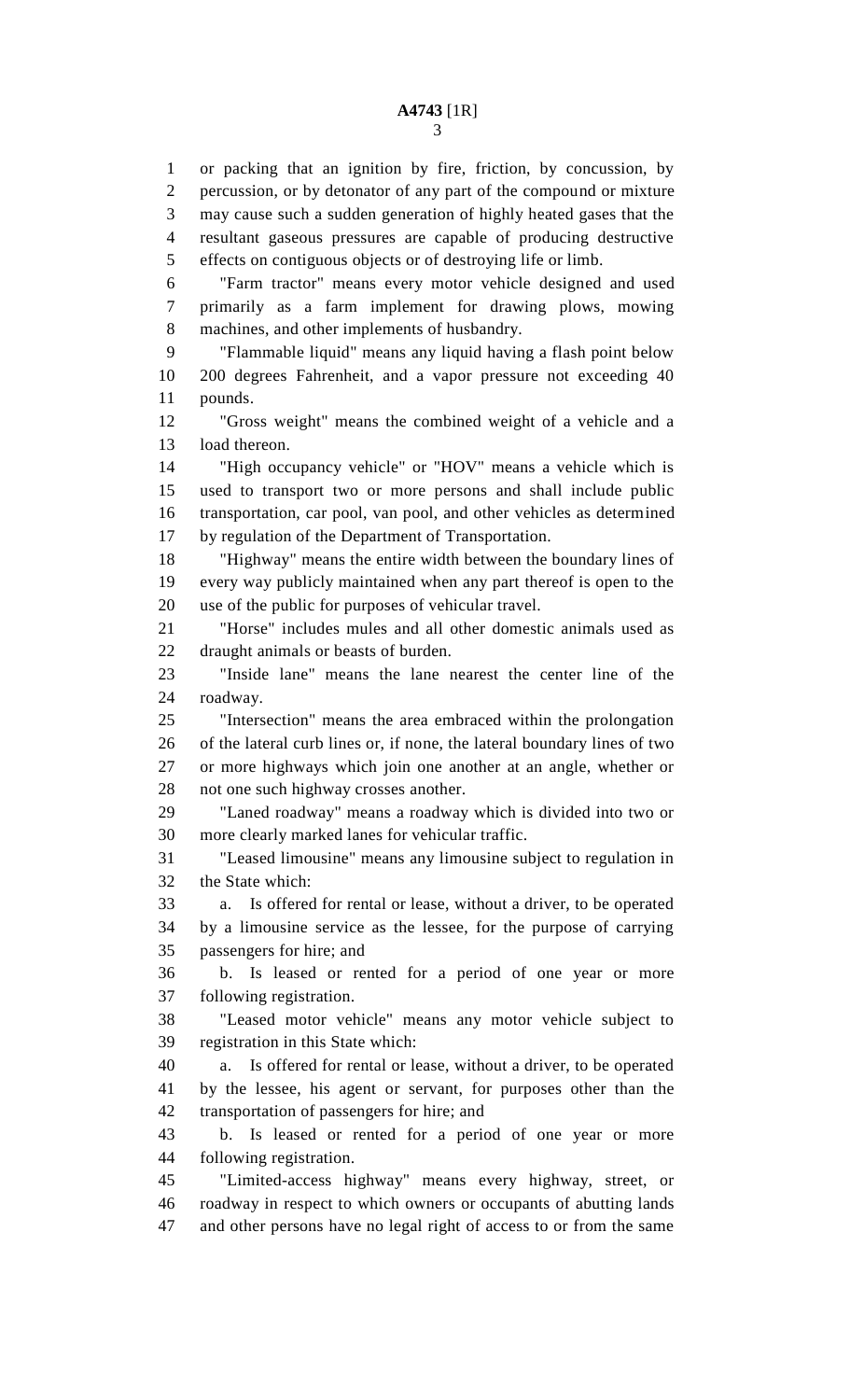or packing that an ignition by fire, friction, by concussion, by percussion, or by detonator of any part of the compound or mixture may cause such a sudden generation of highly heated gases that the resultant gaseous pressures are capable of producing destructive effects on contiguous objects or of destroying life or limb. "Farm tractor" means every motor vehicle designed and used primarily as a farm implement for drawing plows, mowing machines, and other implements of husbandry. "Flammable liquid" means any liquid having a flash point below 200 degrees Fahrenheit, and a vapor pressure not exceeding 40 pounds. "Gross weight" means the combined weight of a vehicle and a load thereon. "High occupancy vehicle" or "HOV" means a vehicle which is used to transport two or more persons and shall include public transportation, car pool, van pool, and other vehicles as determined by regulation of the Department of Transportation. "Highway" means the entire width between the boundary lines of every way publicly maintained when any part thereof is open to the use of the public for purposes of vehicular travel. "Horse" includes mules and all other domestic animals used as draught animals or beasts of burden. "Inside lane" means the lane nearest the center line of the roadway. "Intersection" means the area embraced within the prolongation of the lateral curb lines or, if none, the lateral boundary lines of two or more highways which join one another at an angle, whether or not one such highway crosses another. "Laned roadway" means a roadway which is divided into two or more clearly marked lanes for vehicular traffic. "Leased limousine" means any limousine subject to regulation in the State which: a. Is offered for rental or lease, without a driver, to be operated by a limousine service as the lessee, for the purpose of carrying passengers for hire; and b. Is leased or rented for a period of one year or more following registration. "Leased motor vehicle" means any motor vehicle subject to registration in this State which: a. Is offered for rental or lease, without a driver, to be operated by the lessee, his agent or servant, for purposes other than the transportation of passengers for hire; and b. Is leased or rented for a period of one year or more following registration. "Limited-access highway" means every highway, street, or roadway in respect to which owners or occupants of abutting lands and other persons have no legal right of access to or from the same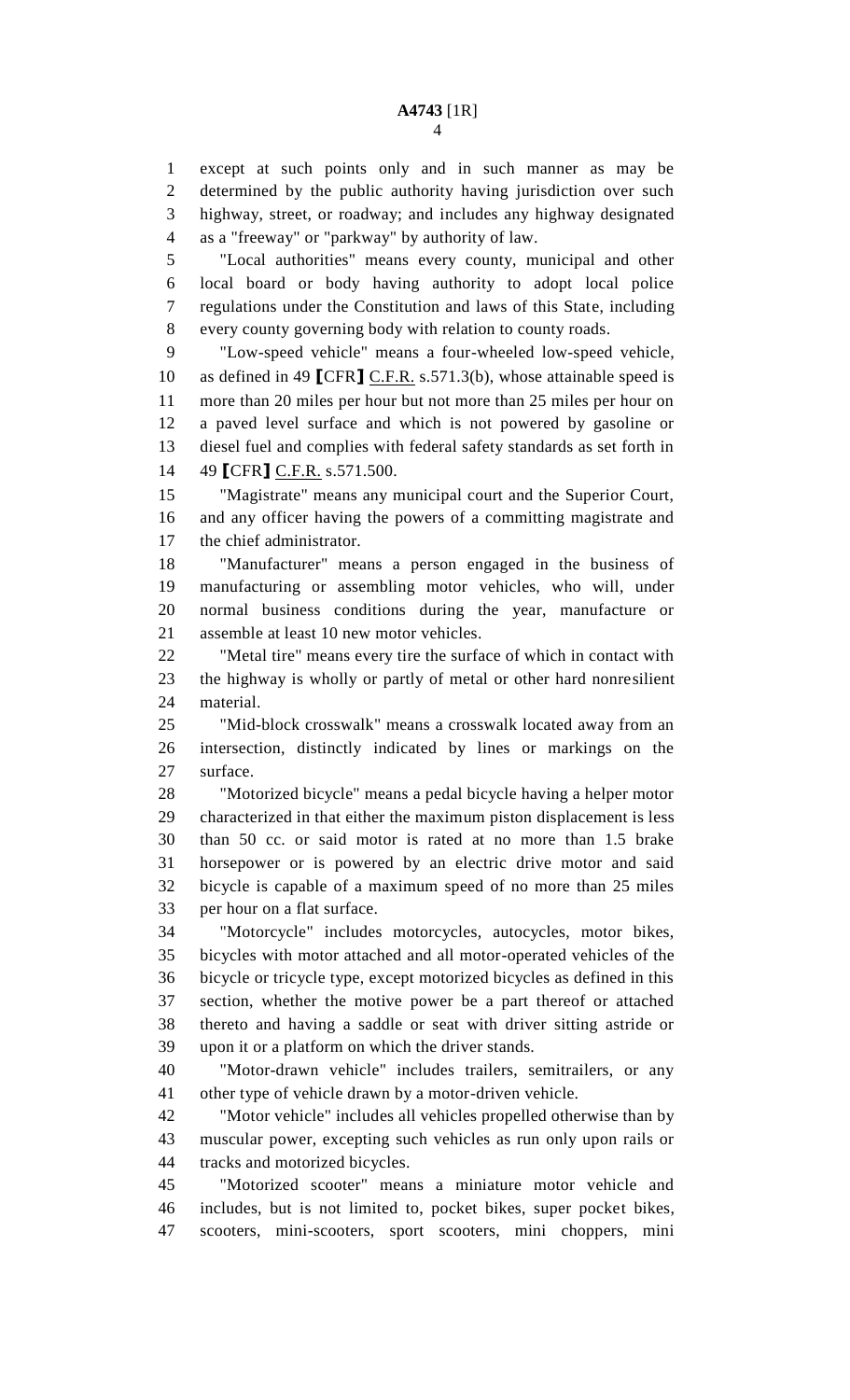except at such points only and in such manner as may be determined by the public authority having jurisdiction over such highway, street, or roadway; and includes any highway designated as a "freeway" or "parkway" by authority of law.

 "Local authorities" means every county, municipal and other local board or body having authority to adopt local police regulations under the Constitution and laws of this State, including every county governing body with relation to county roads.

 "Low-speed vehicle" means a four-wheeled low-speed vehicle, as defined in 49 **[**CFR**]** C.F.R. s.571.3(b), whose attainable speed is more than 20 miles per hour but not more than 25 miles per hour on a paved level surface and which is not powered by gasoline or diesel fuel and complies with federal safety standards as set forth in 49 **[**CFR**]** C.F.R. s.571.500.

 "Magistrate" means any municipal court and the Superior Court, and any officer having the powers of a committing magistrate and the chief administrator.

 "Manufacturer" means a person engaged in the business of manufacturing or assembling motor vehicles, who will, under normal business conditions during the year, manufacture or assemble at least 10 new motor vehicles.

 "Metal tire" means every tire the surface of which in contact with the highway is wholly or partly of metal or other hard nonresilient material.

 "Mid-block crosswalk" means a crosswalk located away from an intersection, distinctly indicated by lines or markings on the surface.

 "Motorized bicycle" means a pedal bicycle having a helper motor characterized in that either the maximum piston displacement is less than 50 cc. or said motor is rated at no more than 1.5 brake horsepower or is powered by an electric drive motor and said bicycle is capable of a maximum speed of no more than 25 miles per hour on a flat surface.

 "Motorcycle" includes motorcycles, autocycles, motor bikes, bicycles with motor attached and all motor-operated vehicles of the bicycle or tricycle type, except motorized bicycles as defined in this section, whether the motive power be a part thereof or attached thereto and having a saddle or seat with driver sitting astride or upon it or a platform on which the driver stands.

 "Motor-drawn vehicle" includes trailers, semitrailers, or any other type of vehicle drawn by a motor-driven vehicle.

 "Motor vehicle" includes all vehicles propelled otherwise than by muscular power, excepting such vehicles as run only upon rails or tracks and motorized bicycles.

 "Motorized scooter" means a miniature motor vehicle and includes, but is not limited to, pocket bikes, super pocket bikes, scooters, mini-scooters, sport scooters, mini choppers, mini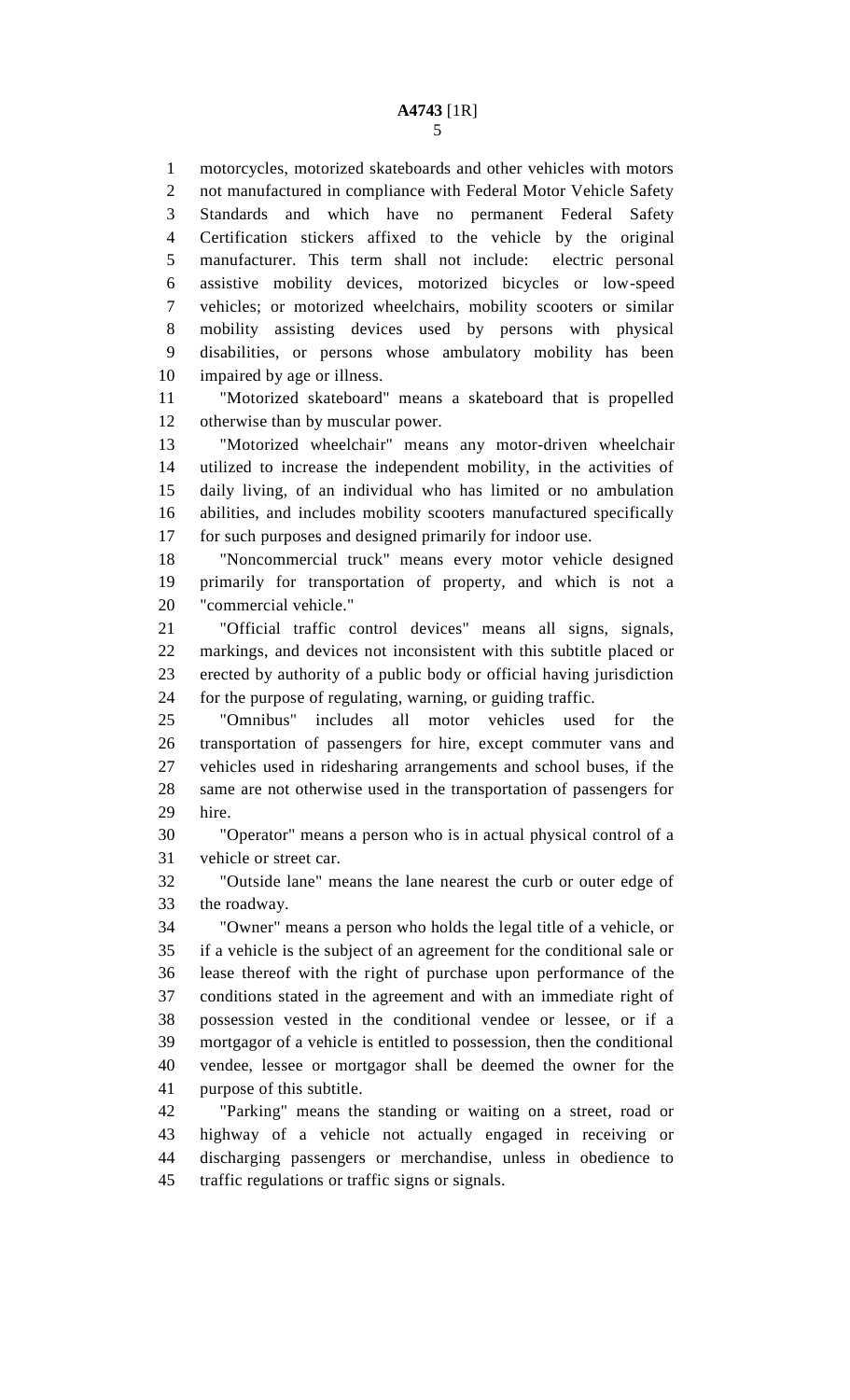motorcycles, motorized skateboards and other vehicles with motors not manufactured in compliance with Federal Motor Vehicle Safety Standards and which have no permanent Federal Safety Certification stickers affixed to the vehicle by the original manufacturer. This term shall not include: electric personal assistive mobility devices, motorized bicycles or low-speed vehicles; or motorized wheelchairs, mobility scooters or similar mobility assisting devices used by persons with physical disabilities, or persons whose ambulatory mobility has been impaired by age or illness.

 "Motorized skateboard" means a skateboard that is propelled otherwise than by muscular power.

 "Motorized wheelchair" means any motor-driven wheelchair utilized to increase the independent mobility, in the activities of daily living, of an individual who has limited or no ambulation abilities, and includes mobility scooters manufactured specifically for such purposes and designed primarily for indoor use.

 "Noncommercial truck" means every motor vehicle designed primarily for transportation of property, and which is not a "commercial vehicle."

 "Official traffic control devices" means all signs, signals, markings, and devices not inconsistent with this subtitle placed or erected by authority of a public body or official having jurisdiction for the purpose of regulating, warning, or guiding traffic.

 "Omnibus" includes all motor vehicles used for the transportation of passengers for hire, except commuter vans and vehicles used in ridesharing arrangements and school buses, if the same are not otherwise used in the transportation of passengers for hire.

 "Operator" means a person who is in actual physical control of a vehicle or street car.

 "Outside lane" means the lane nearest the curb or outer edge of the roadway.

 "Owner" means a person who holds the legal title of a vehicle, or if a vehicle is the subject of an agreement for the conditional sale or lease thereof with the right of purchase upon performance of the conditions stated in the agreement and with an immediate right of possession vested in the conditional vendee or lessee, or if a mortgagor of a vehicle is entitled to possession, then the conditional vendee, lessee or mortgagor shall be deemed the owner for the purpose of this subtitle.

 "Parking" means the standing or waiting on a street, road or highway of a vehicle not actually engaged in receiving or discharging passengers or merchandise, unless in obedience to traffic regulations or traffic signs or signals.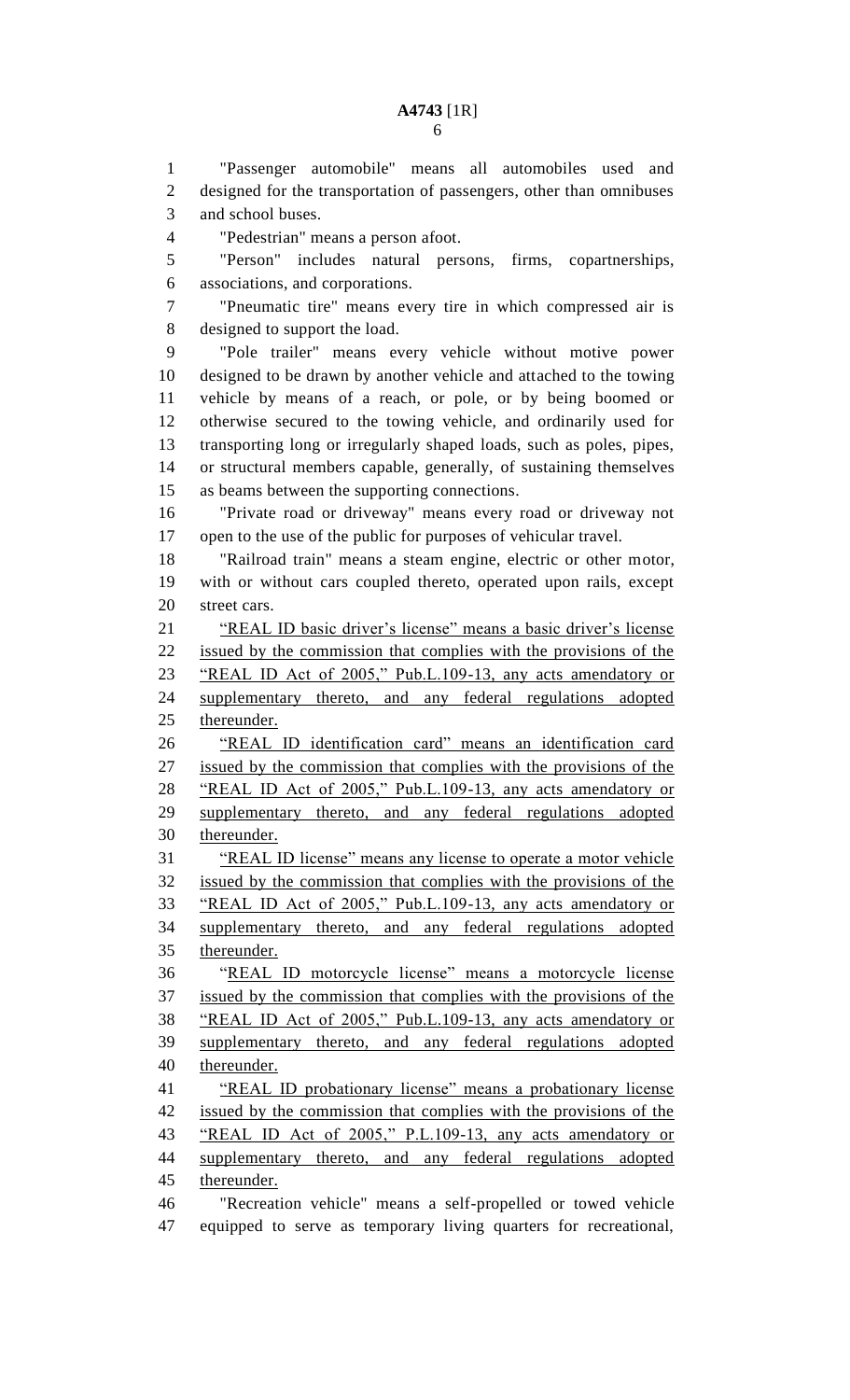"Passenger automobile" means all automobiles used and designed for the transportation of passengers, other than omnibuses and school buses. "Pedestrian" means a person afoot. "Person" includes natural persons, firms, copartnerships, associations, and corporations. "Pneumatic tire" means every tire in which compressed air is designed to support the load. "Pole trailer" means every vehicle without motive power designed to be drawn by another vehicle and attached to the towing vehicle by means of a reach, or pole, or by being boomed or otherwise secured to the towing vehicle, and ordinarily used for transporting long or irregularly shaped loads, such as poles, pipes, or structural members capable, generally, of sustaining themselves as beams between the supporting connections. "Private road or driveway" means every road or driveway not open to the use of the public for purposes of vehicular travel. "Railroad train" means a steam engine, electric or other motor, with or without cars coupled thereto, operated upon rails, except street cars. "REAL ID basic driver's license" means a basic driver's license issued by the commission that complies with the provisions of the "REAL ID Act of 2005," Pub.L.109-13, any acts amendatory or supplementary thereto, and any federal regulations adopted thereunder. "REAL ID identification card" means an identification card issued by the commission that complies with the provisions of the "REAL ID Act of 2005," Pub.L.109-13, any acts amendatory or supplementary thereto, and any federal regulations adopted thereunder. "REAL ID license" means any license to operate a motor vehicle issued by the commission that complies with the provisions of the "REAL ID Act of 2005," Pub.L.109-13, any acts amendatory or supplementary thereto, and any federal regulations adopted thereunder. "REAL ID motorcycle license" means a motorcycle license issued by the commission that complies with the provisions of the "REAL ID Act of 2005," Pub.L.109-13, any acts amendatory or supplementary thereto, and any federal regulations adopted thereunder. "REAL ID probationary license" means a probationary license issued by the commission that complies with the provisions of the "REAL ID Act of 2005," P.L.109-13, any acts amendatory or supplementary thereto, and any federal regulations adopted thereunder. "Recreation vehicle" means a self-propelled or towed vehicle

equipped to serve as temporary living quarters for recreational,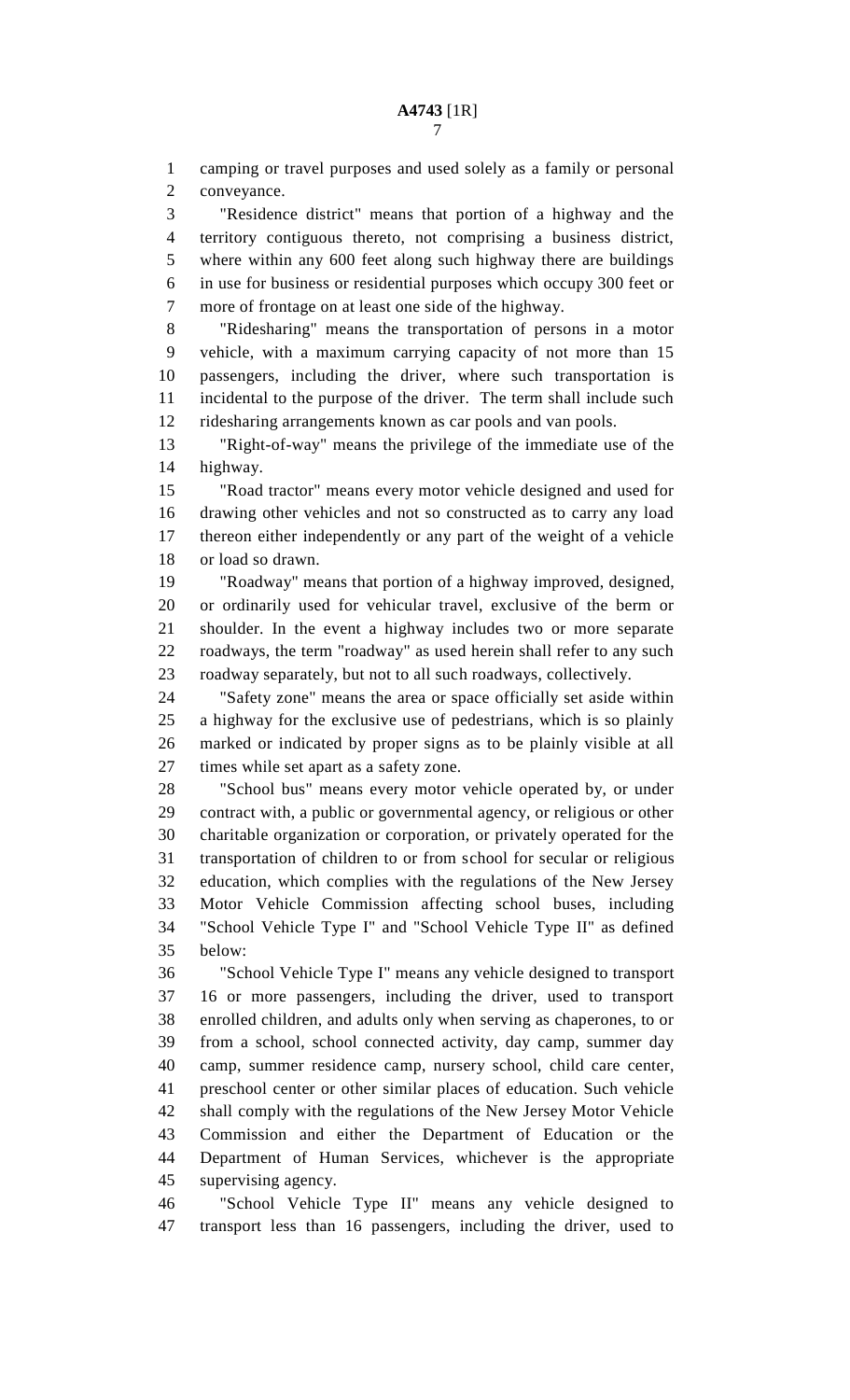camping or travel purposes and used solely as a family or personal conveyance.

 "Residence district" means that portion of a highway and the territory contiguous thereto, not comprising a business district, where within any 600 feet along such highway there are buildings in use for business or residential purposes which occupy 300 feet or more of frontage on at least one side of the highway.

 "Ridesharing" means the transportation of persons in a motor vehicle, with a maximum carrying capacity of not more than 15 passengers, including the driver, where such transportation is incidental to the purpose of the driver. The term shall include such ridesharing arrangements known as car pools and van pools.

 "Right-of-way" means the privilege of the immediate use of the highway.

 "Road tractor" means every motor vehicle designed and used for drawing other vehicles and not so constructed as to carry any load thereon either independently or any part of the weight of a vehicle or load so drawn.

 "Roadway" means that portion of a highway improved, designed, or ordinarily used for vehicular travel, exclusive of the berm or shoulder. In the event a highway includes two or more separate roadways, the term "roadway" as used herein shall refer to any such roadway separately, but not to all such roadways, collectively.

 "Safety zone" means the area or space officially set aside within a highway for the exclusive use of pedestrians, which is so plainly marked or indicated by proper signs as to be plainly visible at all times while set apart as a safety zone.

 "School bus" means every motor vehicle operated by, or under contract with, a public or governmental agency, or religious or other charitable organization or corporation, or privately operated for the transportation of children to or from school for secular or religious education, which complies with the regulations of the New Jersey Motor Vehicle Commission affecting school buses, including "School Vehicle Type I" and "School Vehicle Type II" as defined below:

 "School Vehicle Type I" means any vehicle designed to transport 16 or more passengers, including the driver, used to transport enrolled children, and adults only when serving as chaperones, to or from a school, school connected activity, day camp, summer day camp, summer residence camp, nursery school, child care center, preschool center or other similar places of education. Such vehicle shall comply with the regulations of the New Jersey Motor Vehicle Commission and either the Department of Education or the Department of Human Services, whichever is the appropriate supervising agency.

 "School Vehicle Type II" means any vehicle designed to transport less than 16 passengers, including the driver, used to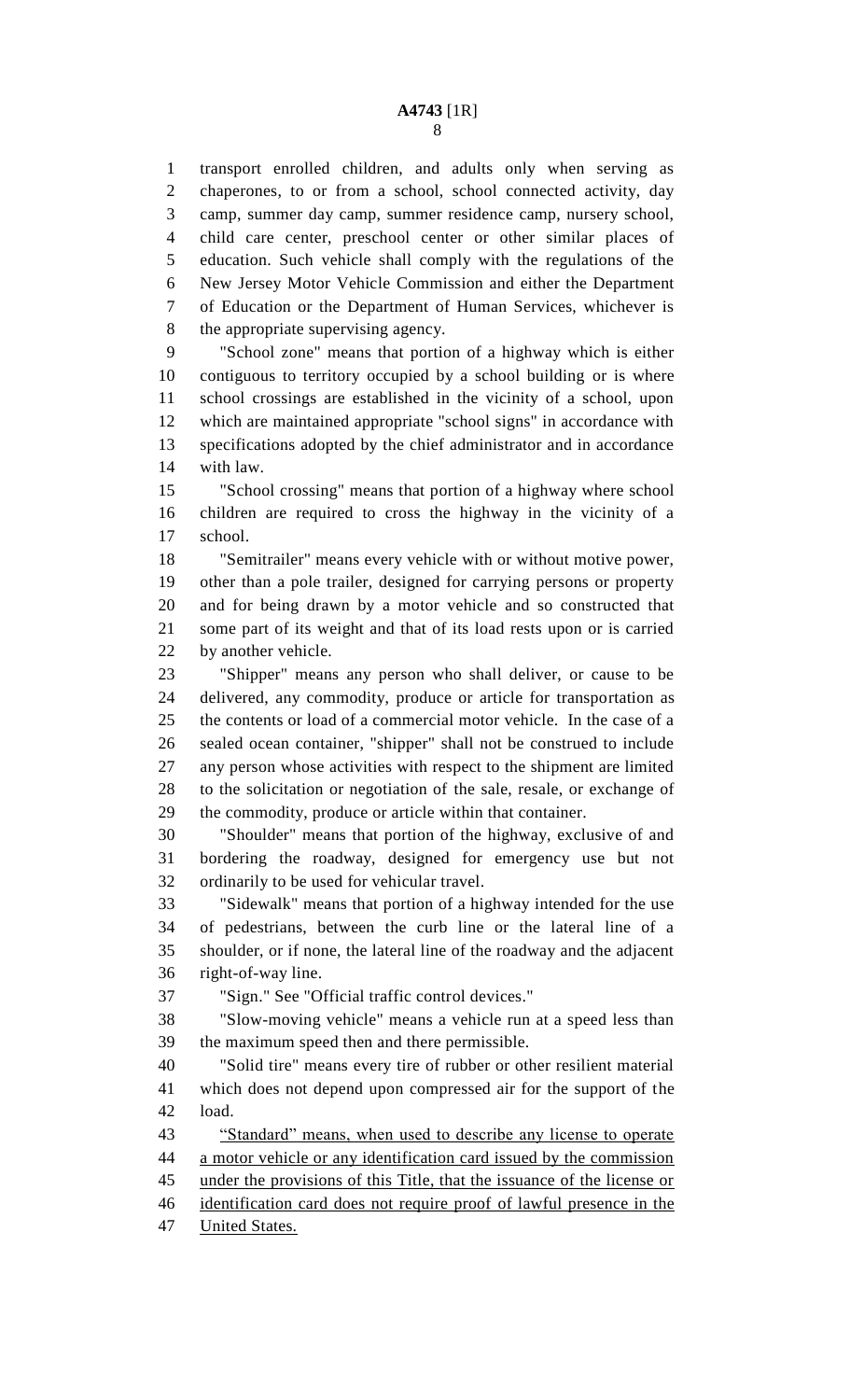transport enrolled children, and adults only when serving as chaperones, to or from a school, school connected activity, day camp, summer day camp, summer residence camp, nursery school, child care center, preschool center or other similar places of education. Such vehicle shall comply with the regulations of the New Jersey Motor Vehicle Commission and either the Department of Education or the Department of Human Services, whichever is the appropriate supervising agency.

 "School zone" means that portion of a highway which is either contiguous to territory occupied by a school building or is where school crossings are established in the vicinity of a school, upon which are maintained appropriate "school signs" in accordance with specifications adopted by the chief administrator and in accordance with law.

 "School crossing" means that portion of a highway where school children are required to cross the highway in the vicinity of a school.

 "Semitrailer" means every vehicle with or without motive power, other than a pole trailer, designed for carrying persons or property and for being drawn by a motor vehicle and so constructed that some part of its weight and that of its load rests upon or is carried by another vehicle.

 "Shipper" means any person who shall deliver, or cause to be delivered, any commodity, produce or article for transportation as the contents or load of a commercial motor vehicle. In the case of a sealed ocean container, "shipper" shall not be construed to include any person whose activities with respect to the shipment are limited to the solicitation or negotiation of the sale, resale, or exchange of the commodity, produce or article within that container.

 "Shoulder" means that portion of the highway, exclusive of and bordering the roadway, designed for emergency use but not ordinarily to be used for vehicular travel.

 "Sidewalk" means that portion of a highway intended for the use of pedestrians, between the curb line or the lateral line of a shoulder, or if none, the lateral line of the roadway and the adjacent right-of-way line.

"Sign." See "Official traffic control devices."

 "Slow-moving vehicle" means a vehicle run at a speed less than the maximum speed then and there permissible.

 "Solid tire" means every tire of rubber or other resilient material which does not depend upon compressed air for the support of the load.

 "Standard" means, when used to describe any license to operate a motor vehicle or any identification card issued by the commission under the provisions of this Title, that the issuance of the license or identification card does not require proof of lawful presence in the United States.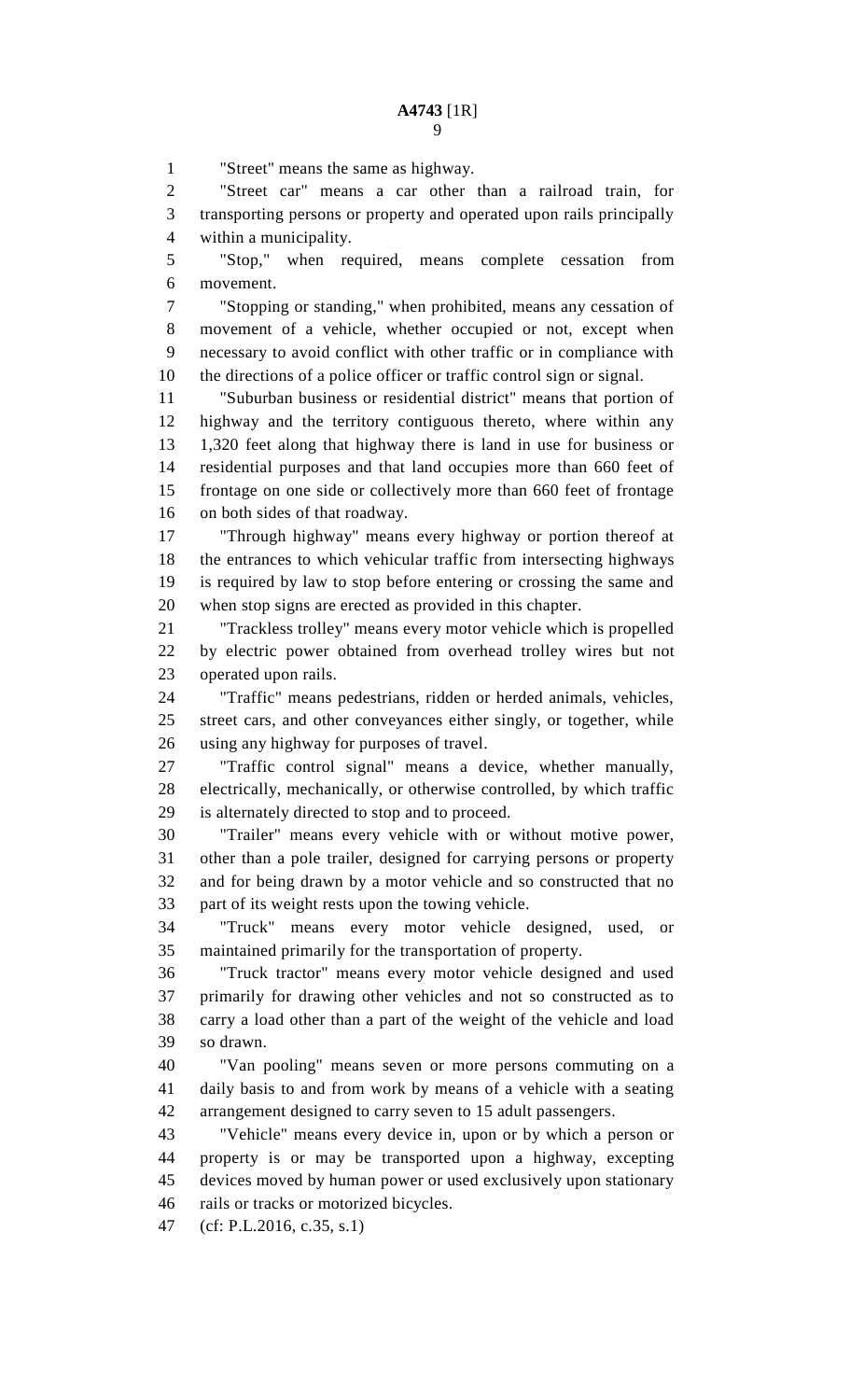"Street" means the same as highway.

 "Street car" means a car other than a railroad train, for transporting persons or property and operated upon rails principally within a municipality.

 "Stop," when required, means complete cessation from movement.

 "Stopping or standing," when prohibited, means any cessation of movement of a vehicle, whether occupied or not, except when necessary to avoid conflict with other traffic or in compliance with the directions of a police officer or traffic control sign or signal.

 "Suburban business or residential district" means that portion of highway and the territory contiguous thereto, where within any 1,320 feet along that highway there is land in use for business or residential purposes and that land occupies more than 660 feet of frontage on one side or collectively more than 660 feet of frontage on both sides of that roadway.

 "Through highway" means every highway or portion thereof at the entrances to which vehicular traffic from intersecting highways is required by law to stop before entering or crossing the same and when stop signs are erected as provided in this chapter.

 "Trackless trolley" means every motor vehicle which is propelled by electric power obtained from overhead trolley wires but not operated upon rails.

 "Traffic" means pedestrians, ridden or herded animals, vehicles, street cars, and other conveyances either singly, or together, while using any highway for purposes of travel.

 "Traffic control signal" means a device, whether manually, electrically, mechanically, or otherwise controlled, by which traffic is alternately directed to stop and to proceed.

 "Trailer" means every vehicle with or without motive power, other than a pole trailer, designed for carrying persons or property and for being drawn by a motor vehicle and so constructed that no part of its weight rests upon the towing vehicle.

 "Truck" means every motor vehicle designed, used, or maintained primarily for the transportation of property.

 "Truck tractor" means every motor vehicle designed and used primarily for drawing other vehicles and not so constructed as to carry a load other than a part of the weight of the vehicle and load so drawn.

 "Van pooling" means seven or more persons commuting on a daily basis to and from work by means of a vehicle with a seating arrangement designed to carry seven to 15 adult passengers.

 "Vehicle" means every device in, upon or by which a person or property is or may be transported upon a highway, excepting devices moved by human power or used exclusively upon stationary rails or tracks or motorized bicycles.

(cf: P.L.2016, c.35, s.1)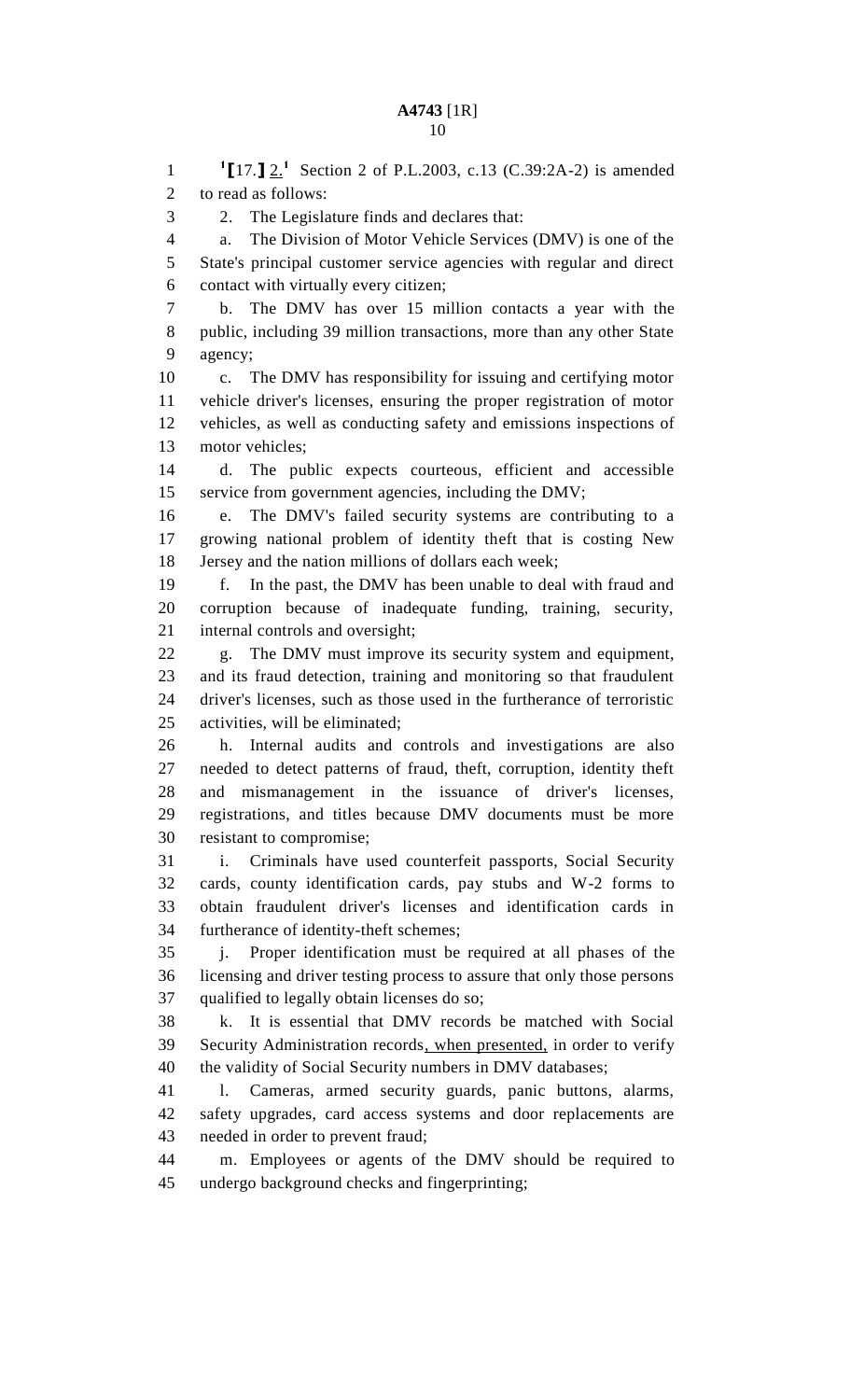**l [17.]**  $2.\mathbf{1}$  Section 2 of P.L.2003, c.13 (C.39:2A-2) is amended to read as follows: 2. The Legislature finds and declares that: a. The Division of Motor Vehicle Services (DMV) is one of the State's principal customer service agencies with regular and direct contact with virtually every citizen; b. The DMV has over 15 million contacts a year with the public, including 39 million transactions, more than any other State agency; c. The DMV has responsibility for issuing and certifying motor vehicle driver's licenses, ensuring the proper registration of motor vehicles, as well as conducting safety and emissions inspections of motor vehicles; d. The public expects courteous, efficient and accessible service from government agencies, including the DMV; e. The DMV's failed security systems are contributing to a growing national problem of identity theft that is costing New Jersey and the nation millions of dollars each week; f. In the past, the DMV has been unable to deal with fraud and corruption because of inadequate funding, training, security, internal controls and oversight; g. The DMV must improve its security system and equipment, and its fraud detection, training and monitoring so that fraudulent driver's licenses, such as those used in the furtherance of terroristic activities, will be eliminated; h. Internal audits and controls and investigations are also needed to detect patterns of fraud, theft, corruption, identity theft and mismanagement in the issuance of driver's licenses, registrations, and titles because DMV documents must be more resistant to compromise; i. Criminals have used counterfeit passports, Social Security cards, county identification cards, pay stubs and W-2 forms to obtain fraudulent driver's licenses and identification cards in furtherance of identity-theft schemes; j. Proper identification must be required at all phases of the licensing and driver testing process to assure that only those persons qualified to legally obtain licenses do so; k. It is essential that DMV records be matched with Social Security Administration records, when presented, in order to verify 40 the validity of Social Security numbers in DMV databases; l. Cameras, armed security guards, panic buttons, alarms, safety upgrades, card access systems and door replacements are needed in order to prevent fraud; m. Employees or agents of the DMV should be required to undergo background checks and fingerprinting;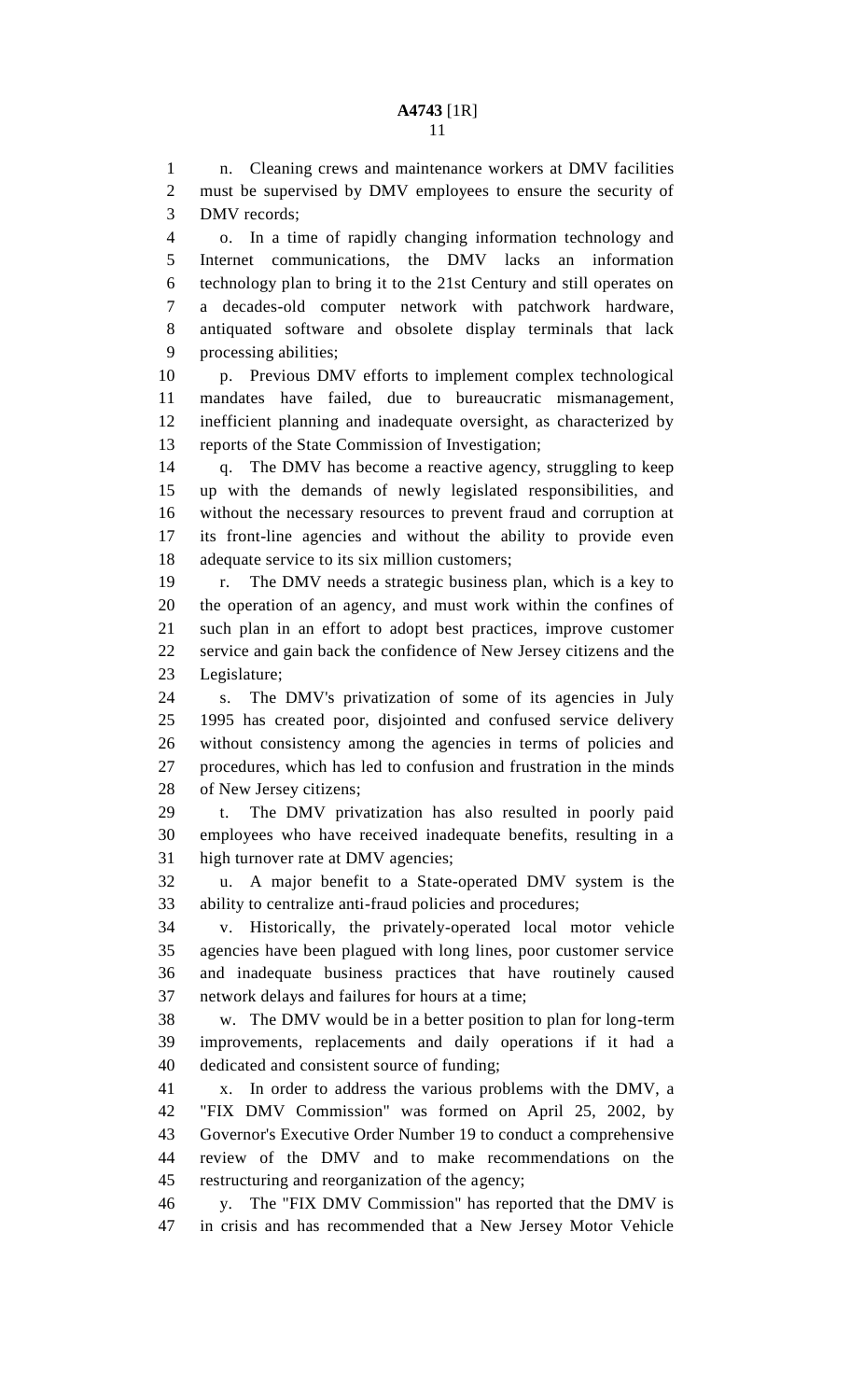n. Cleaning crews and maintenance workers at DMV facilities must be supervised by DMV employees to ensure the security of DMV records;

 o. In a time of rapidly changing information technology and Internet communications, the DMV lacks an information technology plan to bring it to the 21st Century and still operates on a decades-old computer network with patchwork hardware, antiquated software and obsolete display terminals that lack processing abilities;

 p. Previous DMV efforts to implement complex technological mandates have failed, due to bureaucratic mismanagement, inefficient planning and inadequate oversight, as characterized by reports of the State Commission of Investigation;

 q. The DMV has become a reactive agency, struggling to keep up with the demands of newly legislated responsibilities, and without the necessary resources to prevent fraud and corruption at its front-line agencies and without the ability to provide even adequate service to its six million customers;

 r. The DMV needs a strategic business plan, which is a key to the operation of an agency, and must work within the confines of such plan in an effort to adopt best practices, improve customer service and gain back the confidence of New Jersey citizens and the Legislature;

 s. The DMV's privatization of some of its agencies in July 1995 has created poor, disjointed and confused service delivery without consistency among the agencies in terms of policies and procedures, which has led to confusion and frustration in the minds of New Jersey citizens;

 t. The DMV privatization has also resulted in poorly paid employees who have received inadequate benefits, resulting in a high turnover rate at DMV agencies;

 u. A major benefit to a State-operated DMV system is the ability to centralize anti-fraud policies and procedures;

 v. Historically, the privately-operated local motor vehicle agencies have been plagued with long lines, poor customer service and inadequate business practices that have routinely caused network delays and failures for hours at a time;

 w. The DMV would be in a better position to plan for long-term improvements, replacements and daily operations if it had a dedicated and consistent source of funding;

 x. In order to address the various problems with the DMV, a "FIX DMV Commission" was formed on April 25, 2002, by Governor's Executive Order Number 19 to conduct a comprehensive review of the DMV and to make recommendations on the restructuring and reorganization of the agency;

 y. The "FIX DMV Commission" has reported that the DMV is in crisis and has recommended that a New Jersey Motor Vehicle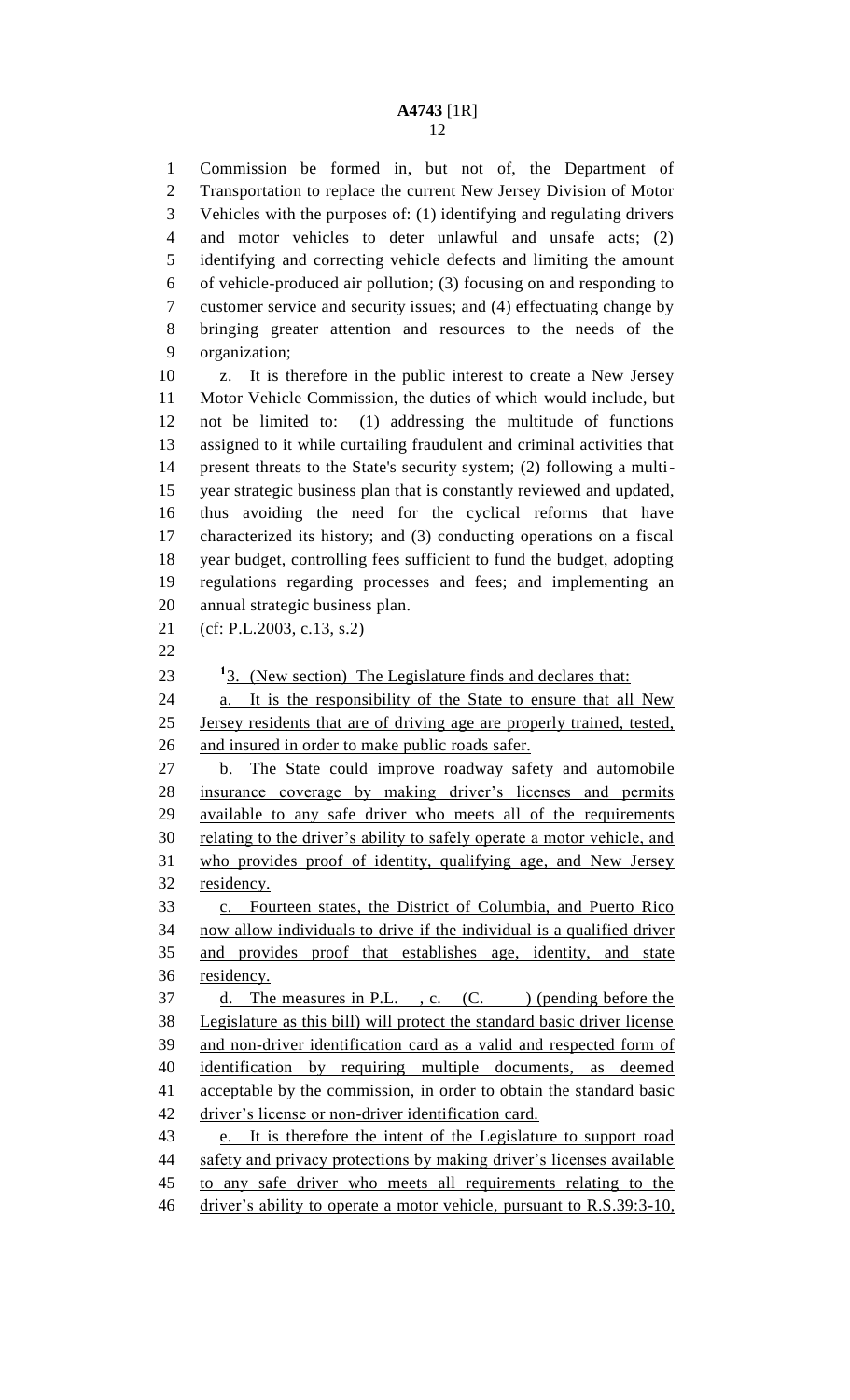Commission be formed in, but not of, the Department of Transportation to replace the current New Jersey Division of Motor Vehicles with the purposes of: (1) identifying and regulating drivers and motor vehicles to deter unlawful and unsafe acts; (2) identifying and correcting vehicle defects and limiting the amount of vehicle-produced air pollution; (3) focusing on and responding to customer service and security issues; and (4) effectuating change by bringing greater attention and resources to the needs of the organization; z. It is therefore in the public interest to create a New Jersey Motor Vehicle Commission, the duties of which would include, but not be limited to: (1) addressing the multitude of functions assigned to it while curtailing fraudulent and criminal activities that present threats to the State's security system; (2) following a multi- year strategic business plan that is constantly reviewed and updated, thus avoiding the need for the cyclical reforms that have characterized its history; and (3) conducting operations on a fiscal year budget, controlling fees sufficient to fund the budget, adopting regulations regarding processes and fees; and implementing an annual strategic business plan. (cf: P.L.2003, c.13, s.2) 23 <sup>1</sup>3. (New section) The Legislature finds and declares that: a. It is the responsibility of the State to ensure that all New Jersey residents that are of driving age are properly trained, tested, and insured in order to make public roads safer. b. The State could improve roadway safety and automobile insurance coverage by making driver's licenses and permits available to any safe driver who meets all of the requirements 30 relating to the driver's ability to safely operate a motor vehicle, and who provides proof of identity, qualifying age, and New Jersey residency.

 c. Fourteen states, the District of Columbia, and Puerto Rico now allow individuals to drive if the individual is a qualified driver and provides proof that establishes age, identity, and state residency. 37 d. The measures in P.L., c. (C. ) (pending before the

 Legislature as this bill) will protect the standard basic driver license and non-driver identification card as a valid and respected form of identification by requiring multiple documents, as deemed acceptable by the commission, in order to obtain the standard basic driver's license or non-driver identification card.

 e. It is therefore the intent of the Legislature to support road 44 safety and privacy protections by making driver's licenses available to any safe driver who meets all requirements relating to the driver's ability to operate a motor vehicle, pursuant to R.S.39:3-10,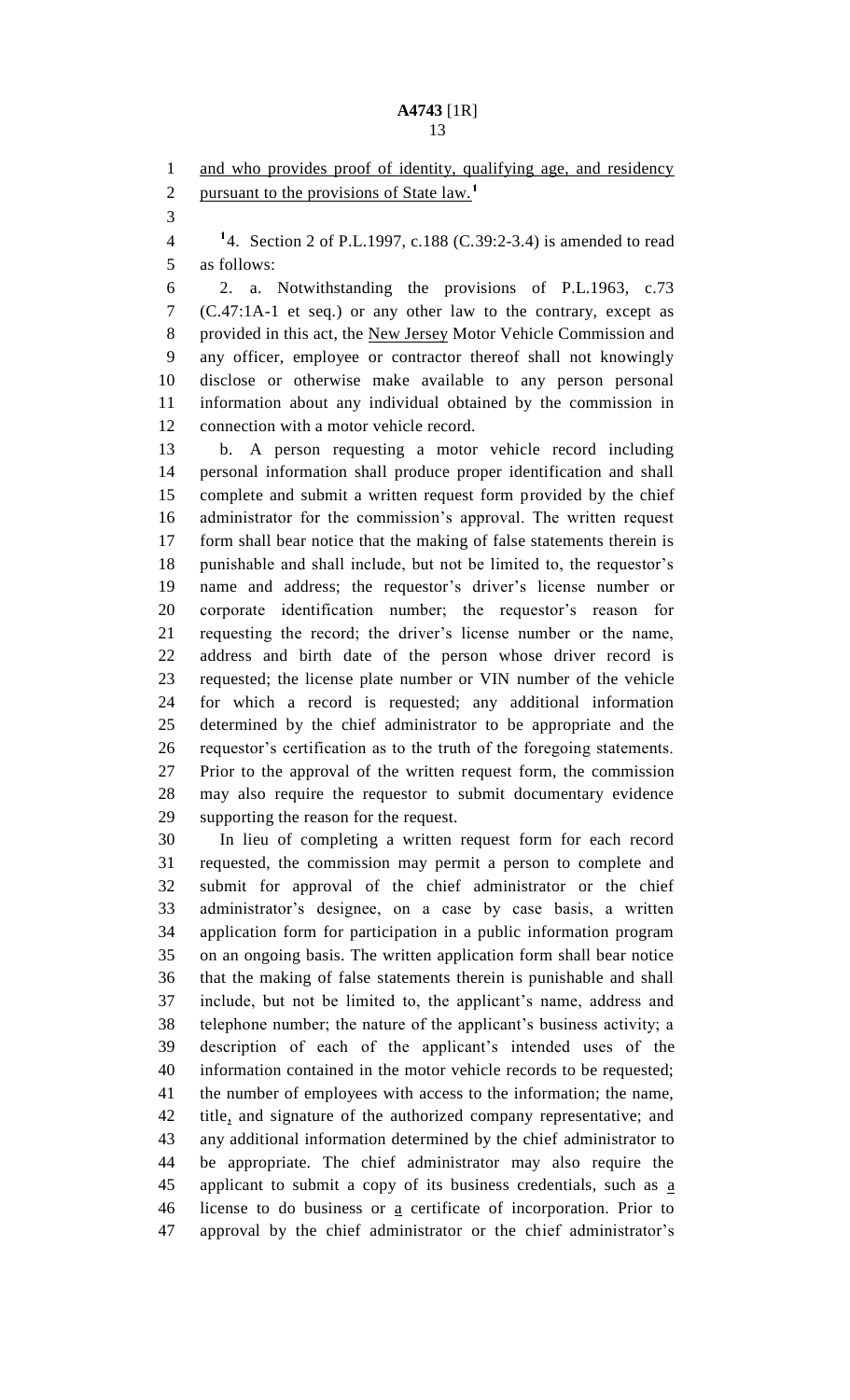and who provides proof of identity, qualifying age, and residency pursuant to the provisions of State law.**<sup>1</sup>** 

<sup>1</sup>4. Section 2 of P.L.1997, c.188 (C.39:2-3.4) is amended to read as follows:

 2. a. Notwithstanding the provisions of P.L.1963, c.73 (C.47:1A-1 et seq.) or any other law to the contrary, except as 8 provided in this act, the New Jersey Motor Vehicle Commission and any officer, employee or contractor thereof shall not knowingly disclose or otherwise make available to any person personal information about any individual obtained by the commission in connection with a motor vehicle record.

 b. A person requesting a motor vehicle record including personal information shall produce proper identification and shall complete and submit a written request form provided by the chief administrator for the commission's approval. The written request form shall bear notice that the making of false statements therein is punishable and shall include, but not be limited to, the requestor's name and address; the requestor's driver's license number or corporate identification number; the requestor's reason for requesting the record; the driver's license number or the name, address and birth date of the person whose driver record is requested; the license plate number or VIN number of the vehicle for which a record is requested; any additional information determined by the chief administrator to be appropriate and the requestor's certification as to the truth of the foregoing statements. Prior to the approval of the written request form, the commission may also require the requestor to submit documentary evidence supporting the reason for the request.

 In lieu of completing a written request form for each record requested, the commission may permit a person to complete and submit for approval of the chief administrator or the chief administrator's designee, on a case by case basis, a written application form for participation in a public information program on an ongoing basis. The written application form shall bear notice that the making of false statements therein is punishable and shall include, but not be limited to, the applicant's name, address and telephone number; the nature of the applicant's business activity; a description of each of the applicant's intended uses of the information contained in the motor vehicle records to be requested; the number of employees with access to the information; the name, title, and signature of the authorized company representative; and any additional information determined by the chief administrator to be appropriate. The chief administrator may also require the 45 applicant to submit a copy of its business credentials, such as  $\underline{a}$  license to do business or a certificate of incorporation. Prior to approval by the chief administrator or the chief administrator's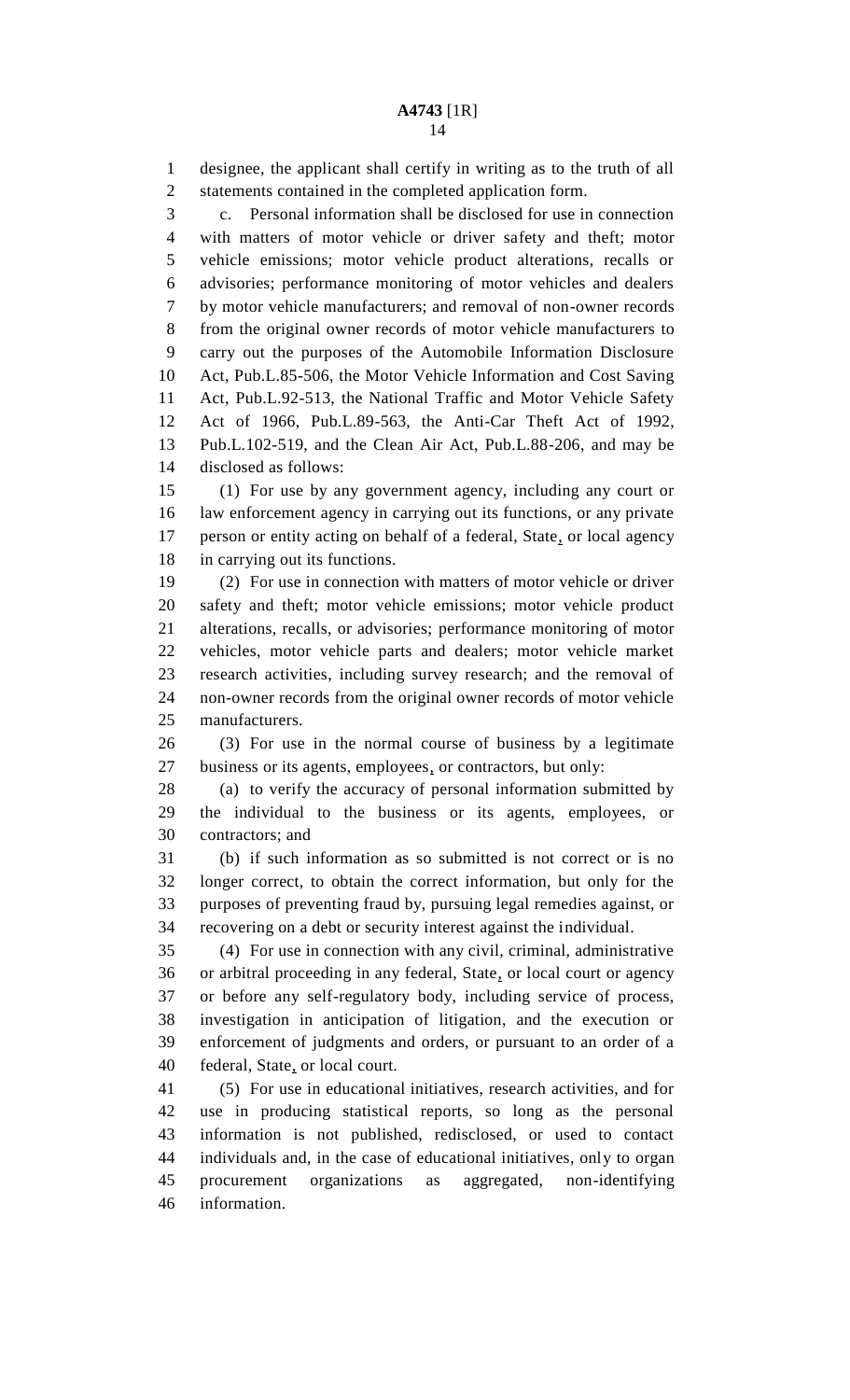designee, the applicant shall certify in writing as to the truth of all statements contained in the completed application form. c. Personal information shall be disclosed for use in connection with matters of motor vehicle or driver safety and theft; motor vehicle emissions; motor vehicle product alterations, recalls or advisories; performance monitoring of motor vehicles and dealers by motor vehicle manufacturers; and removal of non-owner records from the original owner records of motor vehicle manufacturers to carry out the purposes of the Automobile Information Disclosure Act, Pub.L.85-506, the Motor Vehicle Information and Cost Saving Act, Pub.L.92-513, the National Traffic and Motor Vehicle Safety Act of 1966, Pub.L.89-563, the Anti-Car Theft Act of 1992, Pub.L.102-519, and the Clean Air Act, Pub.L.88-206, and may be disclosed as follows: (1) For use by any government agency, including any court or law enforcement agency in carrying out its functions, or any private 17 person or entity acting on behalf of a federal, State, or local agency in carrying out its functions. (2) For use in connection with matters of motor vehicle or driver safety and theft; motor vehicle emissions; motor vehicle product alterations, recalls, or advisories; performance monitoring of motor vehicles, motor vehicle parts and dealers; motor vehicle market research activities, including survey research; and the removal of non-owner records from the original owner records of motor vehicle manufacturers. (3) For use in the normal course of business by a legitimate business or its agents, employees, or contractors, but only: (a) to verify the accuracy of personal information submitted by the individual to the business or its agents, employees, or contractors; and (b) if such information as so submitted is not correct or is no longer correct, to obtain the correct information, but only for the purposes of preventing fraud by, pursuing legal remedies against, or recovering on a debt or security interest against the individual. (4) For use in connection with any civil, criminal, administrative or arbitral proceeding in any federal, State, or local court or agency or before any self-regulatory body, including service of process, investigation in anticipation of litigation, and the execution or enforcement of judgments and orders, or pursuant to an order of a federal, State, or local court. (5) For use in educational initiatives, research activities, and for

 use in producing statistical reports, so long as the personal information is not published, redisclosed, or used to contact individuals and, in the case of educational initiatives, only to organ procurement organizations as aggregated, non-identifying information.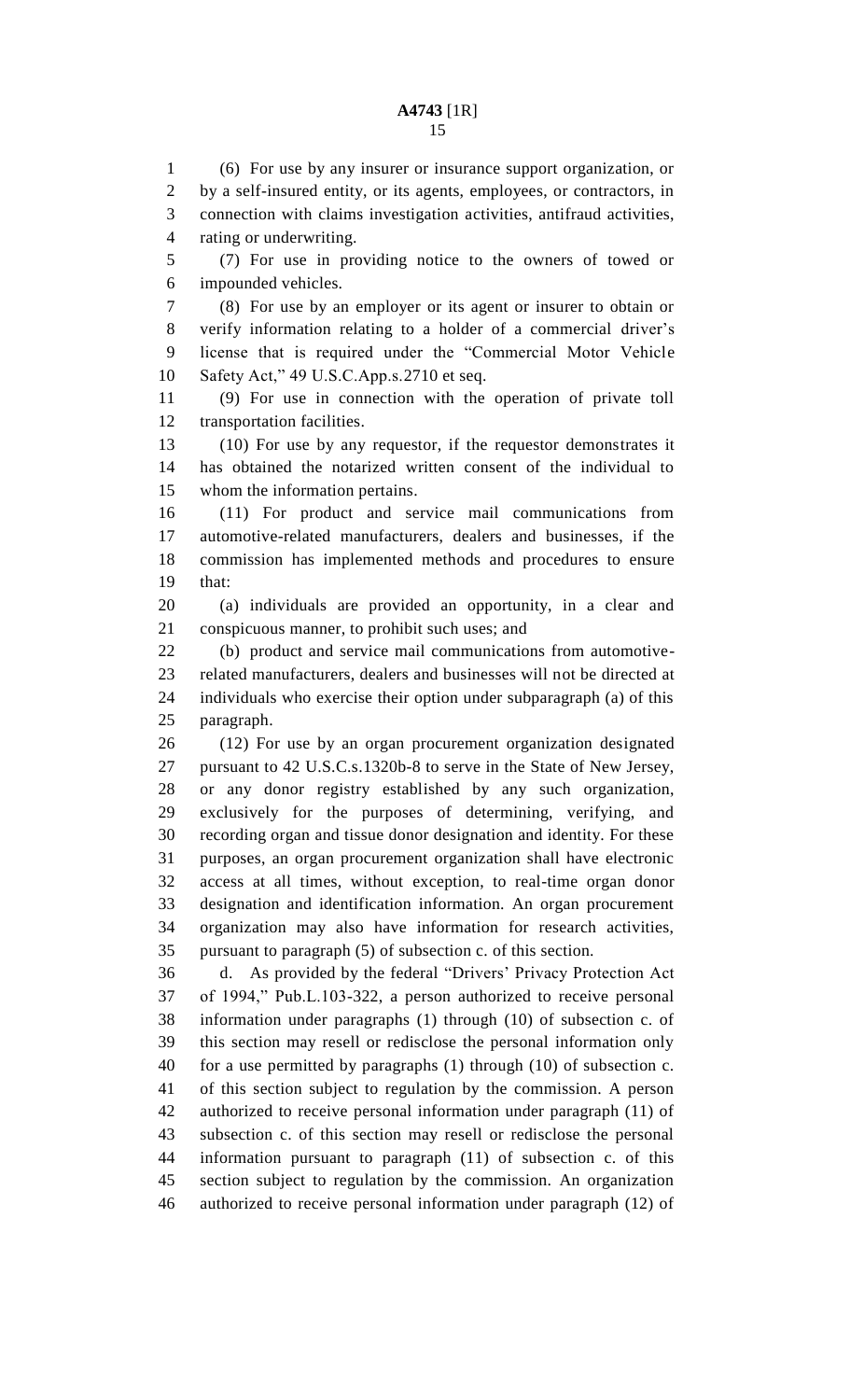(6) For use by any insurer or insurance support organization, or by a self-insured entity, or its agents, employees, or contractors, in connection with claims investigation activities, antifraud activities, rating or underwriting.

 (7) For use in providing notice to the owners of towed or impounded vehicles.

 (8) For use by an employer or its agent or insurer to obtain or verify information relating to a holder of a commercial driver's license that is required under the "Commercial Motor Vehicle Safety Act," 49 U.S.C.App.s.2710 et seq.

 (9) For use in connection with the operation of private toll transportation facilities.

 (10) For use by any requestor, if the requestor demonstrates it has obtained the notarized written consent of the individual to whom the information pertains.

 (11) For product and service mail communications from automotive-related manufacturers, dealers and businesses, if the commission has implemented methods and procedures to ensure that:

 (a) individuals are provided an opportunity, in a clear and conspicuous manner, to prohibit such uses; and

 (b) product and service mail communications from automotive- related manufacturers, dealers and businesses will not be directed at individuals who exercise their option under subparagraph (a) of this paragraph.

 (12) For use by an organ procurement organization designated pursuant to 42 U.S.C.s.1320b-8 to serve in the State of New Jersey, or any donor registry established by any such organization, exclusively for the purposes of determining, verifying, and recording organ and tissue donor designation and identity. For these purposes, an organ procurement organization shall have electronic access at all times, without exception, to real-time organ donor designation and identification information. An organ procurement organization may also have information for research activities, pursuant to paragraph (5) of subsection c. of this section.

 d. As provided by the federal "Drivers' Privacy Protection Act of 1994," Pub.L.103-322, a person authorized to receive personal information under paragraphs (1) through (10) of subsection c. of this section may resell or redisclose the personal information only for a use permitted by paragraphs (1) through (10) of subsection c. of this section subject to regulation by the commission. A person authorized to receive personal information under paragraph (11) of subsection c. of this section may resell or redisclose the personal information pursuant to paragraph (11) of subsection c. of this section subject to regulation by the commission. An organization authorized to receive personal information under paragraph (12) of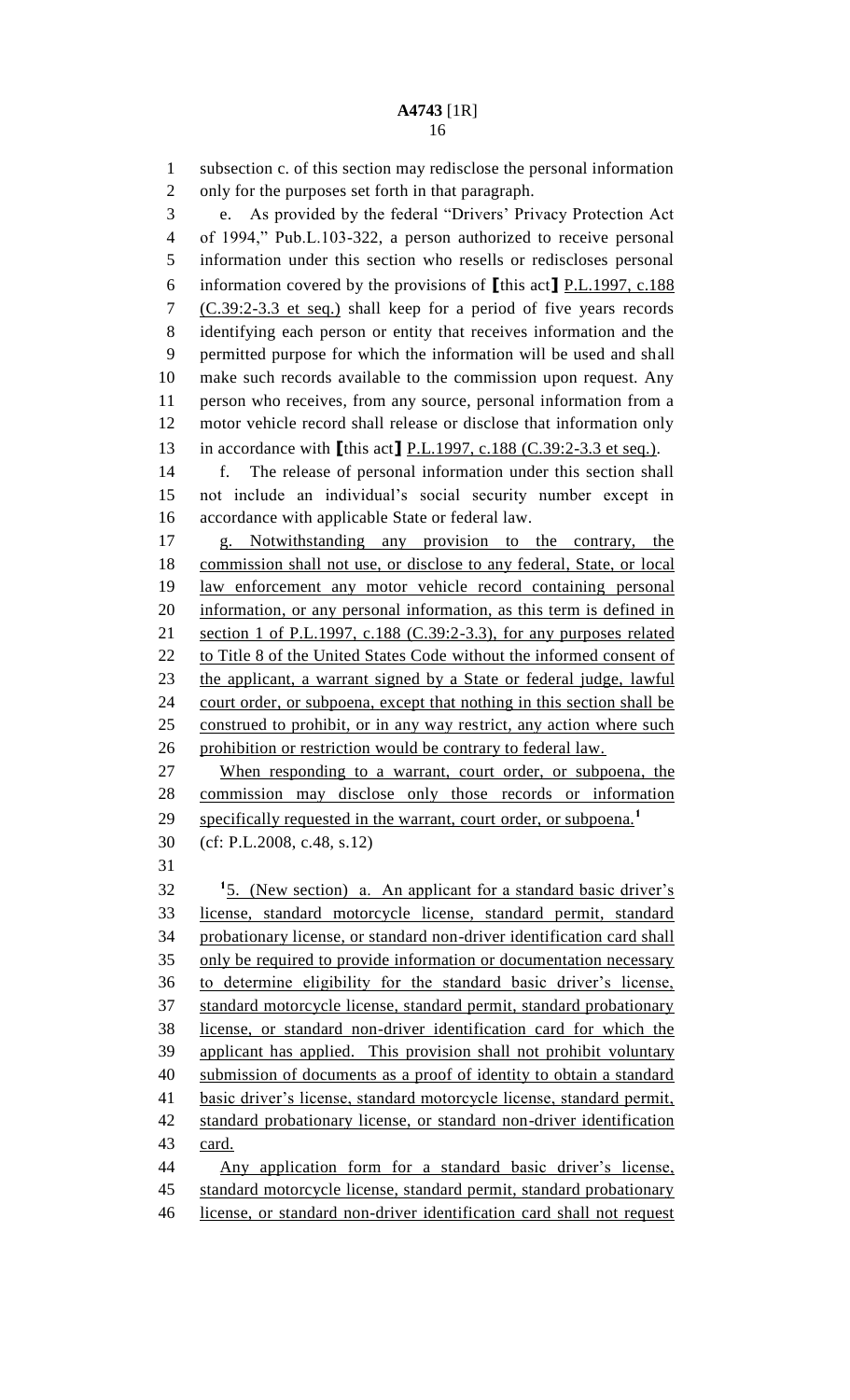subsection c. of this section may redisclose the personal information only for the purposes set forth in that paragraph. e. As provided by the federal "Drivers' Privacy Protection Act of 1994," Pub.L.103-322, a person authorized to receive personal information under this section who resells or rediscloses personal information covered by the provisions of **[**this act**]** P.L.1997, c.188 (C.39:2-3.3 et seq.) shall keep for a period of five years records identifying each person or entity that receives information and the permitted purpose for which the information will be used and shall make such records available to the commission upon request. Any person who receives, from any source, personal information from a motor vehicle record shall release or disclose that information only in accordance with **[**this act**]** P.L.1997, c.188 (C.39:2-3.3 et seq.). f. The release of personal information under this section shall not include an individual's social security number except in accordance with applicable State or federal law. g. Notwithstanding any provision to the contrary, the commission shall not use, or disclose to any federal, State, or local law enforcement any motor vehicle record containing personal information, or any personal information, as this term is defined in section 1 of P.L.1997, c.188 (C.39:2-3.3), for any purposes related 22 to Title 8 of the United States Code without the informed consent of the applicant, a warrant signed by a State or federal judge, lawful 24 court order, or subpoena, except that nothing in this section shall be construed to prohibit, or in any way restrict, any action where such 26 prohibition or restriction would be contrary to federal law. 27 When responding to a warrant, court order, or subpoena, the commission may disclose only those records or information specifically requested in the warrant, court order, or subpoena.**<sup>1</sup>** (cf: P.L.2008, c.48, s.12)  $15.$  (New section) a. An applicant for a standard basic driver's license, standard motorcycle license, standard permit, standard probationary license, or standard non-driver identification card shall only be required to provide information or documentation necessary to determine eligibility for the standard basic driver's license, standard motorcycle license, standard permit, standard probationary license, or standard non-driver identification card for which the applicant has applied. This provision shall not prohibit voluntary submission of documents as a proof of identity to obtain a standard basic driver's license, standard motorcycle license, standard permit, standard probationary license, or standard non-driver identification card. Any application form for a standard basic driver's license, standard motorcycle license, standard permit, standard probationary license, or standard non-driver identification card shall not request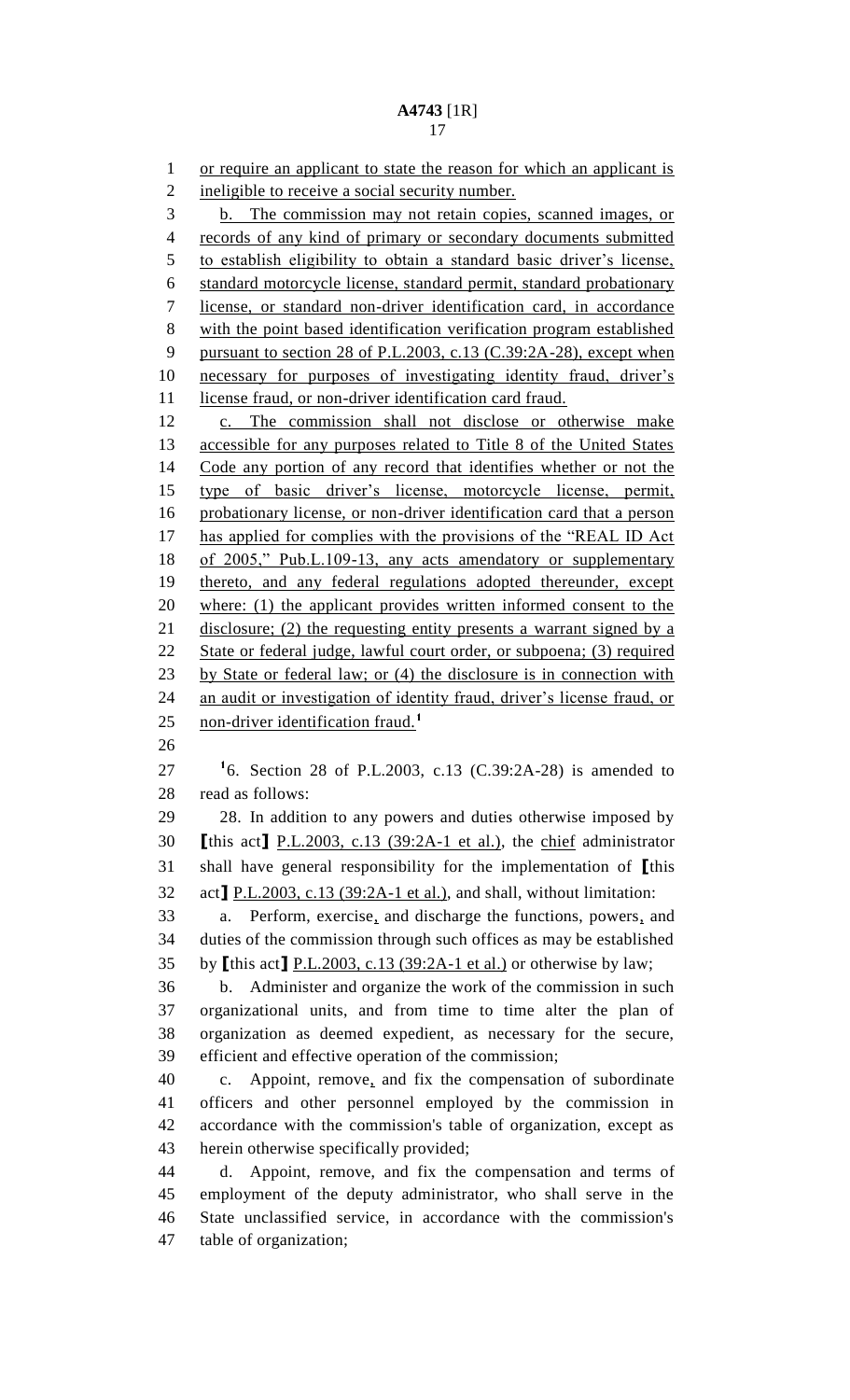1 or require an applicant to state the reason for which an applicant is 2 ineligible to receive a social security number. b. The commission may not retain copies, scanned images, or records of any kind of primary or secondary documents submitted to establish eligibility to obtain a standard basic driver's license, standard motorcycle license, standard permit, standard probationary license, or standard non-driver identification card, in accordance with the point based identification verification program established 9 pursuant to section 28 of P.L.2003, c.13 (C.39:2A-28), except when necessary for purposes of investigating identity fraud, driver's license fraud, or non-driver identification card fraud. c. The commission shall not disclose or otherwise make accessible for any purposes related to Title 8 of the United States Code any portion of any record that identifies whether or not the type of basic driver's license, motorcycle license, permit, probationary license, or non-driver identification card that a person 17 has applied for complies with the provisions of the "REAL ID Act of 2005," Pub.L.109-13, any acts amendatory or supplementary thereto, and any federal regulations adopted thereunder, except where: (1) the applicant provides written informed consent to the 21 disclosure; (2) the requesting entity presents a warrant signed by a State or federal judge, lawful court order, or subpoena; (3) required by State or federal law; or (4) the disclosure is in connection with 24 an audit or investigation of identity fraud, driver's license fraud, or non-driver identification fraud.**<sup>1</sup>** 6. Section 28 of P.L.2003, c.13 (C.39:2A-28) is amended to read as follows: 28. In addition to any powers and duties otherwise imposed by **[**this act**]** P.L.2003, c.13 (39:2A-1 et al.), the chief administrator shall have general responsibility for the implementation of **[**this act**]** P.L.2003, c.13 (39:2A-1 et al.), and shall, without limitation: a. Perform, exercise, and discharge the functions, powers, and duties of the commission through such offices as may be established by **[**this act**]** P.L.2003, c.13 (39:2A-1 et al.) or otherwise by law; b. Administer and organize the work of the commission in such organizational units, and from time to time alter the plan of organization as deemed expedient, as necessary for the secure, efficient and effective operation of the commission; c. Appoint, remove, and fix the compensation of subordinate officers and other personnel employed by the commission in accordance with the commission's table of organization, except as herein otherwise specifically provided; d. Appoint, remove, and fix the compensation and terms of employment of the deputy administrator, who shall serve in the State unclassified service, in accordance with the commission's table of organization;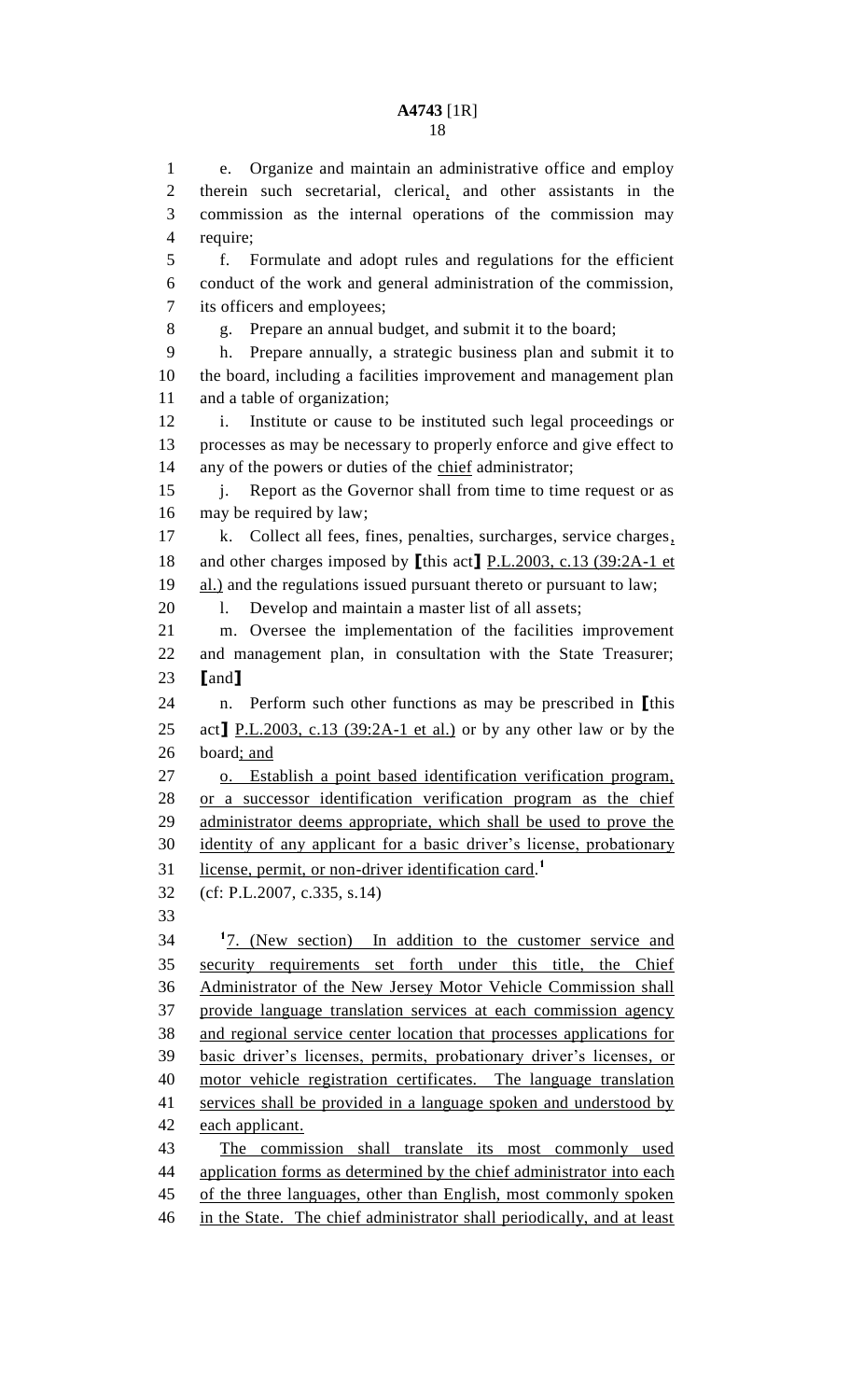e. Organize and maintain an administrative office and employ therein such secretarial, clerical, and other assistants in the commission as the internal operations of the commission may require; f. Formulate and adopt rules and regulations for the efficient conduct of the work and general administration of the commission, its officers and employees; g. Prepare an annual budget, and submit it to the board; h. Prepare annually, a strategic business plan and submit it to the board, including a facilities improvement and management plan and a table of organization; i. Institute or cause to be instituted such legal proceedings or processes as may be necessary to properly enforce and give effect to 14 any of the powers or duties of the chief administrator; 15 i. Report as the Governor shall from time to time request or as may be required by law; 17 k. Collect all fees, fines, penalties, surcharges, service charges, and other charges imposed by **[**this act**]** P.L.2003, c.13 (39:2A-1 et 19 al.) and the regulations issued pursuant thereto or pursuant to law; 20 l. Develop and maintain a master list of all assets; m. Oversee the implementation of the facilities improvement and management plan, in consultation with the State Treasurer; **[**and**]** n. Perform such other functions as may be prescribed in **[**this act**]** P.L.2003, c.13 (39:2A-1 et al.) or by any other law or by the board; and o. Establish a point based identification verification program, or a successor identification verification program as the chief administrator deems appropriate, which shall be used to prove the identity of any applicant for a basic driver's license, probationary license, permit, or non-driver identification card. **1** (cf: P.L.2007, c.335, s.14) 7. (New section) In addition to the customer service and security requirements set forth under this title, the Chief Administrator of the New Jersey Motor Vehicle Commission shall provide language translation services at each commission agency and regional service center location that processes applications for basic driver's licenses, permits, probationary driver's licenses, or motor vehicle registration certificates. The language translation 41 services shall be provided in a language spoken and understood by each applicant. The commission shall translate its most commonly used application forms as determined by the chief administrator into each of the three languages, other than English, most commonly spoken in the State. The chief administrator shall periodically, and at least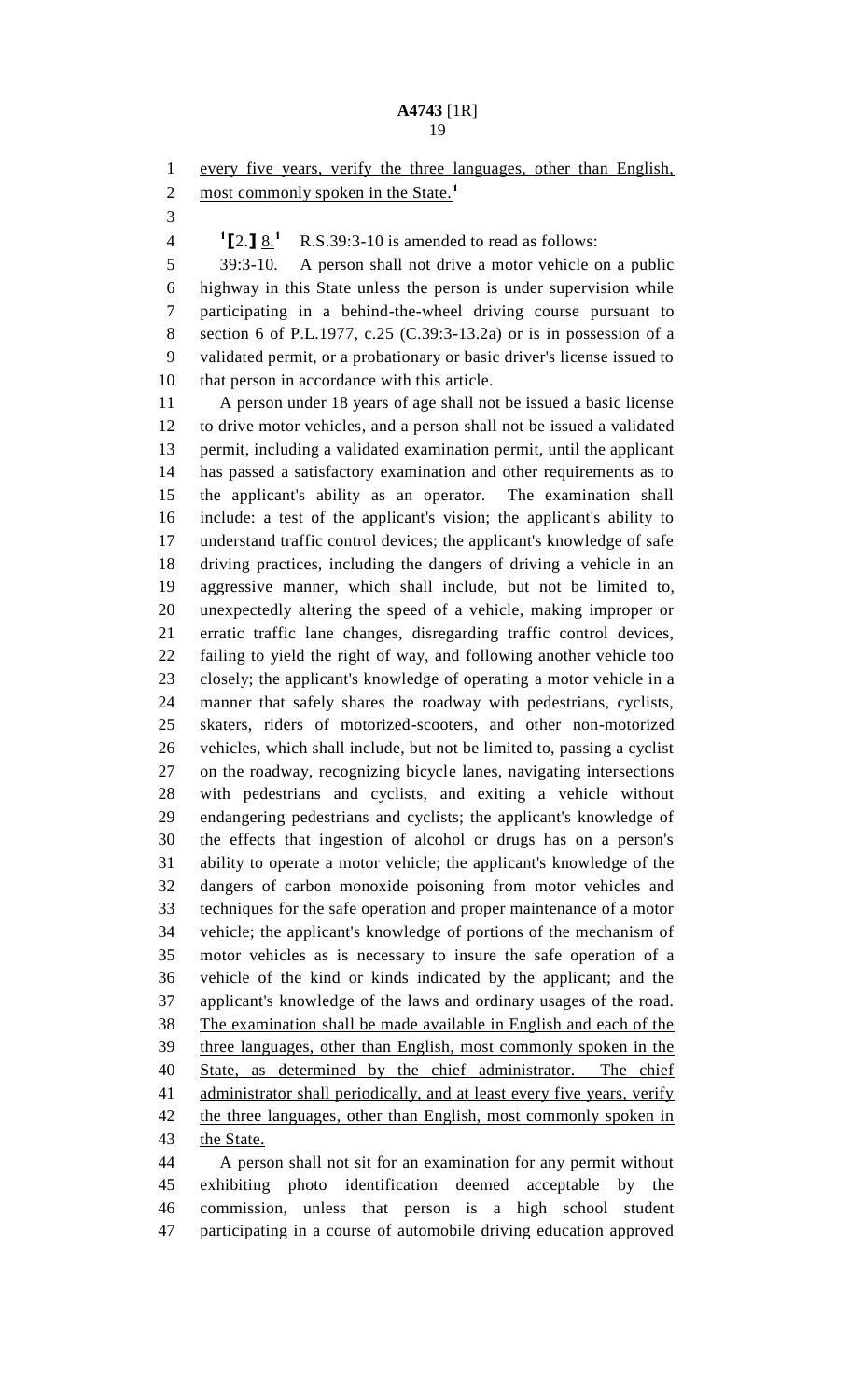every five years, verify the three languages, other than English,

- 2 most commonly spoken in the State.<sup>1</sup>
- 

 $^{1}$ [2.]  $^{8.1}$ 4  $\text{I}[2.]\,\text{8}^{1}$  R.S.39:3-10 is amended to read as follows:

 39:3-10. A person shall not drive a motor vehicle on a public highway in this State unless the person is under supervision while participating in a behind-the-wheel driving course pursuant to section 6 of P.L.1977, c.25 (C.39:3-13.2a) or is in possession of a validated permit, or a probationary or basic driver's license issued to that person in accordance with this article.

 A person under 18 years of age shall not be issued a basic license to drive motor vehicles, and a person shall not be issued a validated permit, including a validated examination permit, until the applicant has passed a satisfactory examination and other requirements as to the applicant's ability as an operator. The examination shall include: a test of the applicant's vision; the applicant's ability to understand traffic control devices; the applicant's knowledge of safe driving practices, including the dangers of driving a vehicle in an aggressive manner, which shall include, but not be limited to, unexpectedly altering the speed of a vehicle, making improper or erratic traffic lane changes, disregarding traffic control devices, failing to yield the right of way, and following another vehicle too closely; the applicant's knowledge of operating a motor vehicle in a manner that safely shares the roadway with pedestrians, cyclists, skaters, riders of motorized-scooters, and other non-motorized vehicles, which shall include, but not be limited to, passing a cyclist on the roadway, recognizing bicycle lanes, navigating intersections with pedestrians and cyclists, and exiting a vehicle without endangering pedestrians and cyclists; the applicant's knowledge of the effects that ingestion of alcohol or drugs has on a person's ability to operate a motor vehicle; the applicant's knowledge of the dangers of carbon monoxide poisoning from motor vehicles and techniques for the safe operation and proper maintenance of a motor vehicle; the applicant's knowledge of portions of the mechanism of motor vehicles as is necessary to insure the safe operation of a vehicle of the kind or kinds indicated by the applicant; and the applicant's knowledge of the laws and ordinary usages of the road. The examination shall be made available in English and each of the three languages, other than English, most commonly spoken in the State, as determined by the chief administrator. The chief 41 administrator shall periodically, and at least every five years, verify 42 the three languages, other than English, most commonly spoken in the State. A person shall not sit for an examination for any permit without

 exhibiting photo identification deemed acceptable by the commission, unless that person is a high school student participating in a course of automobile driving education approved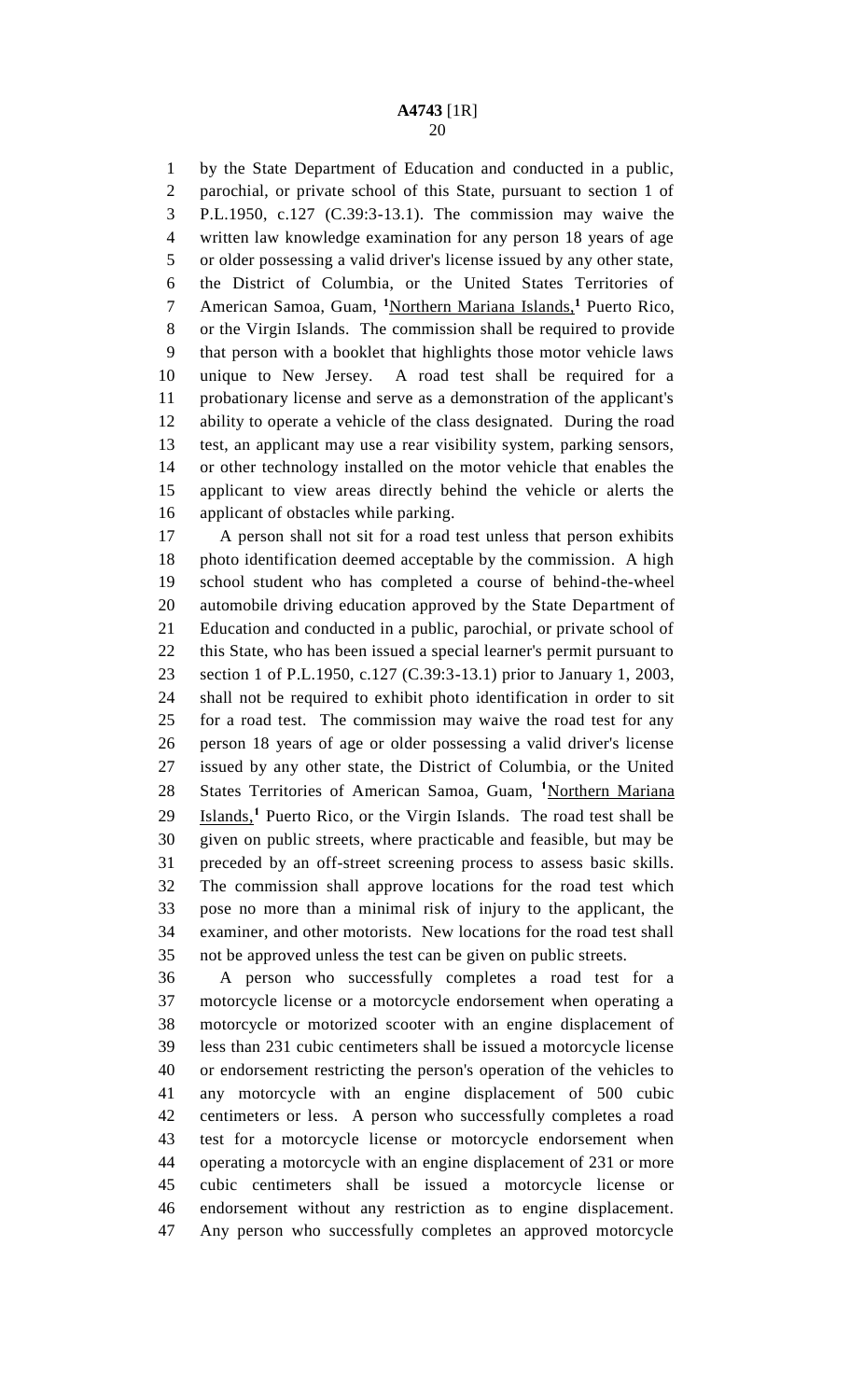by the State Department of Education and conducted in a public, parochial, or private school of this State, pursuant to section 1 of P.L.1950, c.127 (C.39:3-13.1). The commission may waive the written law knowledge examination for any person 18 years of age or older possessing a valid driver's license issued by any other state, the District of Columbia, or the United States Territories of American Samoa, Guam, **<sup>1</sup>**Northern Mariana Islands,**<sup>1</sup>** Puerto Rico, or the Virgin Islands. The commission shall be required to provide that person with a booklet that highlights those motor vehicle laws unique to New Jersey. A road test shall be required for a probationary license and serve as a demonstration of the applicant's ability to operate a vehicle of the class designated. During the road test, an applicant may use a rear visibility system, parking sensors, or other technology installed on the motor vehicle that enables the applicant to view areas directly behind the vehicle or alerts the applicant of obstacles while parking.

 A person shall not sit for a road test unless that person exhibits photo identification deemed acceptable by the commission. A high school student who has completed a course of behind-the-wheel automobile driving education approved by the State Department of Education and conducted in a public, parochial, or private school of this State, who has been issued a special learner's permit pursuant to section 1 of P.L.1950, c.127 (C.39:3-13.1) prior to January 1, 2003, shall not be required to exhibit photo identification in order to sit for a road test. The commission may waive the road test for any person 18 years of age or older possessing a valid driver's license issued by any other state, the District of Columbia, or the United 28 States Territories of American Samoa, Guam, <sup>1</sup>Northern Mariana 29 Islands,<sup>1</sup> Puerto Rico, or the Virgin Islands. The road test shall be given on public streets, where practicable and feasible, but may be preceded by an off-street screening process to assess basic skills. The commission shall approve locations for the road test which pose no more than a minimal risk of injury to the applicant, the examiner, and other motorists. New locations for the road test shall not be approved unless the test can be given on public streets.

 A person who successfully completes a road test for a motorcycle license or a motorcycle endorsement when operating a motorcycle or motorized scooter with an engine displacement of less than 231 cubic centimeters shall be issued a motorcycle license or endorsement restricting the person's operation of the vehicles to any motorcycle with an engine displacement of 500 cubic centimeters or less. A person who successfully completes a road test for a motorcycle license or motorcycle endorsement when operating a motorcycle with an engine displacement of 231 or more cubic centimeters shall be issued a motorcycle license or endorsement without any restriction as to engine displacement. Any person who successfully completes an approved motorcycle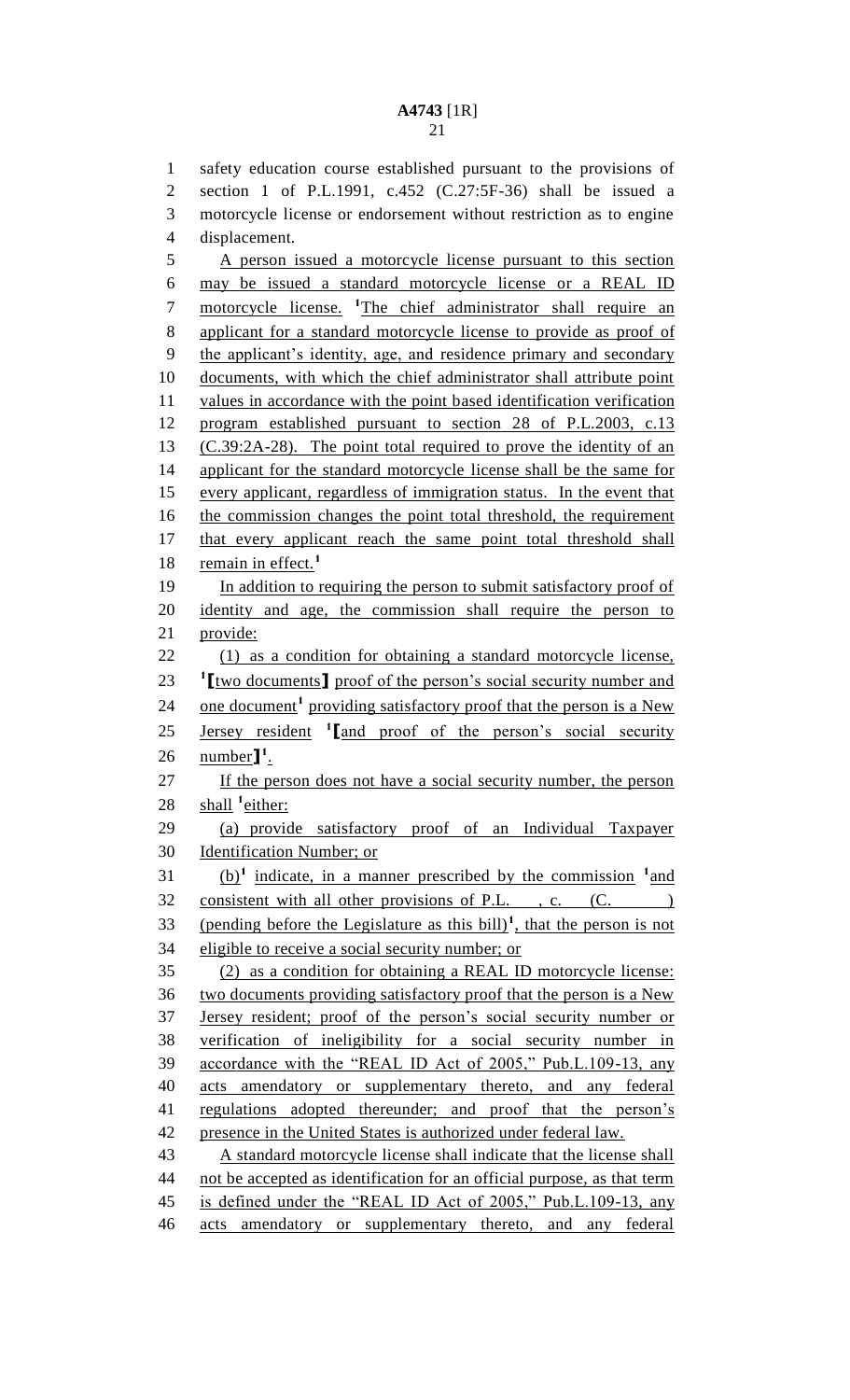safety education course established pursuant to the provisions of section 1 of P.L.1991, c.452 (C.27:5F-36) shall be issued a motorcycle license or endorsement without restriction as to engine displacement. A person issued a motorcycle license pursuant to this section may be issued a standard motorcycle license or a REAL ID 7 motorcycle license. <sup>1</sup>The chief administrator shall require an applicant for a standard motorcycle license to provide as proof of the applicant's identity, age, and residence primary and secondary documents, with which the chief administrator shall attribute point values in accordance with the point based identification verification program established pursuant to section 28 of P.L.2003, c.13 (C.39:2A-28). The point total required to prove the identity of an applicant for the standard motorcycle license shall be the same for every applicant, regardless of immigration status. In the event that the commission changes the point total threshold, the requirement that every applicant reach the same point total threshold shall remain in effect.**<sup>1</sup>** In addition to requiring the person to submit satisfactory proof of identity and age, the commission shall require the person to provide: (1) as a condition for obtaining a standard motorcycle license, **[**two documents**]** proof of the person's social security number and 24 one document<sup>1</sup> providing satisfactory proof that the person is a New **Jersey resident** <sup>1</sup> [and proof of the person's social security **number]<sup><sup>1</sup>.**</sup> 27 If the person does not have a social security number, the person 28 shall <sup>1</sup> either: (a) provide satisfactory proof of an Individual Taxpayer Identification Number; or  $(b)$ <sup>1</sup> indicate, in a manner prescribed by the commission <sup>1</sup> and 32 consistent with all other provisions of P.L., c. (C. ) 33 (pending before the Legislature as this bill)<sup>1</sup>, that the person is not eligible to receive a social security number; or (2) as a condition for obtaining a REAL ID motorcycle license: two documents providing satisfactory proof that the person is a New Jersey resident; proof of the person's social security number or verification of ineligibility for a social security number in accordance with the "REAL ID Act of 2005," Pub.L.109-13, any acts amendatory or supplementary thereto, and any federal regulations adopted thereunder; and proof that the person's presence in the United States is authorized under federal law. A standard motorcycle license shall indicate that the license shall 44 not be accepted as identification for an official purpose, as that term is defined under the "REAL ID Act of 2005," Pub.L.109-13, any acts amendatory or supplementary thereto, and any federal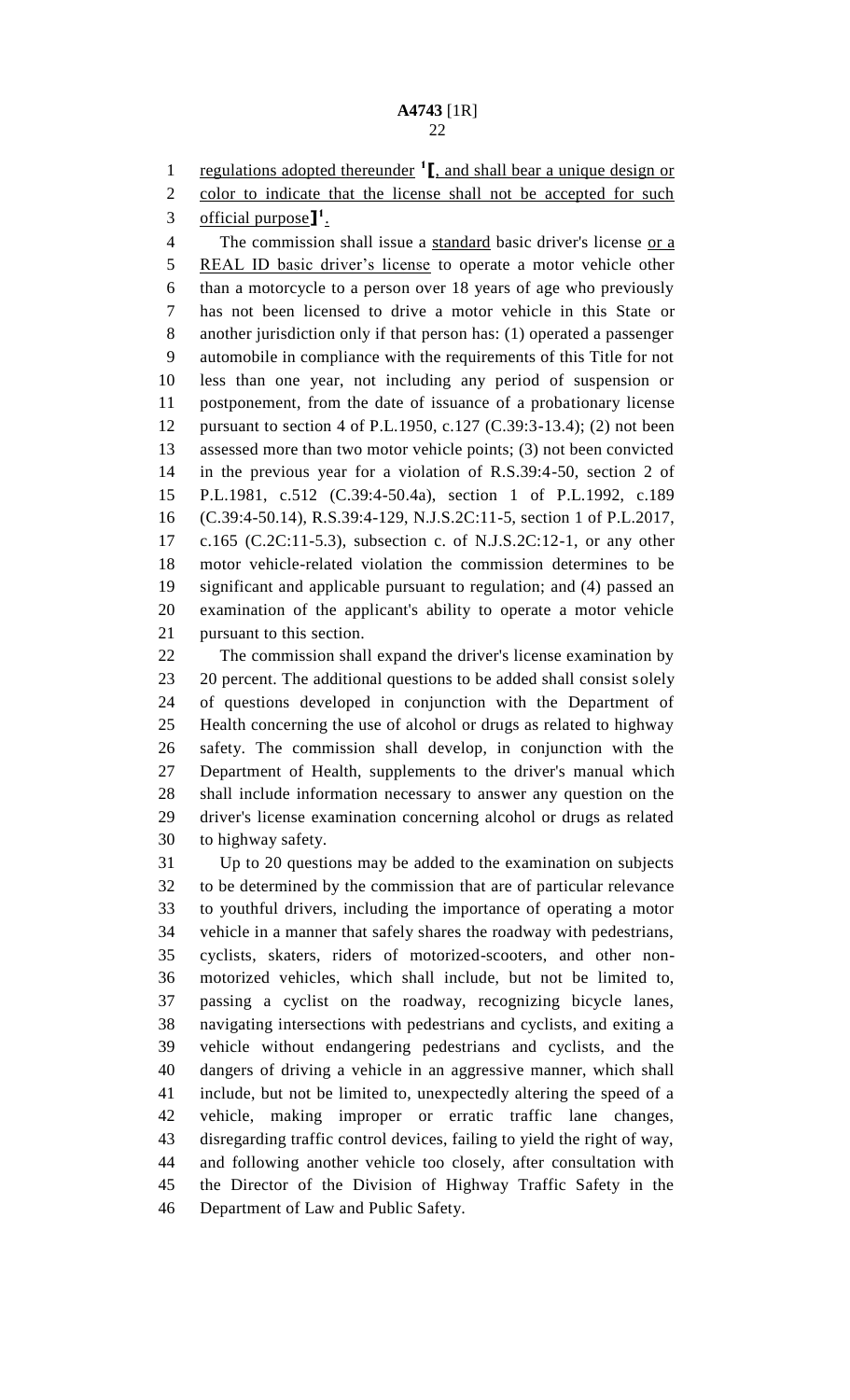1 regulations adopted thereunder <sup>1</sup>, and shall bear a unique design or

- 2 color to indicate that the license shall not be accepted for such
- 3 official purpose<sup>1</sup>.

4 The commission shall issue a standard basic driver's license or a 5 REAL ID basic driver's license to operate a motor vehicle other than a motorcycle to a person over 18 years of age who previously has not been licensed to drive a motor vehicle in this State or another jurisdiction only if that person has: (1) operated a passenger automobile in compliance with the requirements of this Title for not less than one year, not including any period of suspension or postponement, from the date of issuance of a probationary license pursuant to section 4 of P.L.1950, c.127 (C.39:3-13.4); (2) not been assessed more than two motor vehicle points; (3) not been convicted in the previous year for a violation of R.S.39:4-50, section 2 of P.L.1981, c.512 (C.39:4-50.4a), section 1 of P.L.1992, c.189 (C.39:4-50.14), R.S.39:4-129, N.J.S.2C:11-5, section 1 of P.L.2017, c.165 (C.2C:11-5.3), subsection c. of N.J.S.2C:12-1, or any other motor vehicle-related violation the commission determines to be significant and applicable pursuant to regulation; and (4) passed an examination of the applicant's ability to operate a motor vehicle pursuant to this section.

 The commission shall expand the driver's license examination by 20 percent. The additional questions to be added shall consist solely of questions developed in conjunction with the Department of Health concerning the use of alcohol or drugs as related to highway safety. The commission shall develop, in conjunction with the Department of Health, supplements to the driver's manual which shall include information necessary to answer any question on the driver's license examination concerning alcohol or drugs as related to highway safety.

 Up to 20 questions may be added to the examination on subjects to be determined by the commission that are of particular relevance to youthful drivers, including the importance of operating a motor vehicle in a manner that safely shares the roadway with pedestrians, cyclists, skaters, riders of motorized-scooters, and other non- motorized vehicles, which shall include, but not be limited to, passing a cyclist on the roadway, recognizing bicycle lanes, navigating intersections with pedestrians and cyclists, and exiting a vehicle without endangering pedestrians and cyclists, and the dangers of driving a vehicle in an aggressive manner, which shall include, but not be limited to, unexpectedly altering the speed of a vehicle, making improper or erratic traffic lane changes, disregarding traffic control devices, failing to yield the right of way, and following another vehicle too closely, after consultation with the Director of the Division of Highway Traffic Safety in the Department of Law and Public Safety.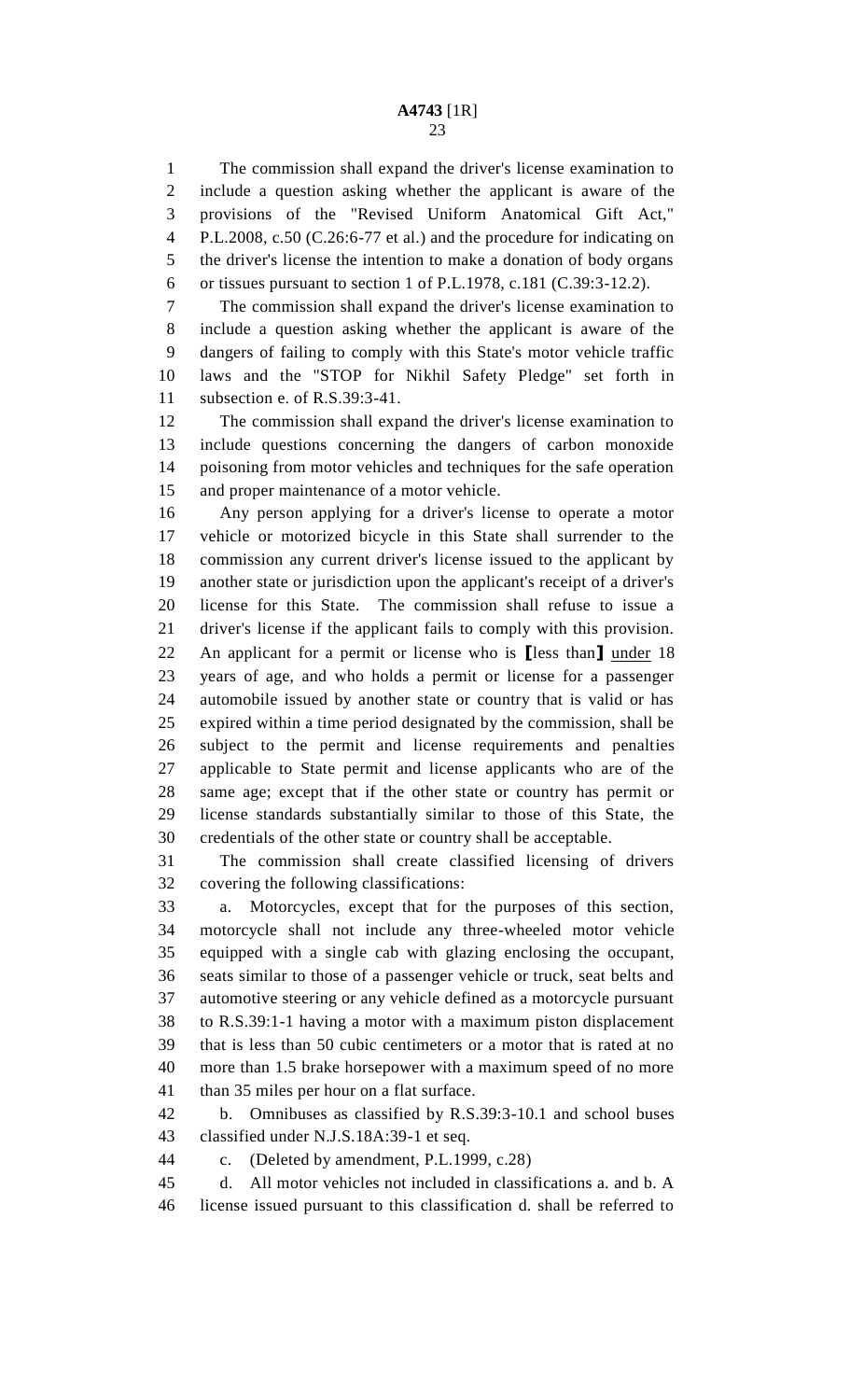The commission shall expand the driver's license examination to include a question asking whether the applicant is aware of the provisions of the "Revised Uniform Anatomical Gift Act," P.L.2008, c.50 (C.26:6-77 et al.) and the procedure for indicating on the driver's license the intention to make a donation of body organs or tissues pursuant to section 1 of P.L.1978, c.181 (C.39:3-12.2).

 The commission shall expand the driver's license examination to include a question asking whether the applicant is aware of the dangers of failing to comply with this State's motor vehicle traffic laws and the "STOP for Nikhil Safety Pledge" set forth in subsection e. of R.S.39:3-41.

 The commission shall expand the driver's license examination to include questions concerning the dangers of carbon monoxide poisoning from motor vehicles and techniques for the safe operation and proper maintenance of a motor vehicle.

 Any person applying for a driver's license to operate a motor vehicle or motorized bicycle in this State shall surrender to the commission any current driver's license issued to the applicant by another state or jurisdiction upon the applicant's receipt of a driver's license for this State. The commission shall refuse to issue a driver's license if the applicant fails to comply with this provision. An applicant for a permit or license who is **[**less than**]** under 18 years of age, and who holds a permit or license for a passenger automobile issued by another state or country that is valid or has expired within a time period designated by the commission, shall be subject to the permit and license requirements and penalties applicable to State permit and license applicants who are of the same age; except that if the other state or country has permit or license standards substantially similar to those of this State, the credentials of the other state or country shall be acceptable.

 The commission shall create classified licensing of drivers covering the following classifications:

 a. Motorcycles, except that for the purposes of this section, motorcycle shall not include any three-wheeled motor vehicle equipped with a single cab with glazing enclosing the occupant, seats similar to those of a passenger vehicle or truck, seat belts and automotive steering or any vehicle defined as a motorcycle pursuant to R.S.39:1-1 having a motor with a maximum piston displacement that is less than 50 cubic centimeters or a motor that is rated at no more than 1.5 brake horsepower with a maximum speed of no more than 35 miles per hour on a flat surface.

 b. Omnibuses as classified by R.S.39:3-10.1 and school buses classified under N.J.S.18A:39-1 et seq.

c. (Deleted by amendment, P.L.1999, c.28)

 d. All motor vehicles not included in classifications a. and b. A license issued pursuant to this classification d. shall be referred to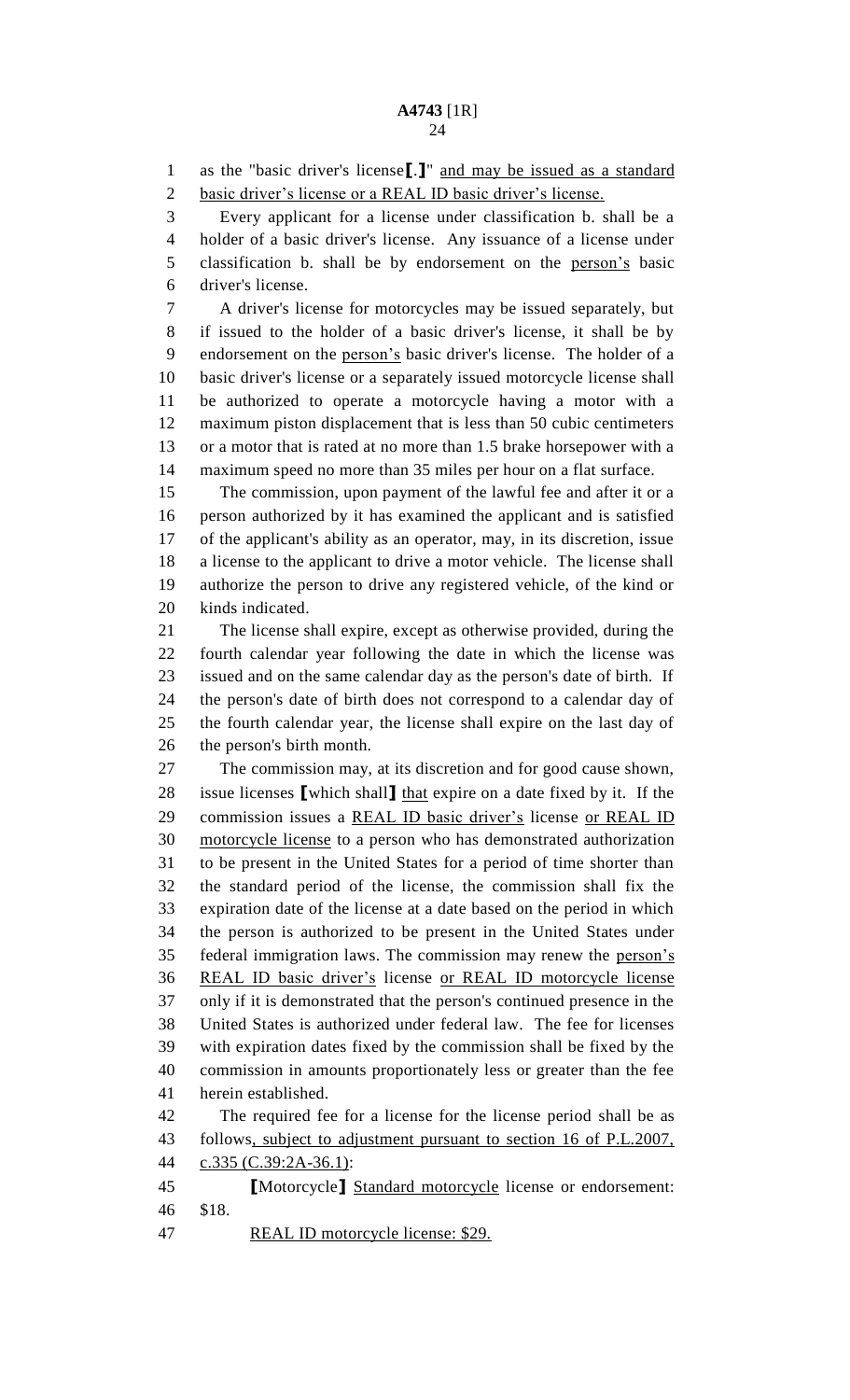as the "basic driver's license**[**.**]**" and may be issued as a standard basic driver's license or a REAL ID basic driver's license.

 Every applicant for a license under classification b. shall be a holder of a basic driver's license. Any issuance of a license under 5 classification b. shall be by endorsement on the person's basic driver's license.

 A driver's license for motorcycles may be issued separately, but if issued to the holder of a basic driver's license, it shall be by endorsement on the person's basic driver's license. The holder of a basic driver's license or a separately issued motorcycle license shall be authorized to operate a motorcycle having a motor with a maximum piston displacement that is less than 50 cubic centimeters or a motor that is rated at no more than 1.5 brake horsepower with a maximum speed no more than 35 miles per hour on a flat surface.

 The commission, upon payment of the lawful fee and after it or a person authorized by it has examined the applicant and is satisfied of the applicant's ability as an operator, may, in its discretion, issue a license to the applicant to drive a motor vehicle. The license shall authorize the person to drive any registered vehicle, of the kind or kinds indicated.

 The license shall expire, except as otherwise provided, during the fourth calendar year following the date in which the license was issued and on the same calendar day as the person's date of birth. If the person's date of birth does not correspond to a calendar day of the fourth calendar year, the license shall expire on the last day of the person's birth month.

 The commission may, at its discretion and for good cause shown, issue licenses **[**which shall**]** that expire on a date fixed by it. If the commission issues a REAL ID basic driver's license or REAL ID motorcycle license to a person who has demonstrated authorization to be present in the United States for a period of time shorter than the standard period of the license, the commission shall fix the expiration date of the license at a date based on the period in which the person is authorized to be present in the United States under federal immigration laws. The commission may renew the person's REAL ID basic driver's license or REAL ID motorcycle license only if it is demonstrated that the person's continued presence in the United States is authorized under federal law. The fee for licenses with expiration dates fixed by the commission shall be fixed by the commission in amounts proportionately less or greater than the fee herein established.

 The required fee for a license for the license period shall be as 43 follows, subject to adjustment pursuant to section 16 of P.L.2007,

c.335 (C.39:2A-36.1):

 **[**Motorcycle**]** Standard motorcycle license or endorsement: \$18.

REAL ID motorcycle license: \$29.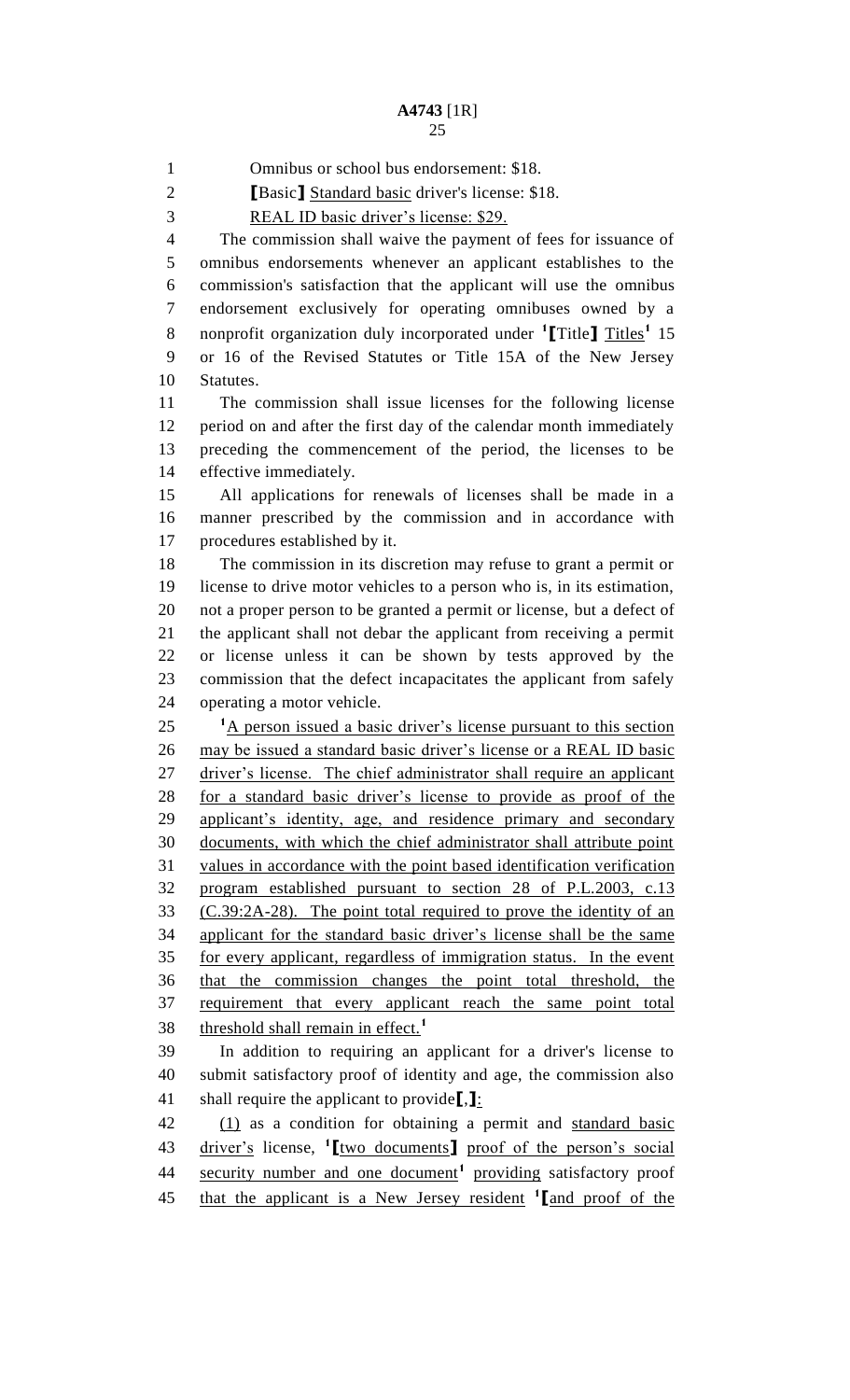```
25
```
Omnibus or school bus endorsement: \$18.

**[**Basic**]** Standard basic driver's license: \$18.

REAL ID basic driver's license: \$29.

 The commission shall waive the payment of fees for issuance of omnibus endorsements whenever an applicant establishes to the commission's satisfaction that the applicant will use the omnibus endorsement exclusively for operating omnibuses owned by a 8 nonprofit organization duly incorporated under <sup>1</sup>[Title] Titles<sup>1</sup> 15 or 16 of the Revised Statutes or Title 15A of the New Jersey Statutes.

 The commission shall issue licenses for the following license period on and after the first day of the calendar month immediately preceding the commencement of the period, the licenses to be effective immediately.

 All applications for renewals of licenses shall be made in a manner prescribed by the commission and in accordance with procedures established by it.

 The commission in its discretion may refuse to grant a permit or license to drive motor vehicles to a person who is, in its estimation, not a proper person to be granted a permit or license, but a defect of the applicant shall not debar the applicant from receiving a permit or license unless it can be shown by tests approved by the commission that the defect incapacitates the applicant from safely operating a motor vehicle.

<sup>1</sup>A person issued a basic driver's license pursuant to this section may be issued a standard basic driver's license or a REAL ID basic driver's license. The chief administrator shall require an applicant for a standard basic driver's license to provide as proof of the applicant's identity, age, and residence primary and secondary documents, with which the chief administrator shall attribute point values in accordance with the point based identification verification program established pursuant to section 28 of P.L.2003, c.13 (C.39:2A-28). The point total required to prove the identity of an 34 applicant for the standard basic driver's license shall be the same for every applicant, regardless of immigration status. In the event that the commission changes the point total threshold, the 37 requirement that every applicant reach the same point total threshold shall remain in effect.**<sup>1</sup>** 

 In addition to requiring an applicant for a driver's license to submit satisfactory proof of identity and age, the commission also shall require the applicant to provide**[**,**]**:

 (1) as a condition for obtaining a permit and standard basic driver's license, **<sup>1</sup> [**two documents**]** proof of the person's social 44 security number and one document<sup>1</sup> providing satisfactory proof that the applicant is a New Jersey resident **<sup>1</sup> [**and proof of the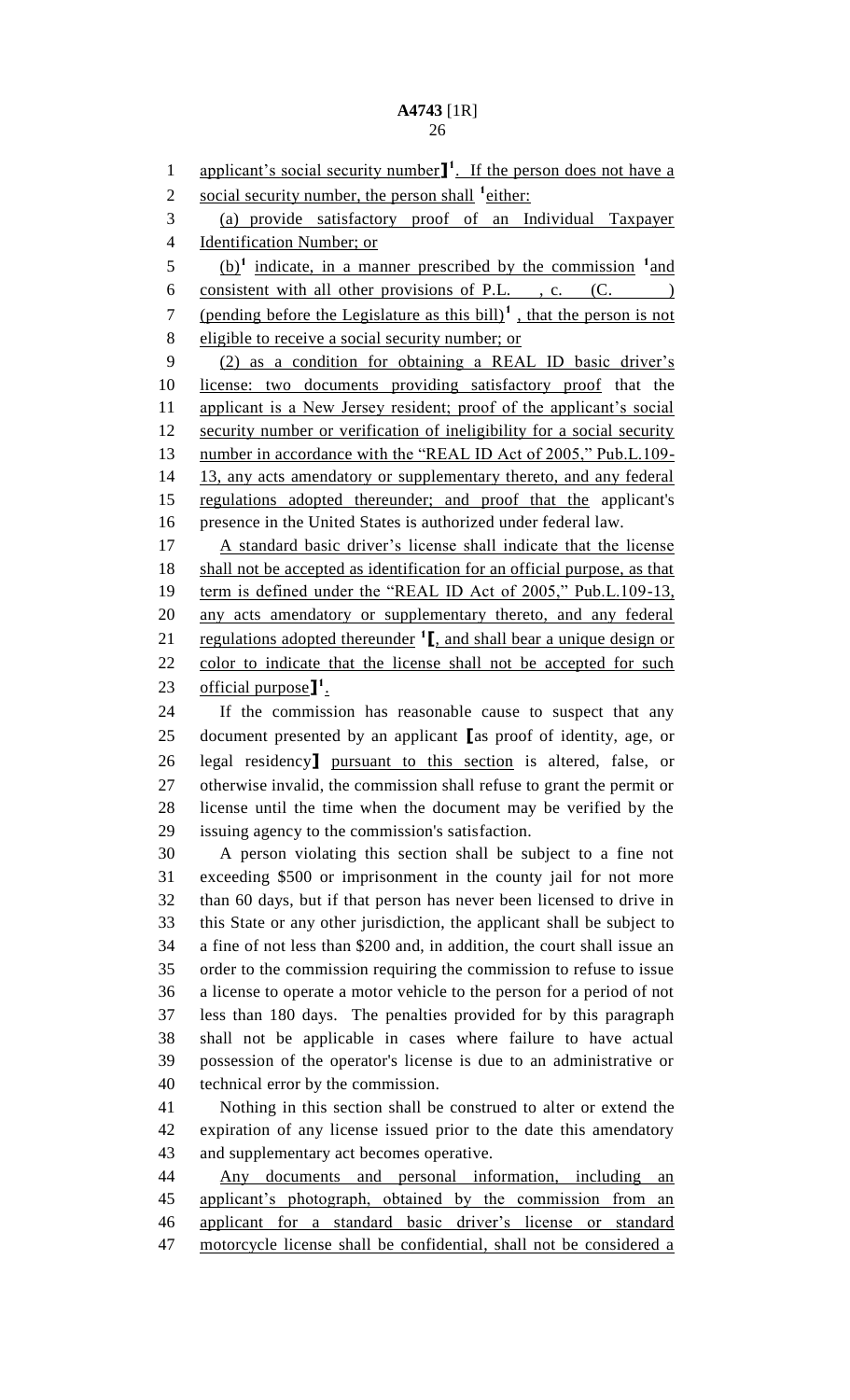1 applicant's social security number<sup>1</sup>. If the person does not have a 2 social security number, the person shall <sup>1</sup> either: (a) provide satisfactory proof of an Individual Taxpayer Identification Number; or  $\left( \frac{b}{\epsilon} \right)^1$  indicate, in a manner prescribed by the commission <sup>1</sup> and 6 consistent with all other provisions of P.L.  $, c.$  (C. ) 7 (pending before the Legislature as this bill)<sup>1</sup>, that the person is not eligible to receive a social security number; or (2) as a condition for obtaining a REAL ID basic driver's license: two documents providing satisfactory proof that the applicant is a New Jersey resident; proof of the applicant's social 12 security number or verification of ineligibility for a social security 13 number in accordance with the "REAL ID Act of 2005," Pub.L.109-14 13, any acts amendatory or supplementary thereto, and any federal regulations adopted thereunder; and proof that the applicant's presence in the United States is authorized under federal law. A standard basic driver's license shall indicate that the license shall not be accepted as identification for an official purpose, as that term is defined under the "REAL ID Act of 2005," Pub.L.109-13, any acts amendatory or supplementary thereto, and any federal 21 regulations adopted thereunder  $^1$ , and shall bear a unique design or 22 color to indicate that the license shall not be accepted for such 23 official purpose<sup>]<sup>1</sup></sup>. If the commission has reasonable cause to suspect that any document presented by an applicant **[**as proof of identity, age, or legal residency**]** pursuant to this section is altered, false, or otherwise invalid, the commission shall refuse to grant the permit or license until the time when the document may be verified by the issuing agency to the commission's satisfaction. A person violating this section shall be subject to a fine not exceeding \$500 or imprisonment in the county jail for not more than 60 days, but if that person has never been licensed to drive in this State or any other jurisdiction, the applicant shall be subject to a fine of not less than \$200 and, in addition, the court shall issue an order to the commission requiring the commission to refuse to issue a license to operate a motor vehicle to the person for a period of not less than 180 days. The penalties provided for by this paragraph shall not be applicable in cases where failure to have actual possession of the operator's license is due to an administrative or technical error by the commission. Nothing in this section shall be construed to alter or extend the expiration of any license issued prior to the date this amendatory and supplementary act becomes operative. Any documents and personal information, including an applicant's photograph, obtained by the commission from an applicant for a standard basic driver's license or standard motorcycle license shall be confidential, shall not be considered a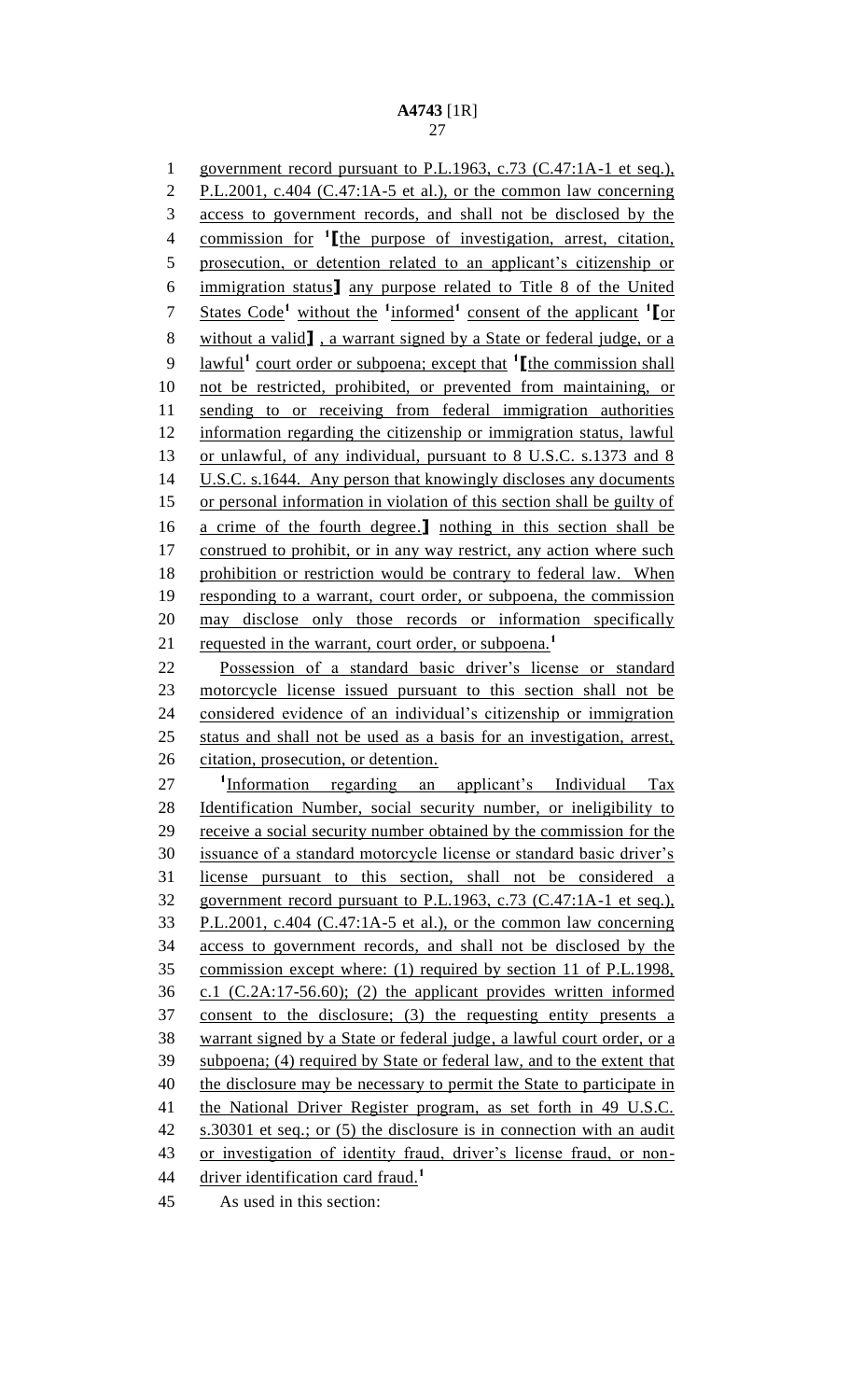1 government record pursuant to P.L.1963, c.73 (C.47:1A-1 et seq.), 2 P.L.2001, c.404 (C.47:1A-5 et al.), or the common law concerning access to government records, and shall not be disclosed by the commission for **<sup>1</sup> [**the purpose of investigation, arrest, citation, prosecution, or detention related to an applicant's citizenship or immigration status**]** any purpose related to Title 8 of the United States Code**<sup>1</sup>** without the **<sup>1</sup>** informed**<sup>1</sup>** consent of the applicant **<sup>1</sup> [**or without a valid**]** , a warrant signed by a State or federal judge, or a lawful**<sup>1</sup>** court order or subpoena; except that **<sup>1</sup> [**the commission shall not be restricted, prohibited, or prevented from maintaining, or sending to or receiving from federal immigration authorities information regarding the citizenship or immigration status, lawful or unlawful, of any individual, pursuant to 8 U.S.C. s.1373 and 8 14 U.S.C. s.1644. Any person that knowingly discloses any documents or personal information in violation of this section shall be guilty of a crime of the fourth degree.**]** nothing in this section shall be construed to prohibit, or in any way restrict, any action where such prohibition or restriction would be contrary to federal law. When responding to a warrant, court order, or subpoena, the commission may disclose only those records or information specifically requested in the warrant, court order, or subpoena.**<sup>1</sup>** Possession of a standard basic driver's license or standard motorcycle license issued pursuant to this section shall not be considered evidence of an individual's citizenship or immigration status and shall not be used as a basis for an investigation, arrest, citation, prosecution, or detention. 27 <sup>1</sup>Information regarding an applicant's Individual Tax 28 Identification Number, social security number, or ineligibility to receive a social security number obtained by the commission for the issuance of a standard motorcycle license or standard basic driver's license pursuant to this section, shall not be considered a government record pursuant to P.L.1963, c.73 (C.47:1A-1 et seq.), P.L.2001, c.404 (C.47:1A-5 et al.), or the common law concerning access to government records, and shall not be disclosed by the commission except where: (1) required by section 11 of P.L.1998, c.1 (C.2A:17-56.60); (2) the applicant provides written informed consent to the disclosure; (3) the requesting entity presents a warrant signed by a State or federal judge, a lawful court order, or a subpoena; (4) required by State or federal law, and to the extent that 40 the disclosure may be necessary to permit the State to participate in 41 the National Driver Register program, as set forth in 49 U.S.C. 42 s.30301 et seq.; or (5) the disclosure is in connection with an audit or investigation of identity fraud, driver's license fraud, or nondriver identification card fraud.**<sup>1</sup>** As used in this section: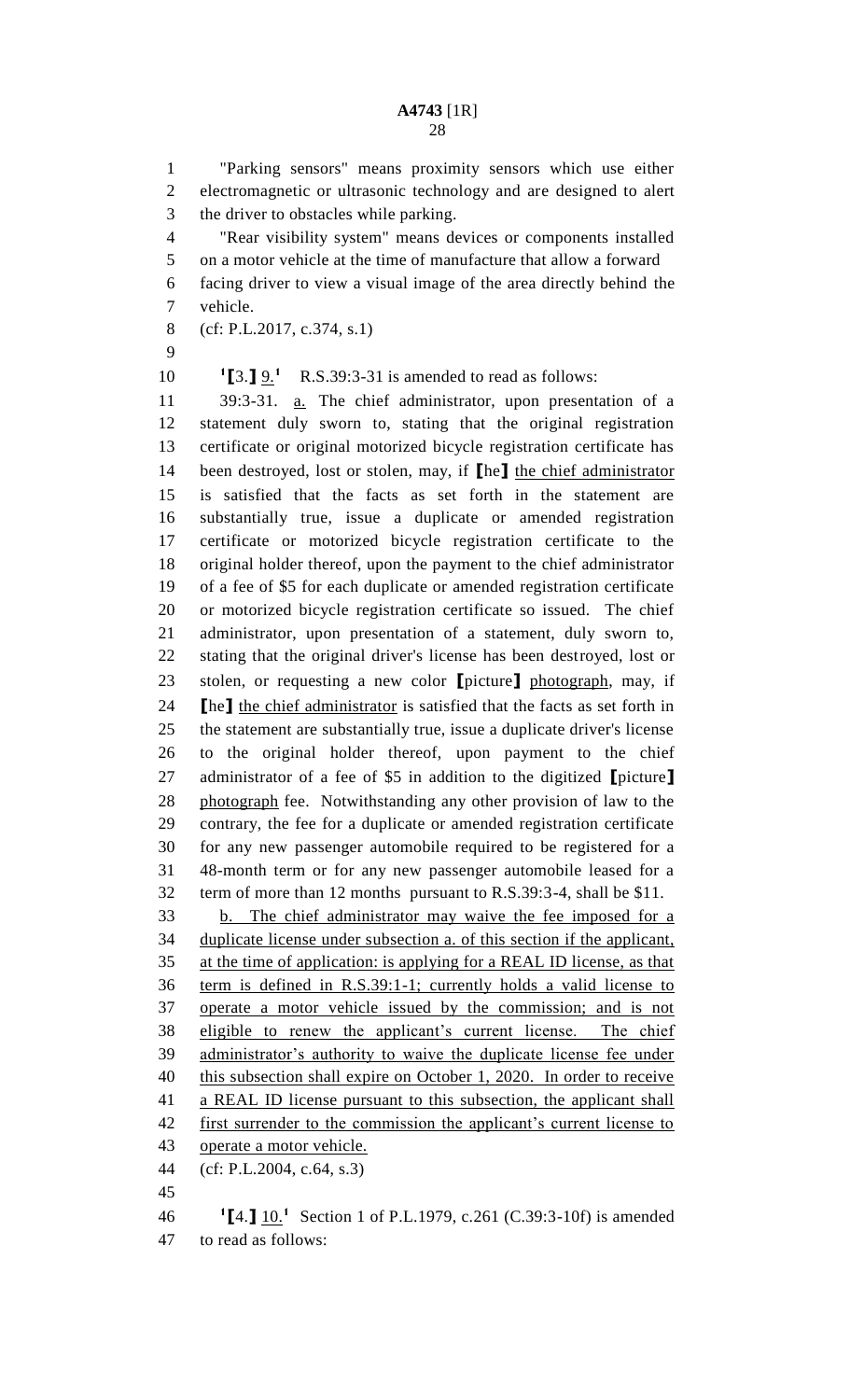"Parking sensors" means proximity sensors which use either electromagnetic or ultrasonic technology and are designed to alert the driver to obstacles while parking.

"Rear visibility system" means devices or components installed

on a motor vehicle at the time of manufacture that allow a forward

 facing driver to view a visual image of the area directly behind the vehicle.

(cf: P.L.2017, c.374, s.1)

10  $\text{I}$  **[**3.**]**  $\frac{9.1}{8}$  R.S.39:3-31 is amended to read as follows:

 39:3-31. a. The chief administrator, upon presentation of a statement duly sworn to, stating that the original registration certificate or original motorized bicycle registration certificate has been destroyed, lost or stolen, may, if **[**he**]** the chief administrator is satisfied that the facts as set forth in the statement are substantially true, issue a duplicate or amended registration certificate or motorized bicycle registration certificate to the original holder thereof, upon the payment to the chief administrator of a fee of \$5 for each duplicate or amended registration certificate or motorized bicycle registration certificate so issued. The chief administrator, upon presentation of a statement, duly sworn to, stating that the original driver's license has been destroyed, lost or stolen, or requesting a new color **[**picture**]** photograph, may, if **[**he**]** the chief administrator is satisfied that the facts as set forth in the statement are substantially true, issue a duplicate driver's license to the original holder thereof, upon payment to the chief administrator of a fee of \$5 in addition to the digitized **[**picture**]** photograph fee. Notwithstanding any other provision of law to the contrary, the fee for a duplicate or amended registration certificate for any new passenger automobile required to be registered for a 48-month term or for any new passenger automobile leased for a term of more than 12 months pursuant to R.S.39:3-4, shall be \$11. b. The chief administrator may waive the fee imposed for a

 duplicate license under subsection a. of this section if the applicant, at the time of application: is applying for a REAL ID license, as that term is defined in R.S.39:1-1; currently holds a valid license to operate a motor vehicle issued by the commission; and is not eligible to renew the applicant's current license. The chief administrator's authority to waive the duplicate license fee under this subsection shall expire on October 1, 2020. In order to receive 41 a REAL ID license pursuant to this subsection, the applicant shall 42 first surrender to the commission the applicant's current license to operate a motor vehicle.

(cf: P.L.2004, c.64, s.3)

**1 [**4.**]** 10.**<sup>1</sup>** Section 1 of P.L.1979, c.261 (C.39:3-10f) is amended to read as follows: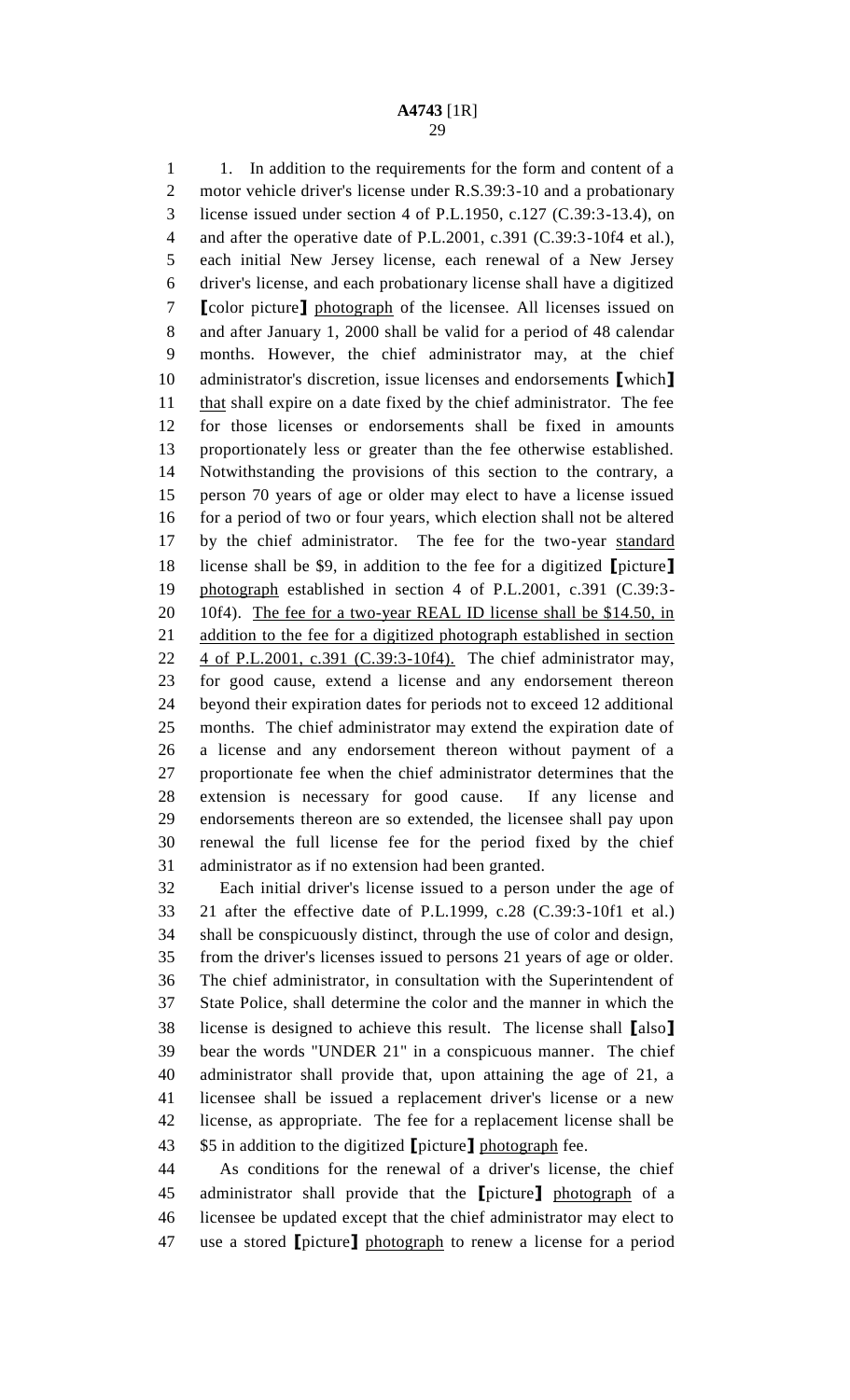1 1. In addition to the requirements for the form and content of a motor vehicle driver's license under R.S.39:3-10 and a probationary license issued under section 4 of P.L.1950, c.127 (C.39:3-13.4), on 4 and after the operative date of P.L.2001, c.391 (C.39:3-10f4 et al.), each initial New Jersey license, each renewal of a New Jersey driver's license, and each probationary license shall have a digitized **[**color picture**]** photograph of the licensee. All licenses issued on and after January 1, 2000 shall be valid for a period of 48 calendar months. However, the chief administrator may, at the chief administrator's discretion, issue licenses and endorsements **[**which**]** that shall expire on a date fixed by the chief administrator. The fee for those licenses or endorsements shall be fixed in amounts proportionately less or greater than the fee otherwise established. Notwithstanding the provisions of this section to the contrary, a person 70 years of age or older may elect to have a license issued 16 for a period of two or four years, which election shall not be altered 17 by the chief administrator. The fee for the two-year standard license shall be \$9, in addition to the fee for a digitized **[**picture**]** photograph established in section 4 of P.L.2001, c.391 (C.39:3- 10f4). The fee for a two-year REAL ID license shall be \$14.50, in 21 addition to the fee for a digitized photograph established in section 4 of P.L.2001, c.391 (C.39:3-10f4). The chief administrator may, for good cause, extend a license and any endorsement thereon beyond their expiration dates for periods not to exceed 12 additional months. The chief administrator may extend the expiration date of a license and any endorsement thereon without payment of a proportionate fee when the chief administrator determines that the extension is necessary for good cause. If any license and endorsements thereon are so extended, the licensee shall pay upon renewal the full license fee for the period fixed by the chief administrator as if no extension had been granted.

 Each initial driver's license issued to a person under the age of 21 after the effective date of P.L.1999, c.28 (C.39:3-10f1 et al.) shall be conspicuously distinct, through the use of color and design, from the driver's licenses issued to persons 21 years of age or older. The chief administrator, in consultation with the Superintendent of State Police, shall determine the color and the manner in which the license is designed to achieve this result. The license shall **[**also**]** bear the words "UNDER 21" in a conspicuous manner. The chief administrator shall provide that, upon attaining the age of 21, a licensee shall be issued a replacement driver's license or a new license, as appropriate. The fee for a replacement license shall be \$5 in addition to the digitized **[**picture**]** photograph fee.

 As conditions for the renewal of a driver's license, the chief administrator shall provide that the **[**picture**]** photograph of a licensee be updated except that the chief administrator may elect to use a stored **[**picture**]** photograph to renew a license for a period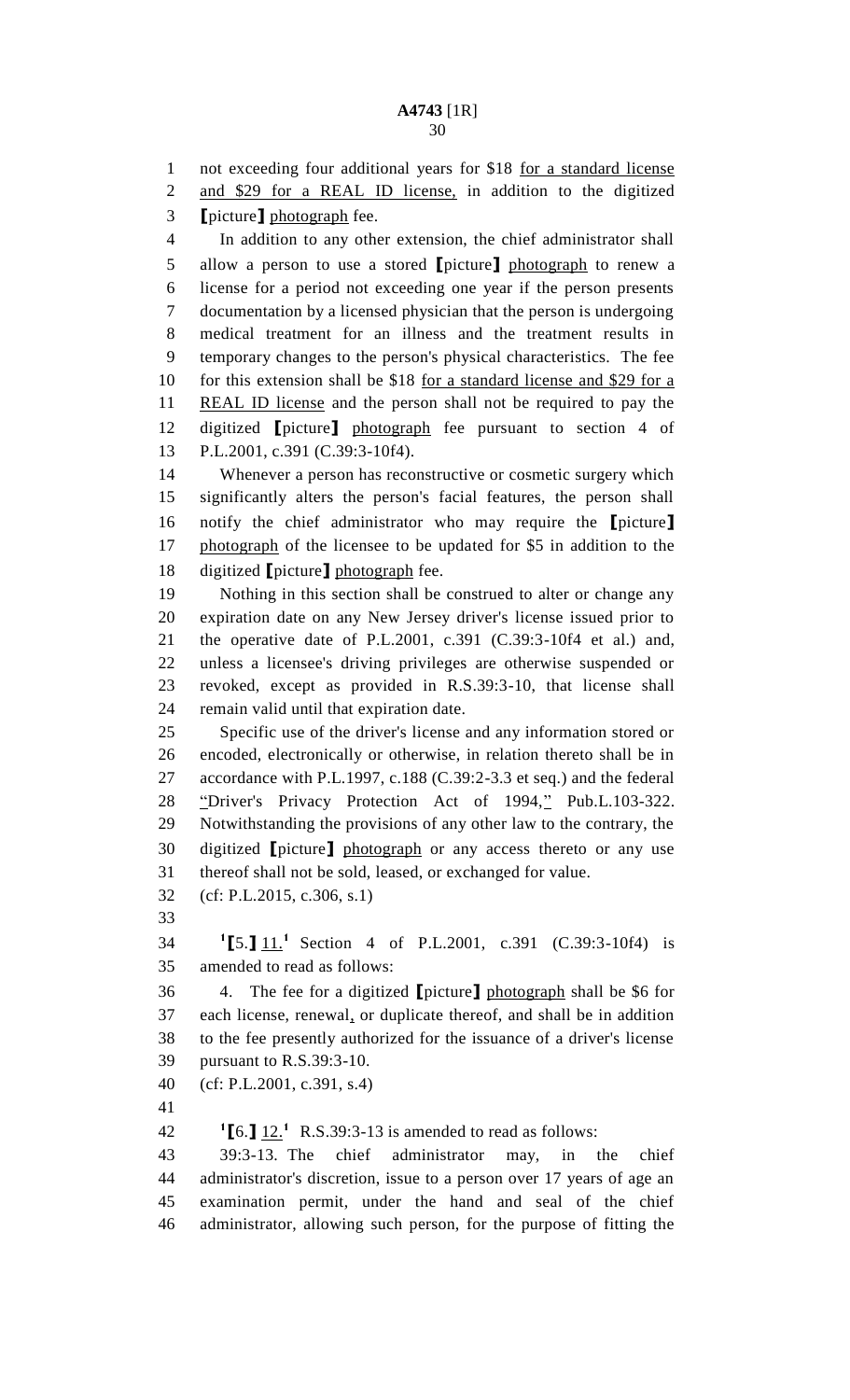not exceeding four additional years for \$18 for a standard license and \$29 for a REAL ID license, in addition to the digitized **[**picture**]** photograph fee. In addition to any other extension, the chief administrator shall allow a person to use a stored **[**picture**]** photograph to renew a license for a period not exceeding one year if the person presents documentation by a licensed physician that the person is undergoing medical treatment for an illness and the treatment results in temporary changes to the person's physical characteristics. The fee for this extension shall be \$18 for a standard license and \$29 for a REAL ID license and the person shall not be required to pay the digitized **[**picture**]** photograph fee pursuant to section 4 of P.L.2001, c.391 (C.39:3-10f4). Whenever a person has reconstructive or cosmetic surgery which significantly alters the person's facial features, the person shall notify the chief administrator who may require the **[**picture**]** photograph of the licensee to be updated for \$5 in addition to the digitized **[**picture**]** photograph fee. Nothing in this section shall be construed to alter or change any expiration date on any New Jersey driver's license issued prior to the operative date of P.L.2001, c.391 (C.39:3-10f4 et al.) and, unless a licensee's driving privileges are otherwise suspended or revoked, except as provided in R.S.39:3-10, that license shall remain valid until that expiration date. Specific use of the driver's license and any information stored or encoded, electronically or otherwise, in relation thereto shall be in accordance with P.L.1997, c.188 (C.39:2-3.3 et seq.) and the federal 28 "Driver's Privacy Protection Act of 1994," Pub.L.103-322. Notwithstanding the provisions of any other law to the contrary, the digitized **[**picture**]** photograph or any access thereto or any use thereof shall not be sold, leased, or exchanged for value. (cf: P.L.2015, c.306, s.1) **[**5.**]** 11.**<sup>1</sup>** Section 4 of P.L.2001, c.391 (C.39:3-10f4) is amended to read as follows: 4. The fee for a digitized **[**picture**]** photograph shall be \$6 for each license, renewal, or duplicate thereof, and shall be in addition to the fee presently authorized for the issuance of a driver's license pursuant to R.S.39:3-10. (cf: P.L.2001, c.391, s.4)  $\text{I}$  **[**6.**]**  $12.^1$  R.S.39:3-13 is amended to read as follows: 39:3-13. The chief administrator may, in the chief

 administrator's discretion, issue to a person over 17 years of age an examination permit, under the hand and seal of the chief administrator, allowing such person, for the purpose of fitting the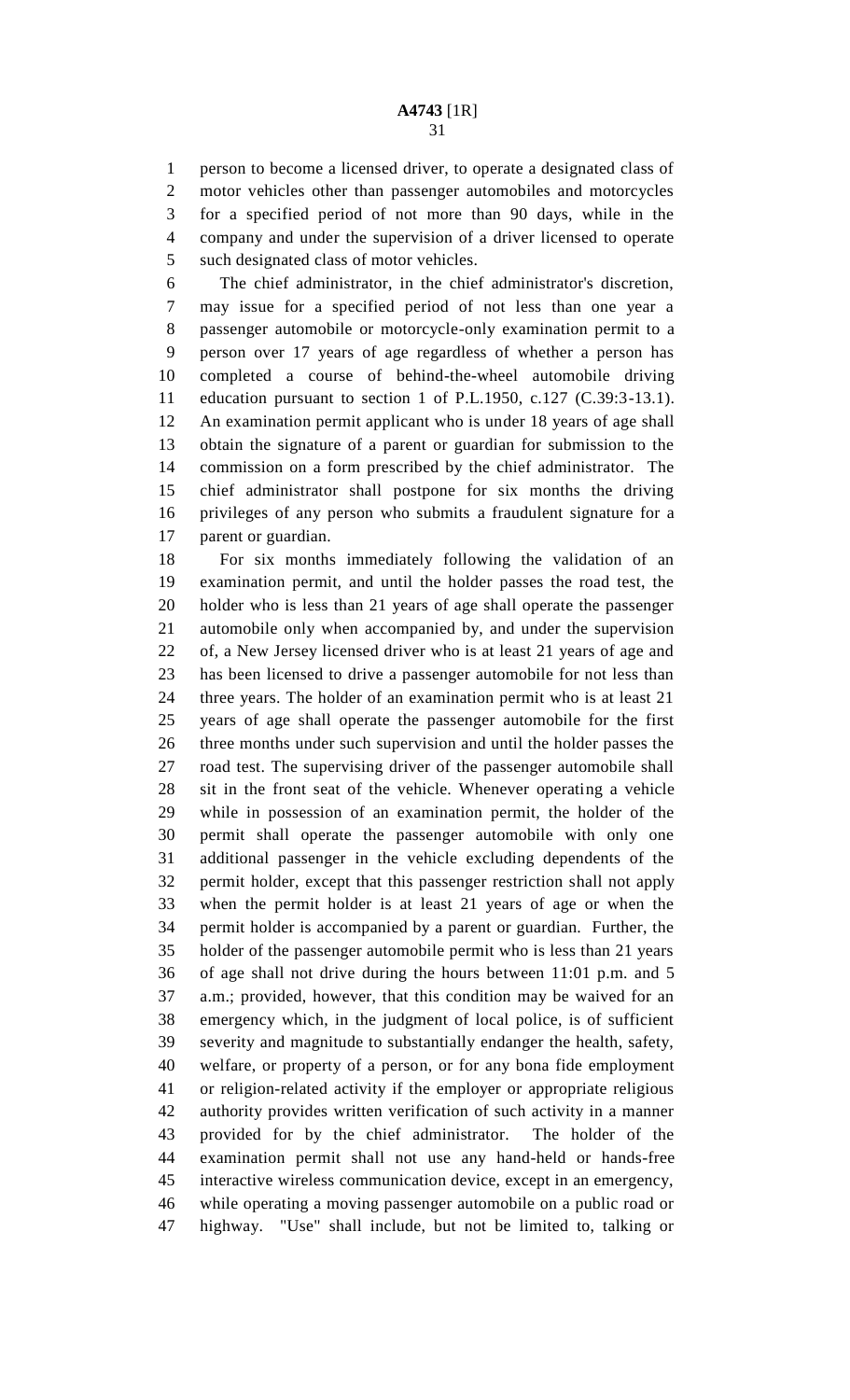person to become a licensed driver, to operate a designated class of motor vehicles other than passenger automobiles and motorcycles for a specified period of not more than 90 days, while in the company and under the supervision of a driver licensed to operate such designated class of motor vehicles.

 The chief administrator, in the chief administrator's discretion, may issue for a specified period of not less than one year a passenger automobile or motorcycle-only examination permit to a person over 17 years of age regardless of whether a person has completed a course of behind-the-wheel automobile driving education pursuant to section 1 of P.L.1950, c.127 (C.39:3-13.1). An examination permit applicant who is under 18 years of age shall obtain the signature of a parent or guardian for submission to the commission on a form prescribed by the chief administrator. The chief administrator shall postpone for six months the driving privileges of any person who submits a fraudulent signature for a parent or guardian.

 For six months immediately following the validation of an examination permit, and until the holder passes the road test, the holder who is less than 21 years of age shall operate the passenger automobile only when accompanied by, and under the supervision of, a New Jersey licensed driver who is at least 21 years of age and has been licensed to drive a passenger automobile for not less than three years. The holder of an examination permit who is at least 21 years of age shall operate the passenger automobile for the first three months under such supervision and until the holder passes the road test. The supervising driver of the passenger automobile shall sit in the front seat of the vehicle. Whenever operating a vehicle while in possession of an examination permit, the holder of the permit shall operate the passenger automobile with only one additional passenger in the vehicle excluding dependents of the permit holder, except that this passenger restriction shall not apply when the permit holder is at least 21 years of age or when the permit holder is accompanied by a parent or guardian. Further, the holder of the passenger automobile permit who is less than 21 years of age shall not drive during the hours between 11:01 p.m. and 5 a.m.; provided, however, that this condition may be waived for an emergency which, in the judgment of local police, is of sufficient severity and magnitude to substantially endanger the health, safety, welfare, or property of a person, or for any bona fide employment or religion-related activity if the employer or appropriate religious authority provides written verification of such activity in a manner provided for by the chief administrator. The holder of the examination permit shall not use any hand-held or hands-free interactive wireless communication device, except in an emergency, while operating a moving passenger automobile on a public road or highway. "Use" shall include, but not be limited to, talking or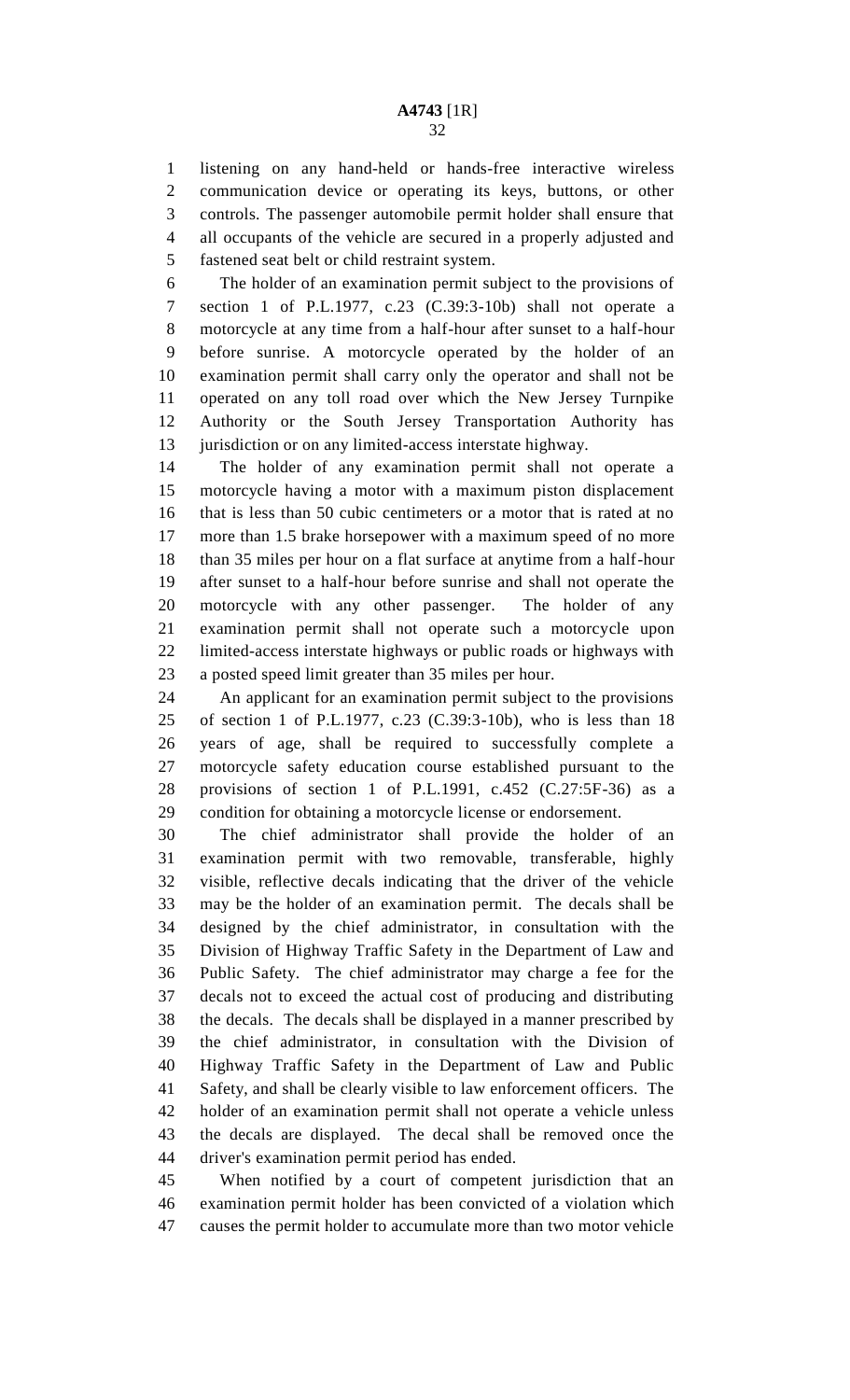listening on any hand-held or hands-free interactive wireless communication device or operating its keys, buttons, or other controls. The passenger automobile permit holder shall ensure that all occupants of the vehicle are secured in a properly adjusted and fastened seat belt or child restraint system.

 The holder of an examination permit subject to the provisions of section 1 of P.L.1977, c.23 (C.39:3-10b) shall not operate a motorcycle at any time from a half-hour after sunset to a half-hour before sunrise. A motorcycle operated by the holder of an examination permit shall carry only the operator and shall not be operated on any toll road over which the New Jersey Turnpike Authority or the South Jersey Transportation Authority has 13 jurisdiction or on any limited-access interstate highway.

 The holder of any examination permit shall not operate a motorcycle having a motor with a maximum piston displacement that is less than 50 cubic centimeters or a motor that is rated at no more than 1.5 brake horsepower with a maximum speed of no more than 35 miles per hour on a flat surface at anytime from a half-hour after sunset to a half-hour before sunrise and shall not operate the motorcycle with any other passenger. The holder of any examination permit shall not operate such a motorcycle upon limited-access interstate highways or public roads or highways with a posted speed limit greater than 35 miles per hour.

 An applicant for an examination permit subject to the provisions of section 1 of P.L.1977, c.23 (C.39:3-10b), who is less than 18 years of age, shall be required to successfully complete a motorcycle safety education course established pursuant to the provisions of section 1 of P.L.1991, c.452 (C.27:5F-36) as a condition for obtaining a motorcycle license or endorsement.

 The chief administrator shall provide the holder of an examination permit with two removable, transferable, highly visible, reflective decals indicating that the driver of the vehicle may be the holder of an examination permit. The decals shall be designed by the chief administrator, in consultation with the Division of Highway Traffic Safety in the Department of Law and Public Safety. The chief administrator may charge a fee for the decals not to exceed the actual cost of producing and distributing the decals. The decals shall be displayed in a manner prescribed by the chief administrator, in consultation with the Division of Highway Traffic Safety in the Department of Law and Public Safety, and shall be clearly visible to law enforcement officers. The holder of an examination permit shall not operate a vehicle unless the decals are displayed. The decal shall be removed once the driver's examination permit period has ended.

 When notified by a court of competent jurisdiction that an examination permit holder has been convicted of a violation which causes the permit holder to accumulate more than two motor vehicle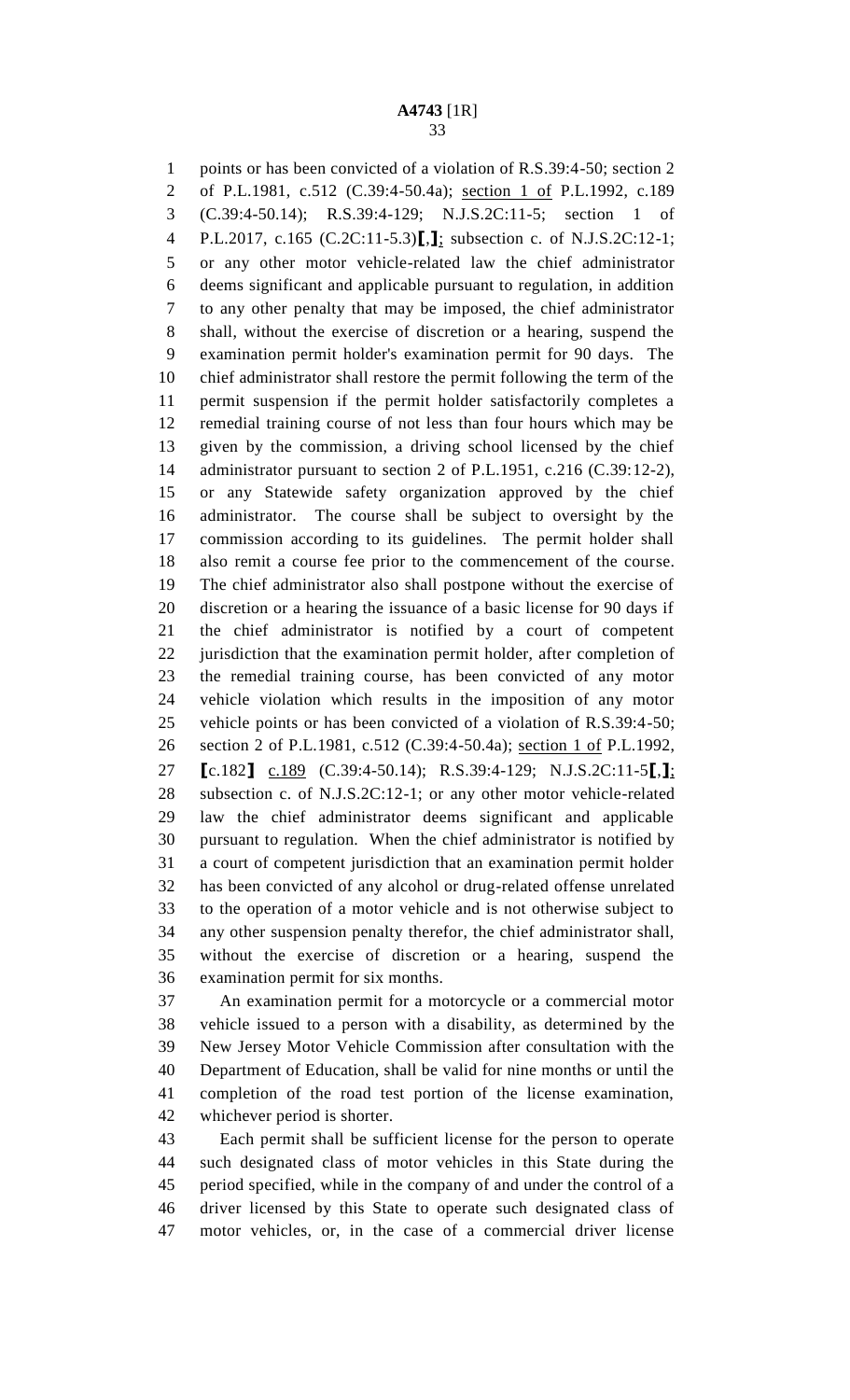points or has been convicted of a violation of R.S.39:4-50; section 2 of P.L.1981, c.512 (C.39:4-50.4a); section 1 of P.L.1992, c.189 (C.39:4-50.14); R.S.39:4-129; N.J.S.2C:11-5; section 1 of P.L.2017, c.165 (C.2C:11-5.3)**[**,**]**; subsection c. of N.J.S.2C:12-1; or any other motor vehicle-related law the chief administrator deems significant and applicable pursuant to regulation, in addition to any other penalty that may be imposed, the chief administrator shall, without the exercise of discretion or a hearing, suspend the examination permit holder's examination permit for 90 days. The chief administrator shall restore the permit following the term of the permit suspension if the permit holder satisfactorily completes a remedial training course of not less than four hours which may be given by the commission, a driving school licensed by the chief administrator pursuant to section 2 of P.L.1951, c.216 (C.39:12-2), or any Statewide safety organization approved by the chief administrator. The course shall be subject to oversight by the commission according to its guidelines. The permit holder shall also remit a course fee prior to the commencement of the course. The chief administrator also shall postpone without the exercise of discretion or a hearing the issuance of a basic license for 90 days if the chief administrator is notified by a court of competent jurisdiction that the examination permit holder, after completion of the remedial training course, has been convicted of any motor vehicle violation which results in the imposition of any motor vehicle points or has been convicted of a violation of R.S.39:4-50; section 2 of P.L.1981, c.512 (C.39:4-50.4a); section 1 of P.L.1992, **[**c.182**]** c.189 (C.39:4-50.14); R.S.39:4-129; N.J.S.2C:11-5**[**,**]**; subsection c. of N.J.S.2C:12-1; or any other motor vehicle-related law the chief administrator deems significant and applicable pursuant to regulation. When the chief administrator is notified by a court of competent jurisdiction that an examination permit holder has been convicted of any alcohol or drug-related offense unrelated to the operation of a motor vehicle and is not otherwise subject to any other suspension penalty therefor, the chief administrator shall, without the exercise of discretion or a hearing, suspend the examination permit for six months.

 An examination permit for a motorcycle or a commercial motor vehicle issued to a person with a disability, as determined by the New Jersey Motor Vehicle Commission after consultation with the Department of Education, shall be valid for nine months or until the completion of the road test portion of the license examination, whichever period is shorter.

 Each permit shall be sufficient license for the person to operate such designated class of motor vehicles in this State during the period specified, while in the company of and under the control of a driver licensed by this State to operate such designated class of motor vehicles, or, in the case of a commercial driver license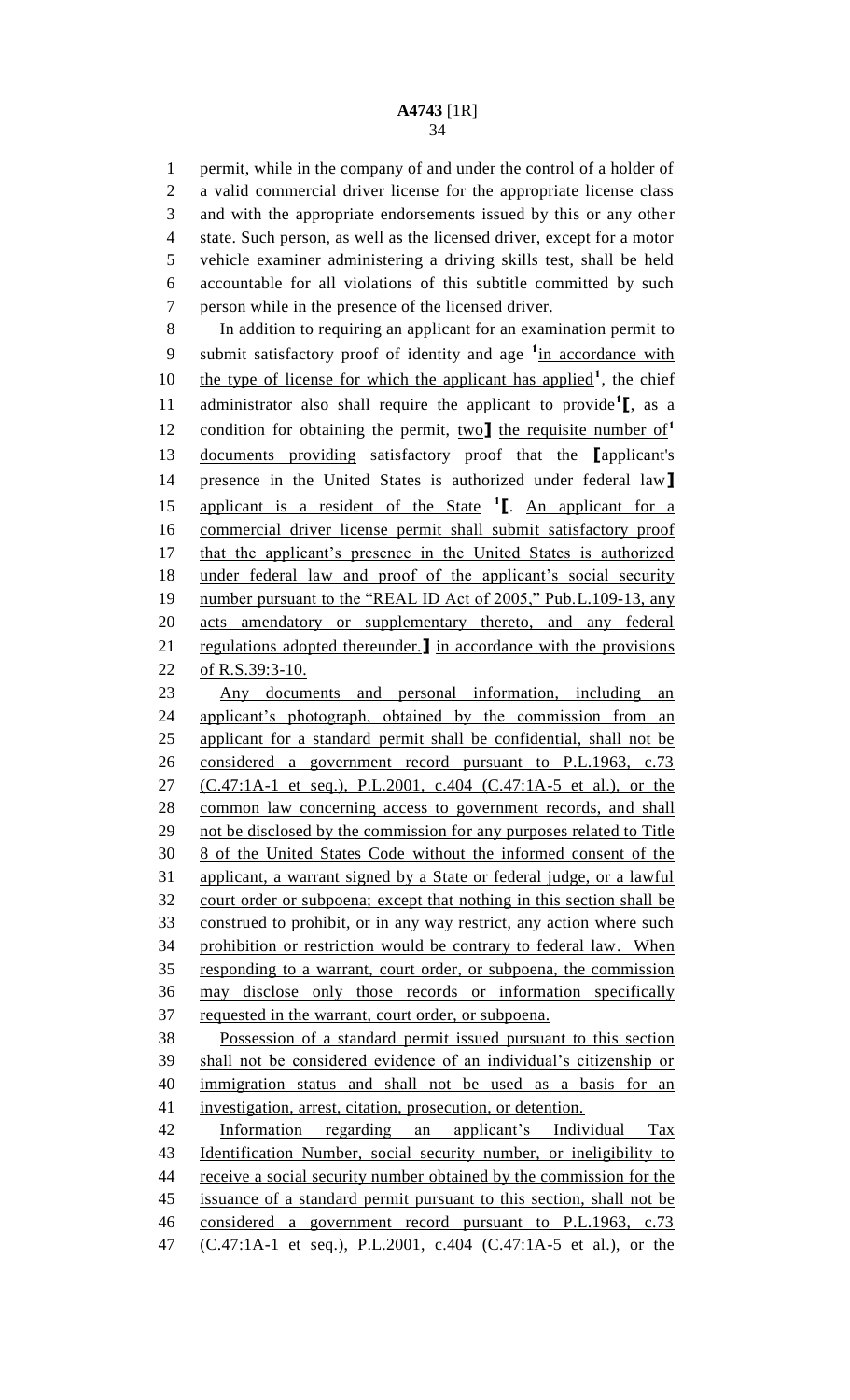permit, while in the company of and under the control of a holder of a valid commercial driver license for the appropriate license class and with the appropriate endorsements issued by this or any other state. Such person, as well as the licensed driver, except for a motor vehicle examiner administering a driving skills test, shall be held accountable for all violations of this subtitle committed by such person while in the presence of the licensed driver.

 In addition to requiring an applicant for an examination permit to 9 submit satisfactory proof of identity and age <sup>1</sup>in accordance with 10 the type of license for which the applicant has applied<sup>1</sup>, the chief 11 **administrator** also shall require the applicant to provide<sup>1</sup>, as a condition for obtaining the permit, two**]** the requisite number of**<sup>1</sup>** documents providing satisfactory proof that the **[**applicant's presence in the United States is authorized under federal law**]** 15 applicant is a resident of the State <sup>1</sup>. An applicant for a commercial driver license permit shall submit satisfactory proof that the applicant's presence in the United States is authorized under federal law and proof of the applicant's social security 19 number pursuant to the "REAL ID Act of 2005," Pub.L.109-13, any acts amendatory or supplementary thereto, and any federal regulations adopted thereunder.**]** in accordance with the provisions 22 of R.S.39:3-10.

 Any documents and personal information, including an applicant's photograph, obtained by the commission from an applicant for a standard permit shall be confidential, shall not be considered a government record pursuant to P.L.1963, c.73 (C.47:1A-1 et seq.), P.L.2001, c.404 (C.47:1A-5 et al.), or the common law concerning access to government records, and shall not be disclosed by the commission for any purposes related to Title 8 of the United States Code without the informed consent of the applicant, a warrant signed by a State or federal judge, or a lawful court order or subpoena; except that nothing in this section shall be construed to prohibit, or in any way restrict, any action where such prohibition or restriction would be contrary to federal law. When responding to a warrant, court order, or subpoena, the commission may disclose only those records or information specifically requested in the warrant, court order, or subpoena. Possession of a standard permit issued pursuant to this section shall not be considered evidence of an individual's citizenship or immigration status and shall not be used as a basis for an investigation, arrest, citation, prosecution, or detention.

 Information regarding an applicant's Individual Tax Identification Number, social security number, or ineligibility to receive a social security number obtained by the commission for the issuance of a standard permit pursuant to this section, shall not be considered a government record pursuant to P.L.1963, c.73 (C.47:1A-1 et seq.), P.L.2001, c.404 (C.47:1A-5 et al.), or the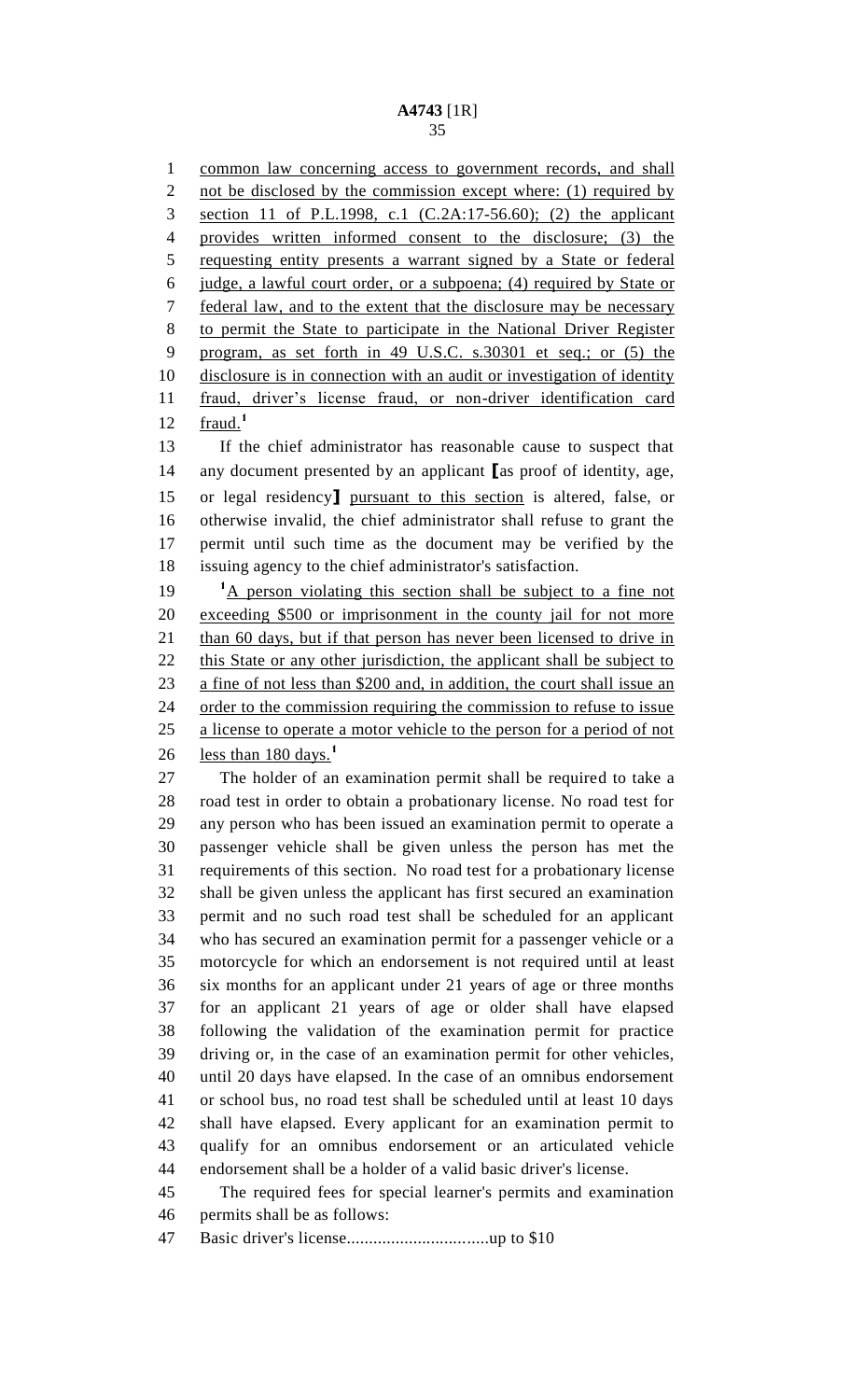common law concerning access to government records, and shall 2 not be disclosed by the commission except where: (1) required by section 11 of P.L.1998, c.1 (C.2A:17-56.60); (2) the applicant provides written informed consent to the disclosure; (3) the requesting entity presents a warrant signed by a State or federal judge, a lawful court order, or a subpoena; (4) required by State or federal law, and to the extent that the disclosure may be necessary to permit the State to participate in the National Driver Register program, as set forth in 49 U.S.C. s.30301 et seq.; or (5) the 10 disclosure is in connection with an audit or investigation of identity fraud, driver's license fraud, or non-driver identification card fraud.**<sup>1</sup>** If the chief administrator has reasonable cause to suspect that any document presented by an applicant **[**as proof of identity, age, or legal residency**]** pursuant to this section is altered, false, or otherwise invalid, the chief administrator shall refuse to grant the permit until such time as the document may be verified by the issuing agency to the chief administrator's satisfaction. 19 <sup>1</sup>A person violating this section shall be subject to a fine not exceeding \$500 or imprisonment in the county jail for not more 21 than 60 days, but if that person has never been licensed to drive in 22 this State or any other jurisdiction, the applicant shall be subject to a fine of not less than \$200 and, in addition, the court shall issue an 24 order to the commission requiring the commission to refuse to issue a license to operate a motor vehicle to the person for a period of not 26 less than 180 days.<sup>1</sup> The holder of an examination permit shall be required to take a

 road test in order to obtain a probationary license. No road test for any person who has been issued an examination permit to operate a passenger vehicle shall be given unless the person has met the requirements of this section. No road test for a probationary license shall be given unless the applicant has first secured an examination permit and no such road test shall be scheduled for an applicant who has secured an examination permit for a passenger vehicle or a motorcycle for which an endorsement is not required until at least six months for an applicant under 21 years of age or three months for an applicant 21 years of age or older shall have elapsed following the validation of the examination permit for practice driving or, in the case of an examination permit for other vehicles, until 20 days have elapsed. In the case of an omnibus endorsement or school bus, no road test shall be scheduled until at least 10 days shall have elapsed. Every applicant for an examination permit to qualify for an omnibus endorsement or an articulated vehicle endorsement shall be a holder of a valid basic driver's license.

 The required fees for special learner's permits and examination permits shall be as follows:

Basic driver's license................................up to \$10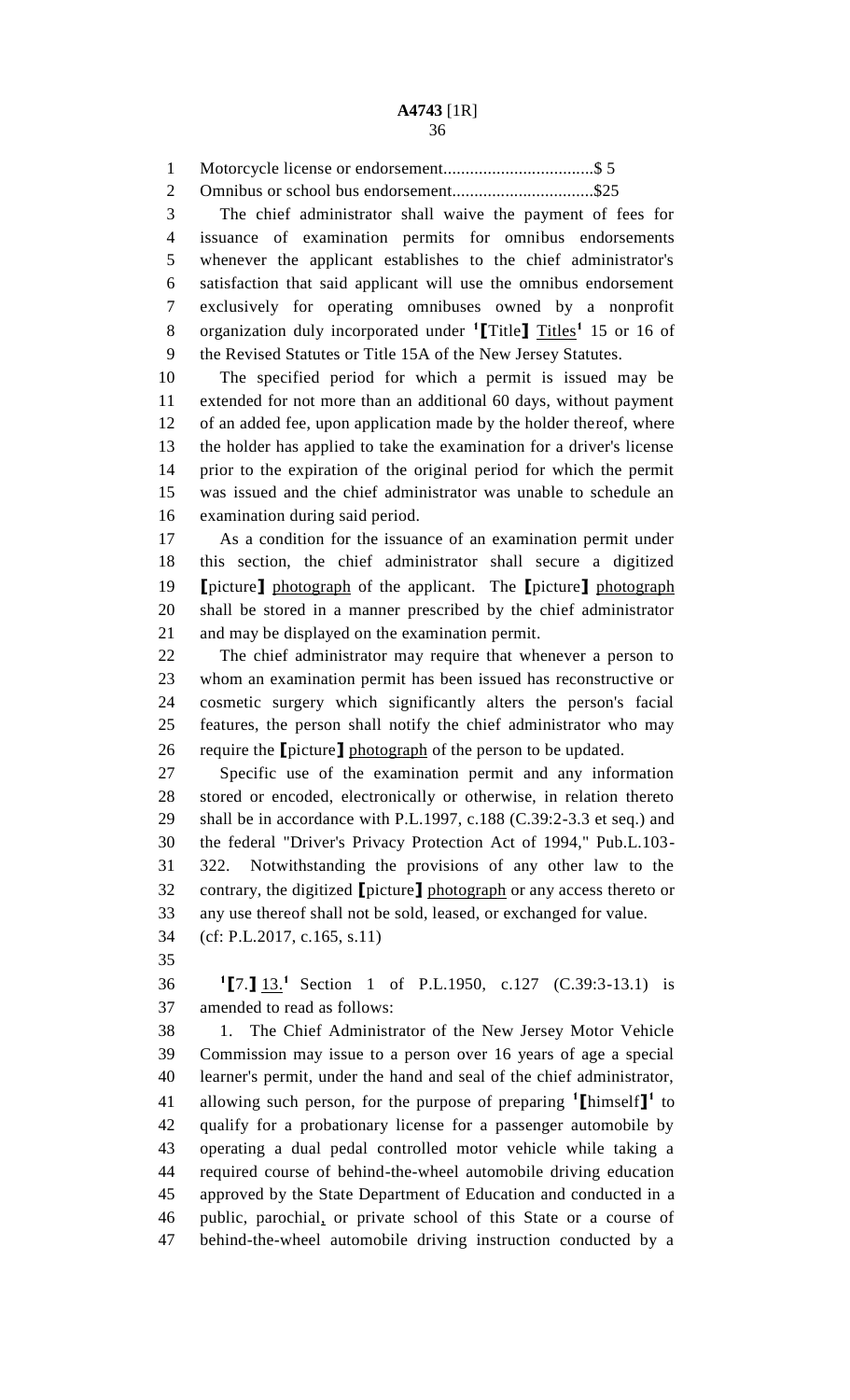Motorcycle license or endorsement..................................\$ 5

# Omnibus or school bus endorsement................................\$25

 The chief administrator shall waive the payment of fees for issuance of examination permits for omnibus endorsements whenever the applicant establishes to the chief administrator's satisfaction that said applicant will use the omnibus endorsement exclusively for operating omnibuses owned by a nonprofit 8 organization duly incorporated under <sup>1</sup>[Title] Titles<sup>1</sup> 15 or 16 of the Revised Statutes or Title 15A of the New Jersey Statutes.

 The specified period for which a permit is issued may be extended for not more than an additional 60 days, without payment of an added fee, upon application made by the holder thereof, where the holder has applied to take the examination for a driver's license prior to the expiration of the original period for which the permit was issued and the chief administrator was unable to schedule an examination during said period.

 As a condition for the issuance of an examination permit under this section, the chief administrator shall secure a digitized **[**picture**]** photograph of the applicant. The **[**picture**]** photograph shall be stored in a manner prescribed by the chief administrator and may be displayed on the examination permit.

 The chief administrator may require that whenever a person to whom an examination permit has been issued has reconstructive or cosmetic surgery which significantly alters the person's facial features, the person shall notify the chief administrator who may require the **[**picture**]** photograph of the person to be updated.

 Specific use of the examination permit and any information stored or encoded, electronically or otherwise, in relation thereto shall be in accordance with P.L.1997, c.188 (C.39:2-3.3 et seq.) and the federal "Driver's Privacy Protection Act of 1994," Pub.L.103- 322. Notwithstanding the provisions of any other law to the contrary, the digitized **[**picture**]** photograph or any access thereto or any use thereof shall not be sold, leased, or exchanged for value.

(cf: P.L.2017, c.165, s.11)

**1 [7. ]**  $13.^1$  Section 1 of P.L.1950, c.127 (C.39:3-13.1) is amended to read as follows:

 1. The Chief Administrator of the New Jersey Motor Vehicle Commission may issue to a person over 16 years of age a special learner's permit, under the hand and seal of the chief administrator, 41 allowing such person, for the purpose of preparing <sup>1</sup>[himself]<sup>1</sup> to qualify for a probationary license for a passenger automobile by operating a dual pedal controlled motor vehicle while taking a required course of behind-the-wheel automobile driving education approved by the State Department of Education and conducted in a public, parochial, or private school of this State or a course of behind-the-wheel automobile driving instruction conducted by a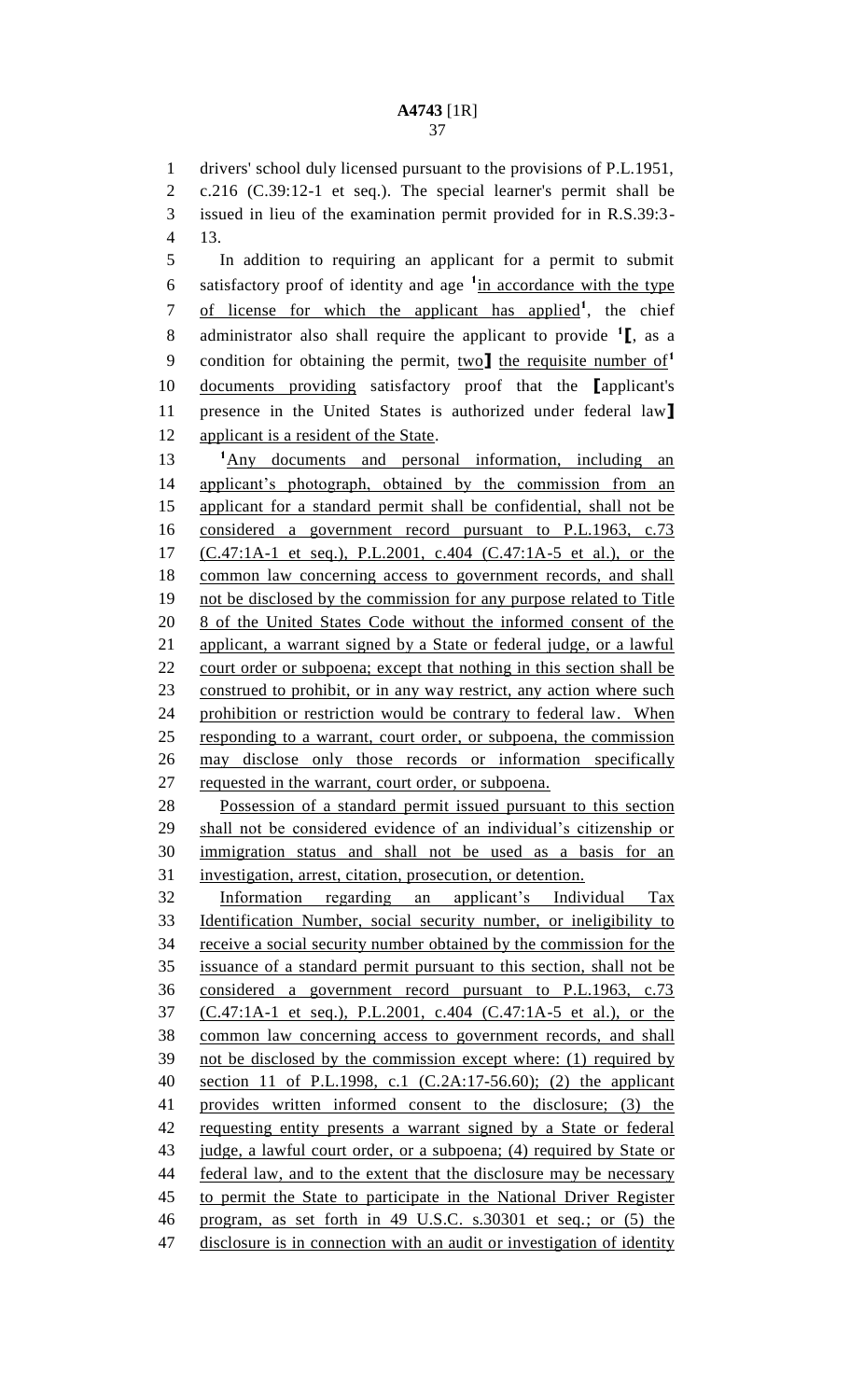drivers' school duly licensed pursuant to the provisions of P.L.1951,

 c.216 (C.39:12-1 et seq.). The special learner's permit shall be issued in lieu of the examination permit provided for in R.S.39:3- 13.

 In addition to requiring an applicant for a permit to submit 6 satisfactory proof of identity and age <sup>1</sup> in accordance with the type 7 of license for which the applicant has applied<sup>1</sup>, the chief administrator also shall require the applicant to provide **<sup>1</sup> [**, as a condition for obtaining the permit, two**]** the requisite number of**<sup>1</sup>** documents providing satisfactory proof that the **[**applicant's presence in the United States is authorized under federal law**]** 12 applicant is a resident of the State.

13 <sup>1</sup>Any documents and personal information, including an applicant's photograph, obtained by the commission from an applicant for a standard permit shall be confidential, shall not be considered a government record pursuant to P.L.1963, c.73 (C.47:1A-1 et seq.), P.L.2001, c.404 (C.47:1A-5 et al.), or the 18 common law concerning access to government records, and shall 19 not be disclosed by the commission for any purpose related to Title 8 of the United States Code without the informed consent of the applicant, a warrant signed by a State or federal judge, or a lawful 22 court order or subpoena; except that nothing in this section shall be construed to prohibit, or in any way restrict, any action where such prohibition or restriction would be contrary to federal law. When responding to a warrant, court order, or subpoena, the commission may disclose only those records or information specifically requested in the warrant, court order, or subpoena.

 Possession of a standard permit issued pursuant to this section shall not be considered evidence of an individual's citizenship or immigration status and shall not be used as a basis for an investigation, arrest, citation, prosecution, or detention.

 Information regarding an applicant's Individual Tax Identification Number, social security number, or ineligibility to receive a social security number obtained by the commission for the issuance of a standard permit pursuant to this section, shall not be considered a government record pursuant to P.L.1963, c.73 (C.47:1A-1 et seq.), P.L.2001, c.404 (C.47:1A-5 et al.), or the common law concerning access to government records, and shall not be disclosed by the commission except where: (1) required by section 11 of P.L.1998, c.1 (C.2A:17-56.60); (2) the applicant provides written informed consent to the disclosure; (3) the requesting entity presents a warrant signed by a State or federal 43 judge, a lawful court order, or a subpoena; (4) required by State or 44 federal law, and to the extent that the disclosure may be necessary to permit the State to participate in the National Driver Register program, as set forth in 49 U.S.C. s.30301 et seq.; or (5) the 47 disclosure is in connection with an audit or investigation of identity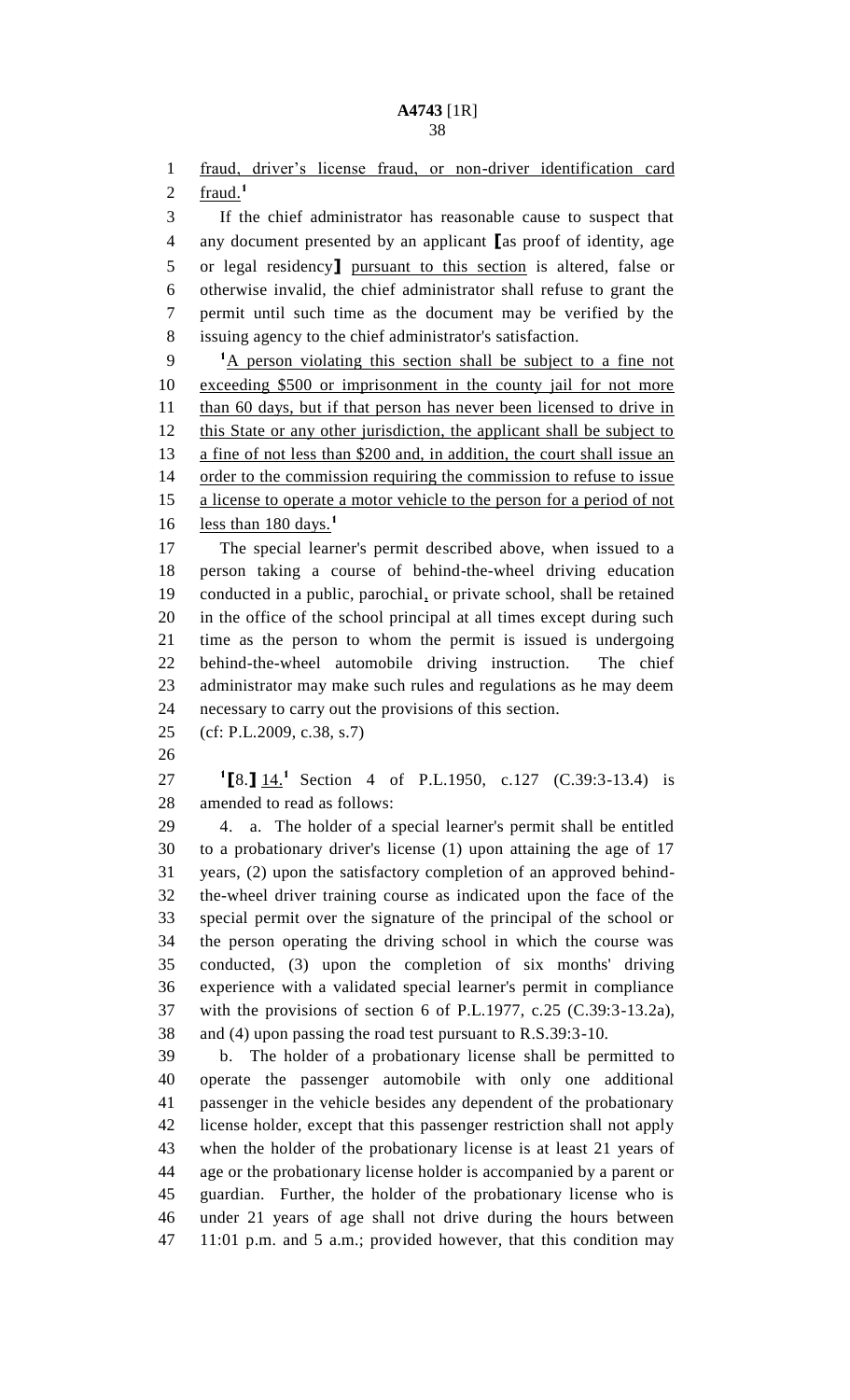fraud, driver's license fraud, or non-driver identification card fraud.**<sup>1</sup>** If the chief administrator has reasonable cause to suspect that any document presented by an applicant **[**as proof of identity, age or legal residency**]** pursuant to this section is altered, false or otherwise invalid, the chief administrator shall refuse to grant the permit until such time as the document may be verified by the issuing agency to the chief administrator's satisfaction. <sup>1</sup>A person violating this section shall be subject to a fine not exceeding \$500 or imprisonment in the county jail for not more 11 than 60 days, but if that person has never been licensed to drive in

12 this State or any other jurisdiction, the applicant shall be subject to a fine of not less than \$200 and, in addition, the court shall issue an 14 order to the commission requiring the commission to refuse to issue 15 a license to operate a motor vehicle to the person for a period of not

#### less than 180 days.**<sup>1</sup>**

 The special learner's permit described above, when issued to a person taking a course of behind-the-wheel driving education conducted in a public, parochial, or private school, shall be retained in the office of the school principal at all times except during such time as the person to whom the permit is issued is undergoing behind-the-wheel automobile driving instruction. The chief administrator may make such rules and regulations as he may deem necessary to carry out the provisions of this section.

(cf: P.L.2009, c.38, s.7)

27 <sup>1</sup>[8.]  $14.^1$  Section 4 of P.L.1950, c.127 (C.39:3-13.4) is amended to read as follows:

 4. a. The holder of a special learner's permit shall be entitled to a probationary driver's license (1) upon attaining the age of 17 years, (2) upon the satisfactory completion of an approved behind- the-wheel driver training course as indicated upon the face of the special permit over the signature of the principal of the school or the person operating the driving school in which the course was conducted, (3) upon the completion of six months' driving experience with a validated special learner's permit in compliance with the provisions of section 6 of P.L.1977, c.25 (C.39:3-13.2a), and (4) upon passing the road test pursuant to R.S.39:3-10.

 b. The holder of a probationary license shall be permitted to operate the passenger automobile with only one additional passenger in the vehicle besides any dependent of the probationary license holder, except that this passenger restriction shall not apply when the holder of the probationary license is at least 21 years of age or the probationary license holder is accompanied by a parent or guardian. Further, the holder of the probationary license who is under 21 years of age shall not drive during the hours between 11:01 p.m. and 5 a.m.; provided however, that this condition may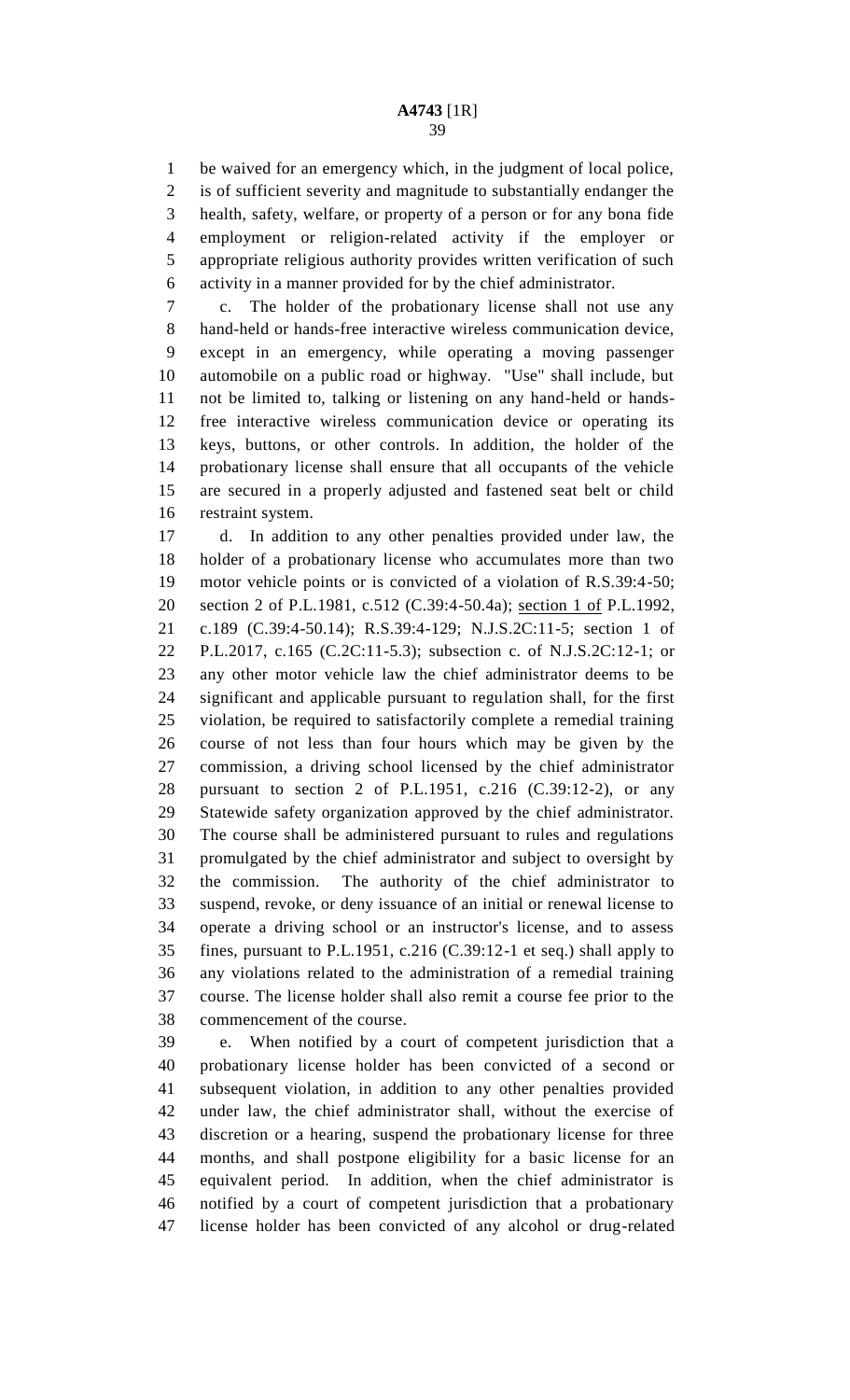be waived for an emergency which, in the judgment of local police, is of sufficient severity and magnitude to substantially endanger the health, safety, welfare, or property of a person or for any bona fide employment or religion-related activity if the employer or appropriate religious authority provides written verification of such activity in a manner provided for by the chief administrator.

 c. The holder of the probationary license shall not use any hand-held or hands-free interactive wireless communication device, except in an emergency, while operating a moving passenger automobile on a public road or highway. "Use" shall include, but not be limited to, talking or listening on any hand-held or hands- free interactive wireless communication device or operating its keys, buttons, or other controls. In addition, the holder of the probationary license shall ensure that all occupants of the vehicle are secured in a properly adjusted and fastened seat belt or child restraint system.

 d. In addition to any other penalties provided under law, the holder of a probationary license who accumulates more than two motor vehicle points or is convicted of a violation of R.S.39:4-50; section 2 of P.L.1981, c.512 (C.39:4-50.4a); section 1 of P.L.1992, c.189 (C.39:4-50.14); R.S.39:4-129; N.J.S.2C:11-5; section 1 of P.L.2017, c.165 (C.2C:11-5.3); subsection c. of N.J.S.2C:12-1; or any other motor vehicle law the chief administrator deems to be significant and applicable pursuant to regulation shall, for the first violation, be required to satisfactorily complete a remedial training course of not less than four hours which may be given by the commission, a driving school licensed by the chief administrator pursuant to section 2 of P.L.1951, c.216 (C.39:12-2), or any Statewide safety organization approved by the chief administrator. The course shall be administered pursuant to rules and regulations promulgated by the chief administrator and subject to oversight by the commission. The authority of the chief administrator to suspend, revoke, or deny issuance of an initial or renewal license to operate a driving school or an instructor's license, and to assess fines, pursuant to P.L.1951, c.216 (C.39:12-1 et seq.) shall apply to any violations related to the administration of a remedial training course. The license holder shall also remit a course fee prior to the commencement of the course.

 e. When notified by a court of competent jurisdiction that a probationary license holder has been convicted of a second or subsequent violation, in addition to any other penalties provided under law, the chief administrator shall, without the exercise of discretion or a hearing, suspend the probationary license for three months, and shall postpone eligibility for a basic license for an equivalent period. In addition, when the chief administrator is notified by a court of competent jurisdiction that a probationary license holder has been convicted of any alcohol or drug-related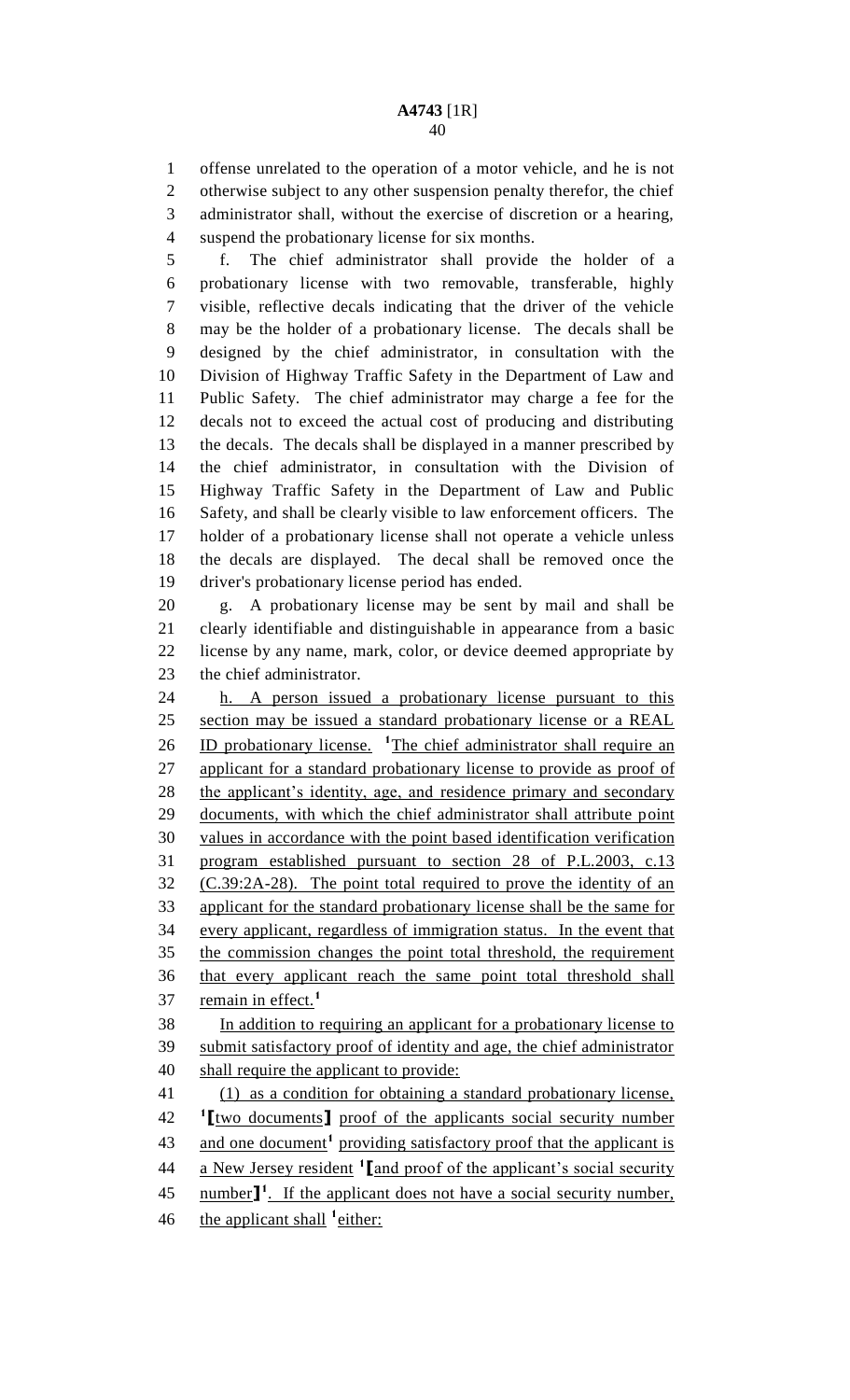offense unrelated to the operation of a motor vehicle, and he is not otherwise subject to any other suspension penalty therefor, the chief administrator shall, without the exercise of discretion or a hearing, suspend the probationary license for six months.

 f. The chief administrator shall provide the holder of a probationary license with two removable, transferable, highly visible, reflective decals indicating that the driver of the vehicle may be the holder of a probationary license. The decals shall be designed by the chief administrator, in consultation with the Division of Highway Traffic Safety in the Department of Law and Public Safety. The chief administrator may charge a fee for the decals not to exceed the actual cost of producing and distributing the decals. The decals shall be displayed in a manner prescribed by the chief administrator, in consultation with the Division of Highway Traffic Safety in the Department of Law and Public Safety, and shall be clearly visible to law enforcement officers. The holder of a probationary license shall not operate a vehicle unless the decals are displayed. The decal shall be removed once the driver's probationary license period has ended.

 g. A probationary license may be sent by mail and shall be clearly identifiable and distinguishable in appearance from a basic license by any name, mark, color, or device deemed appropriate by the chief administrator.

 h. A person issued a probationary license pursuant to this section may be issued a standard probationary license or a REAL 26 ID probationary license. <sup>1</sup>The chief administrator shall require an applicant for a standard probationary license to provide as proof of 28 the applicant's identity, age, and residence primary and secondary documents, with which the chief administrator shall attribute point values in accordance with the point based identification verification program established pursuant to section 28 of P.L.2003, c.13 (C.39:2A-28). The point total required to prove the identity of an applicant for the standard probationary license shall be the same for every applicant, regardless of immigration status. In the event that 35 the commission changes the point total threshold, the requirement that every applicant reach the same point total threshold shall remain in effect.**<sup>1</sup>** In addition to requiring an applicant for a probationary license to submit satisfactory proof of identity and age, the chief administrator 40 shall require the applicant to provide: (1) as a condition for obtaining a standard probationary license, **[**two documents**]** proof of the applicants social security number 43 and one document<sup>1</sup> providing satisfactory proof that the applicant is a New Jersey resident **<sup>1</sup> [**and proof of the applicant's social security

number<sup>1</sup>. If the applicant does not have a social security number,

46 the applicant shall <sup>1</sup> either: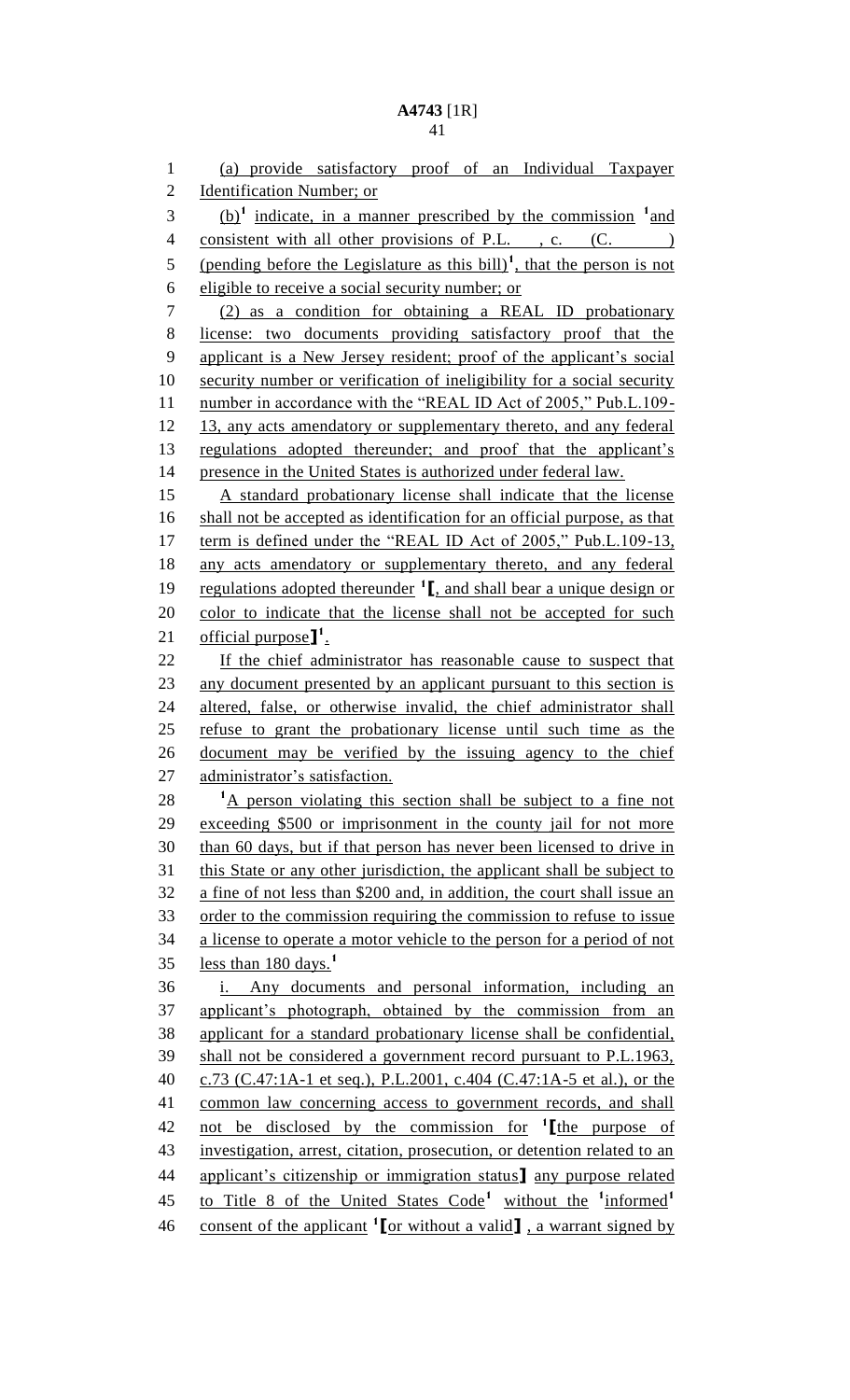(a) provide satisfactory proof of an Individual Taxpayer Identification Number; or 3 (b)<sup>1</sup> indicate, in a manner prescribed by the commission <sup>1</sup> and 4 consistent with all other provisions of P.L., c. (C. ) 5 (pending before the Legislature as this bill)<sup>1</sup>, that the person is not eligible to receive a social security number; or (2) as a condition for obtaining a REAL ID probationary license: two documents providing satisfactory proof that the applicant is a New Jersey resident; proof of the applicant's social security number or verification of ineligibility for a social security 11 number in accordance with the "REAL ID Act of 2005," Pub.L.109-12 13, any acts amendatory or supplementary thereto, and any federal 13 regulations adopted thereunder; and proof that the applicant's presence in the United States is authorized under federal law. A standard probationary license shall indicate that the license 16 shall not be accepted as identification for an official purpose, as that 17 term is defined under the "REAL ID Act of 2005," Pub.L.109-13, any acts amendatory or supplementary thereto, and any federal 19 regulations adopted thereunder <sup>1</sup><sub>I</sub>, and shall bear a unique design or color to indicate that the license shall not be accepted for such 21 official purpose  $\mathbf{I}^1$ . If the chief administrator has reasonable cause to suspect that any document presented by an applicant pursuant to this section is altered, false, or otherwise invalid, the chief administrator shall refuse to grant the probationary license until such time as the 26 document may be verified by the issuing agency to the chief administrator's satisfaction. <sup>1</sup>A person violating this section shall be subject to a fine not exceeding \$500 or imprisonment in the county jail for not more than 60 days, but if that person has never been licensed to drive in 31 this State or any other jurisdiction, the applicant shall be subject to a fine of not less than \$200 and, in addition, the court shall issue an order to the commission requiring the commission to refuse to issue a license to operate a motor vehicle to the person for a period of not less than 180 days.**<sup>1</sup>** i. Any documents and personal information, including an applicant's photograph, obtained by the commission from an applicant for a standard probationary license shall be confidential, shall not be considered a government record pursuant to P.L.1963, c.73 (C.47:1A-1 et seq.), P.L.2001, c.404 (C.47:1A-5 et al.), or the 41 common law concerning access to government records, and shall not be disclosed by the commission for **<sup>1</sup> [**the purpose of investigation, arrest, citation, prosecution, or detention related to an applicant's citizenship or immigration status**]** any purpose related to Title 8 of the United States Code**<sup>1</sup>** without the **<sup>1</sup>** informed**<sup>1</sup>** consent of the applicant **<sup>1</sup> [**or without a valid**]** , a warrant signed by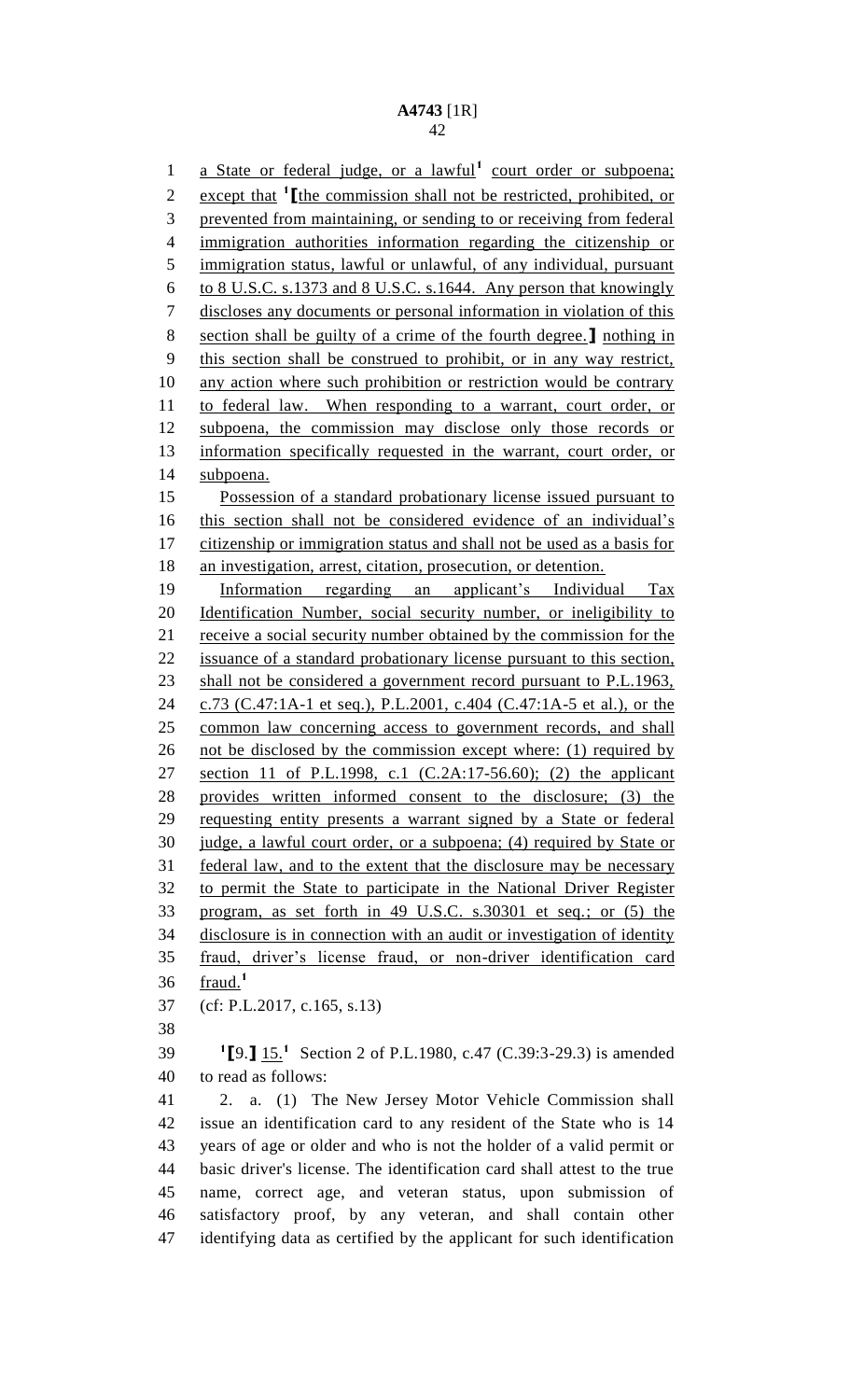1 a State or federal judge, or a lawful<sup>1</sup> court order or subpoena; **except that <sup>1</sup>** [the commission shall not be restricted, prohibited, or prevented from maintaining, or sending to or receiving from federal immigration authorities information regarding the citizenship or immigration status, lawful or unlawful, of any individual, pursuant to 8 U.S.C. s.1373 and 8 U.S.C. s.1644. Any person that knowingly discloses any documents or personal information in violation of this section shall be guilty of a crime of the fourth degree.**]** nothing in this section shall be construed to prohibit, or in any way restrict, 10 any action where such prohibition or restriction would be contrary to federal law. When responding to a warrant, court order, or subpoena, the commission may disclose only those records or information specifically requested in the warrant, court order, or subpoena. Possession of a standard probationary license issued pursuant to this section shall not be considered evidence of an individual's citizenship or immigration status and shall not be used as a basis for an investigation, arrest, citation, prosecution, or detention. Information regarding an applicant's Individual Tax 20 Identification Number, social security number, or ineligibility to receive a social security number obtained by the commission for the issuance of a standard probationary license pursuant to this section, shall not be considered a government record pursuant to P.L.1963, c.73 (C.47:1A-1 et seq.), P.L.2001, c.404 (C.47:1A-5 et al.), or the common law concerning access to government records, and shall 26 not be disclosed by the commission except where: (1) required by section 11 of P.L.1998, c.1 (C.2A:17-56.60); (2) the applicant provides written informed consent to the disclosure; (3) the requesting entity presents a warrant signed by a State or federal judge, a lawful court order, or a subpoena; (4) required by State or federal law, and to the extent that the disclosure may be necessary to permit the State to participate in the National Driver Register program, as set forth in 49 U.S.C. s.30301 et seq.; or (5) the disclosure is in connection with an audit or investigation of identity fraud, driver's license fraud, or non-driver identification card fraud.**<sup>1</sup>** (cf: P.L.2017, c.165, s.13) **1[9.]** 15<sup>1</sup> Section 2 of P.L.1980, c.47 (C.39:3-29.3) is amended to read as follows: 2. a. (1) The New Jersey Motor Vehicle Commission shall issue an identification card to any resident of the State who is 14

 years of age or older and who is not the holder of a valid permit or basic driver's license. The identification card shall attest to the true name, correct age, and veteran status, upon submission of satisfactory proof, by any veteran, and shall contain other identifying data as certified by the applicant for such identification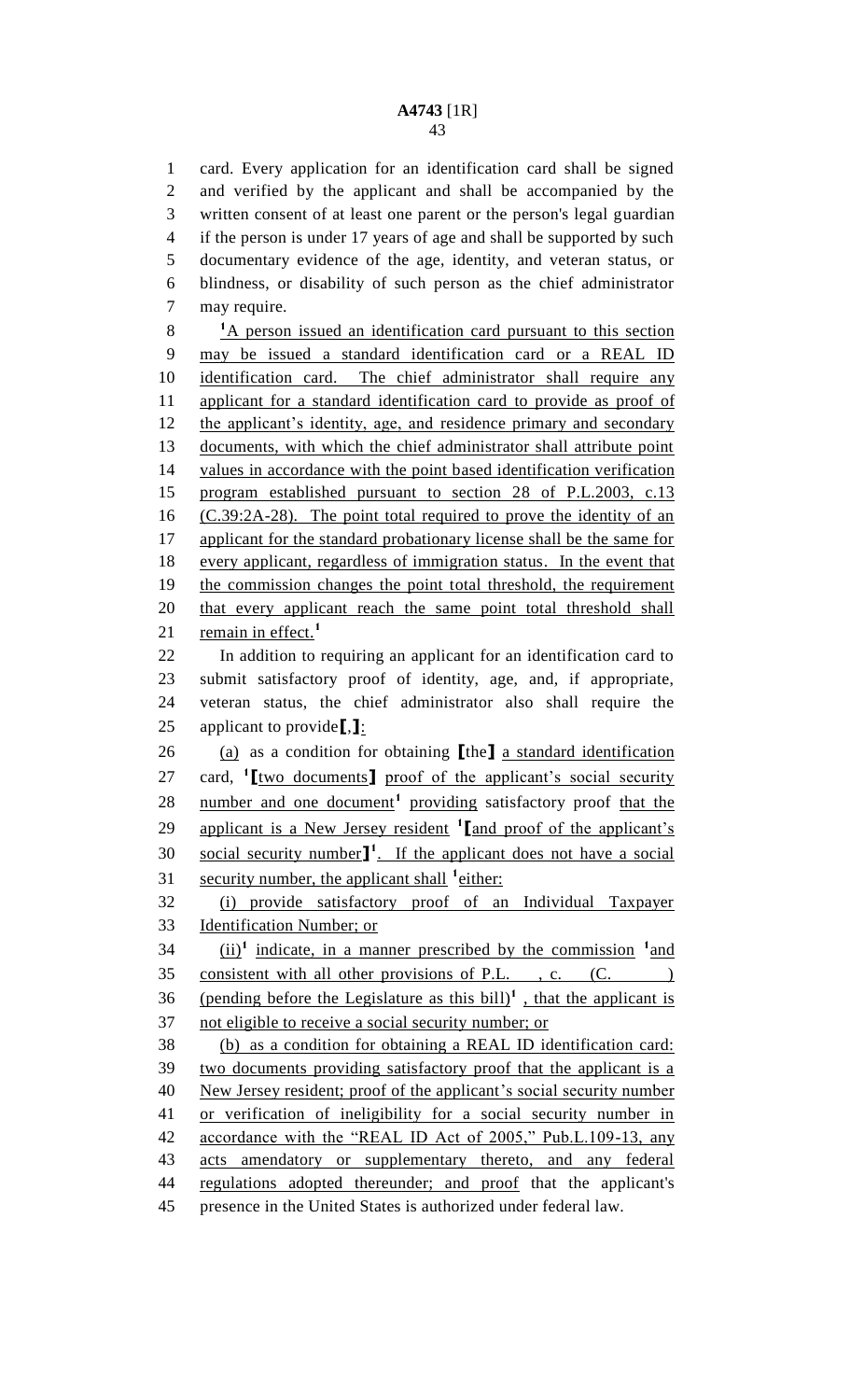card. Every application for an identification card shall be signed and verified by the applicant and shall be accompanied by the written consent of at least one parent or the person's legal guardian if the person is under 17 years of age and shall be supported by such documentary evidence of the age, identity, and veteran status, or blindness, or disability of such person as the chief administrator may require.

<sup>1</sup>A person issued an identification card pursuant to this section may be issued a standard identification card or a REAL ID identification card. The chief administrator shall require any applicant for a standard identification card to provide as proof of the applicant's identity, age, and residence primary and secondary documents, with which the chief administrator shall attribute point values in accordance with the point based identification verification program established pursuant to section 28 of P.L.2003, c.13 16 (C.39:2A-28). The point total required to prove the identity of an 17 applicant for the standard probationary license shall be the same for every applicant, regardless of immigration status. In the event that 19 the commission changes the point total threshold, the requirement 20 that every applicant reach the same point total threshold shall remain in effect. **1** 

 In addition to requiring an applicant for an identification card to submit satisfactory proof of identity, age, and, if appropriate, veteran status, the chief administrator also shall require the applicant to provide**[**,**]**:

 (a) as a condition for obtaining **[**the**]** a standard identification 27 card, <sup>1</sup>[two documents] proof of the applicant's social security 28 number and one document<sup>1</sup> providing satisfactory proof that the applicant is a New Jersey resident **<sup>1</sup> [**and proof of the applicant's 30 social security number<sup>1</sup>. If the applicant does not have a social 31 security number, the applicant shall <sup>1</sup> either:

 (i) provide satisfactory proof of an Individual Taxpayer Identification Number; or

  $(ii)^1$  indicate, in a manner prescribed by the commission  $1$  and 35 consistent with all other provisions of P.L., c. (C. ) 36 (pending before the Legislature as this bill)<sup>1</sup>, that the applicant is not eligible to receive a social security number; or

 (b) as a condition for obtaining a REAL ID identification card: two documents providing satisfactory proof that the applicant is a New Jersey resident; proof of the applicant's social security number or verification of ineligibility for a social security number in accordance with the "REAL ID Act of 2005," Pub.L.109-13, any acts amendatory or supplementary thereto, and any federal regulations adopted thereunder; and proof that the applicant's presence in the United States is authorized under federal law.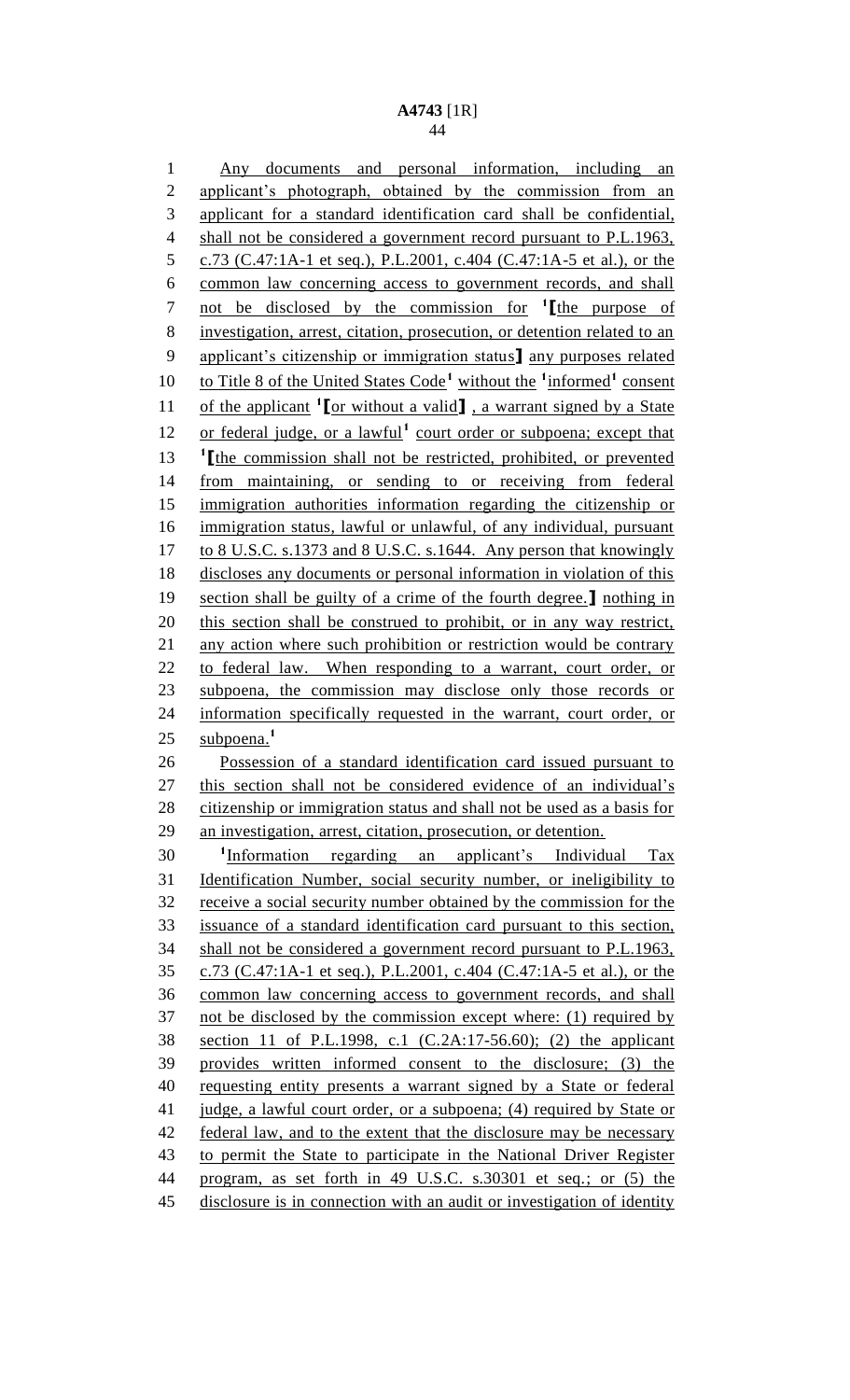Any documents and personal information, including an applicant's photograph, obtained by the commission from an applicant for a standard identification card shall be confidential, 4 shall not be considered a government record pursuant to P.L.1963, c.73 (C.47:1A-1 et seq.), P.L.2001, c.404 (C.47:1A-5 et al.), or the common law concerning access to government records, and shall not be disclosed by the commission for **<sup>1</sup> [**the purpose of investigation, arrest, citation, prosecution, or detention related to an applicant's citizenship or immigration status**]** any purposes related 10 to Title 8 of the United States Code<sup>1</sup> without the <sup>1</sup>informed<sup>1</sup> consent 11 of the applicant <sup>1</sup> [or without a valid], a warrant signed by a State 12 or federal judge, or a lawful<sup>1</sup> court order or subpoena; except that 13 <sup>1</sup>[the commission shall not be restricted, prohibited, or prevented from maintaining, or sending to or receiving from federal immigration authorities information regarding the citizenship or immigration status, lawful or unlawful, of any individual, pursuant 17 to 8 U.S.C. s.1373 and 8 U.S.C. s.1644. Any person that knowingly discloses any documents or personal information in violation of this section shall be guilty of a crime of the fourth degree.**]** nothing in this section shall be construed to prohibit, or in any way restrict, any action where such prohibition or restriction would be contrary to federal law. When responding to a warrant, court order, or subpoena, the commission may disclose only those records or information specifically requested in the warrant, court order, or subpoena. **1** Possession of a standard identification card issued pursuant to this section shall not be considered evidence of an individual's citizenship or immigration status and shall not be used as a basis for an investigation, arrest, citation, prosecution, or detention. Information regarding an applicant's Individual Tax Identification Number, social security number, or ineligibility to receive a social security number obtained by the commission for the issuance of a standard identification card pursuant to this section, shall not be considered a government record pursuant to P.L.1963, c.73 (C.47:1A-1 et seq.), P.L.2001, c.404 (C.47:1A-5 et al.), or the common law concerning access to government records, and shall not be disclosed by the commission except where: (1) required by section 11 of P.L.1998, c.1 (C.2A:17-56.60); (2) the applicant provides written informed consent to the disclosure; (3) the requesting entity presents a warrant signed by a State or federal judge, a lawful court order, or a subpoena; (4) required by State or 42 federal law, and to the extent that the disclosure may be necessary to permit the State to participate in the National Driver Register program, as set forth in 49 U.S.C. s.30301 et seq.; or (5) the 45 disclosure is in connection with an audit or investigation of identity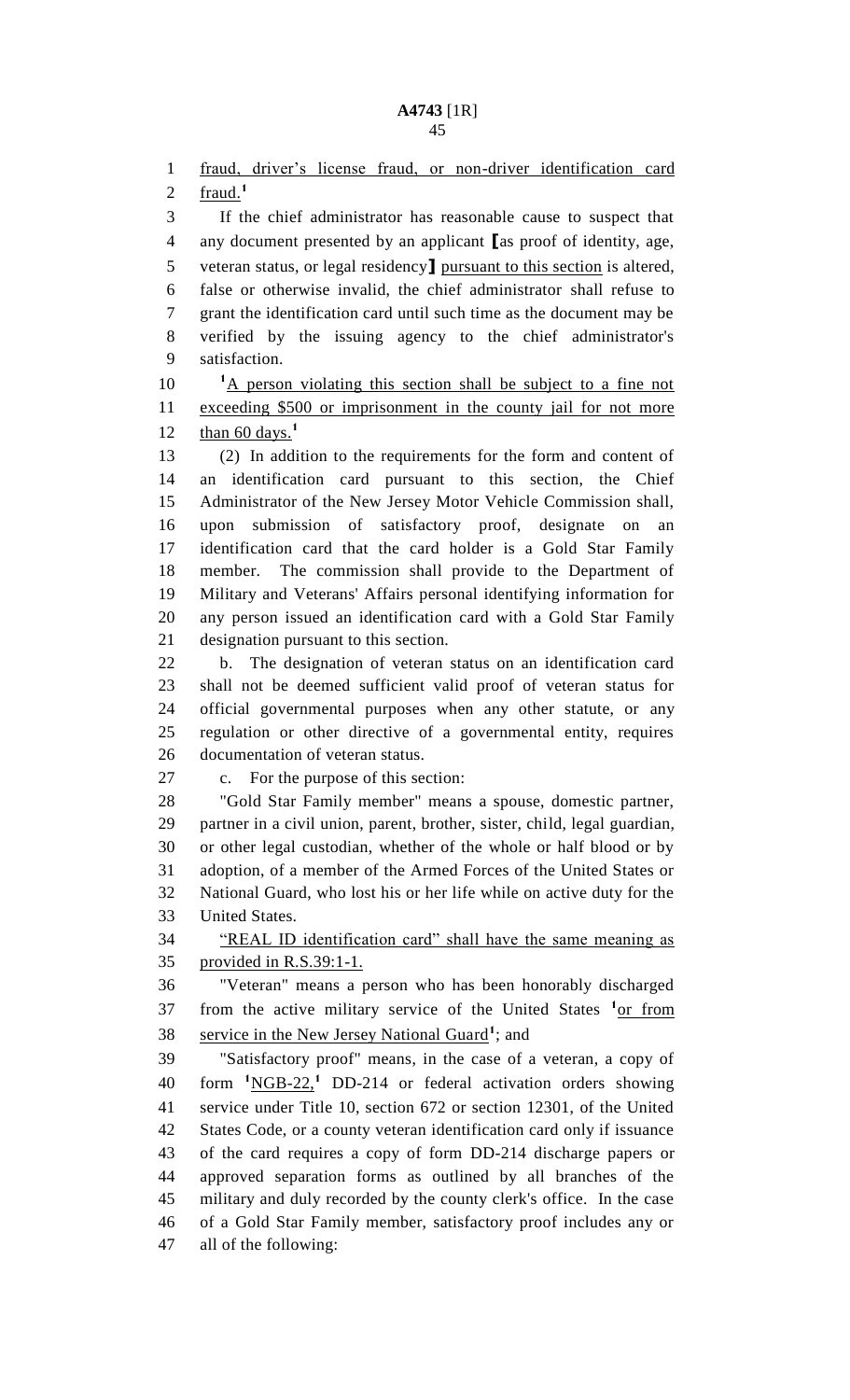fraud, driver's license fraud, or non-driver identification card fraud.**<sup>1</sup>** If the chief administrator has reasonable cause to suspect that any document presented by an applicant **[**as proof of identity, age, veteran status, or legal residency**]** pursuant to this section is altered, false or otherwise invalid, the chief administrator shall refuse to grant the identification card until such time as the document may be verified by the issuing agency to the chief administrator's satisfaction. 10 <sup>1</sup>A person violating this section shall be subject to a fine not exceeding \$500 or imprisonment in the county jail for not more than 60 days. **1** (2) In addition to the requirements for the form and content of an identification card pursuant to this section, the Chief Administrator of the New Jersey Motor Vehicle Commission shall, upon submission of satisfactory proof, designate on an identification card that the card holder is a Gold Star Family member. The commission shall provide to the Department of Military and Veterans' Affairs personal identifying information for any person issued an identification card with a Gold Star Family designation pursuant to this section. b. The designation of veteran status on an identification card shall not be deemed sufficient valid proof of veteran status for official governmental purposes when any other statute, or any regulation or other directive of a governmental entity, requires documentation of veteran status. c. For the purpose of this section: "Gold Star Family member" means a spouse, domestic partner, partner in a civil union, parent, brother, sister, child, legal guardian, or other legal custodian, whether of the whole or half blood or by adoption, of a member of the Armed Forces of the United States or National Guard, who lost his or her life while on active duty for the United States. "REAL ID identification card" shall have the same meaning as provided in R.S.39:1-1. "Veteran" means a person who has been honorably discharged 37 from the active military service of the United States <sup>1</sup> or from 38 service in the New Jersey National Guard<sup>1</sup>; and "Satisfactory proof" means, in the case of a veteran, a copy of 40 form <sup>1</sup>NGB-22,<sup>1</sup> DD-214 or federal activation orders showing service under Title 10, section 672 or section 12301, of the United States Code, or a county veteran identification card only if issuance of the card requires a copy of form DD-214 discharge papers or

 military and duly recorded by the county clerk's office. In the case of a Gold Star Family member, satisfactory proof includes any or

approved separation forms as outlined by all branches of the

all of the following: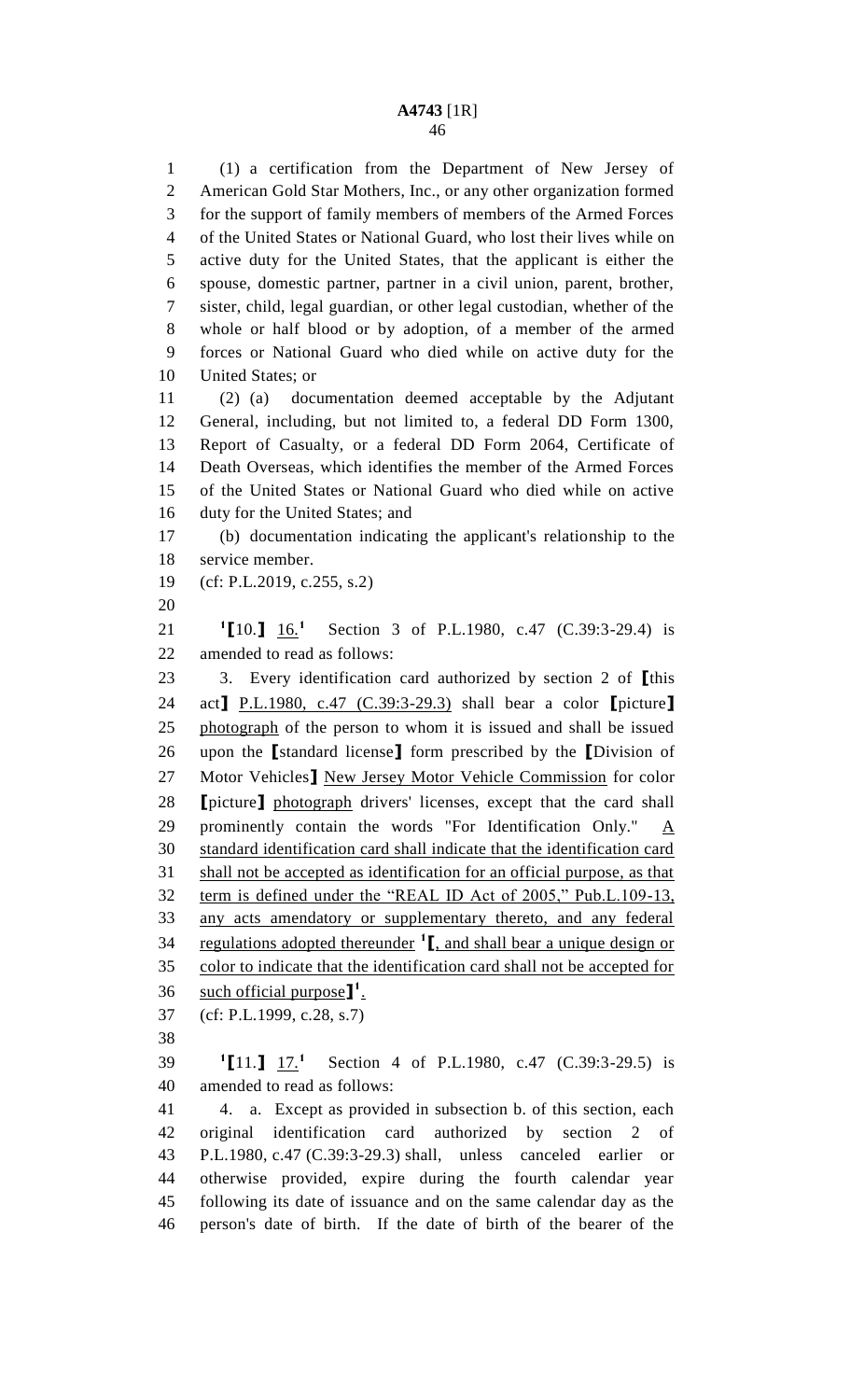(1) a certification from the Department of New Jersey of American Gold Star Mothers, Inc., or any other organization formed for the support of family members of members of the Armed Forces of the United States or National Guard, who lost their lives while on active duty for the United States, that the applicant is either the spouse, domestic partner, partner in a civil union, parent, brother, sister, child, legal guardian, or other legal custodian, whether of the whole or half blood or by adoption, of a member of the armed forces or National Guard who died while on active duty for the United States; or (2) (a) documentation deemed acceptable by the Adjutant General, including, but not limited to, a federal DD Form 1300, Report of Casualty, or a federal DD Form 2064, Certificate of Death Overseas, which identifies the member of the Armed Forces of the United States or National Guard who died while on active duty for the United States; and (b) documentation indicating the applicant's relationship to the service member. (cf: P.L.2019, c.255, s.2)  $^{1}$ [10.] 16.<sup>1</sup> 21 <sup>1</sup>[10.] 16.<sup>1</sup> Section 3 of P.L.1980, c.47 (C.39:3-29.4) is amended to read as follows: 3. Every identification card authorized by section 2 of **[**this act**]** P.L.1980, c.47 (C.39:3-29.3) shall bear a color **[**picture**]** photograph of the person to whom it is issued and shall be issued upon the **[**standard license**]** form prescribed by the **[**Division of Motor Vehicles**]** New Jersey Motor Vehicle Commission for color **[**picture**]** photograph drivers' licenses, except that the card shall 29 prominently contain the words "For Identification Only."  $\overrightarrow{A}$  standard identification card shall indicate that the identification card shall not be accepted as identification for an official purpose, as that term is defined under the "REAL ID Act of 2005," Pub.L.109-13, any acts amendatory or supplementary thereto, and any federal 34 regulations adopted thereunder <sup>1</sup>, and shall bear a unique design or color to indicate that the identification card shall not be accepted for 36 such official purpose<sup>1</sup>. (cf: P.L.1999, c.28, s.7) **[**11.**]** 17.**<sup>1</sup>**  $\text{I}[11.]\ \text{I}[7.]\ \text{Section 4 of P.L.1980, c.47 (C.39:3-29.5) is}$  amended to read as follows: 4. a. Except as provided in subsection b. of this section, each original identification card authorized by section 2 of P.L.1980, c.47 (C.39:3-29.3) shall, unless canceled earlier or otherwise provided, expire during the fourth calendar year following its date of issuance and on the same calendar day as the person's date of birth. If the date of birth of the bearer of the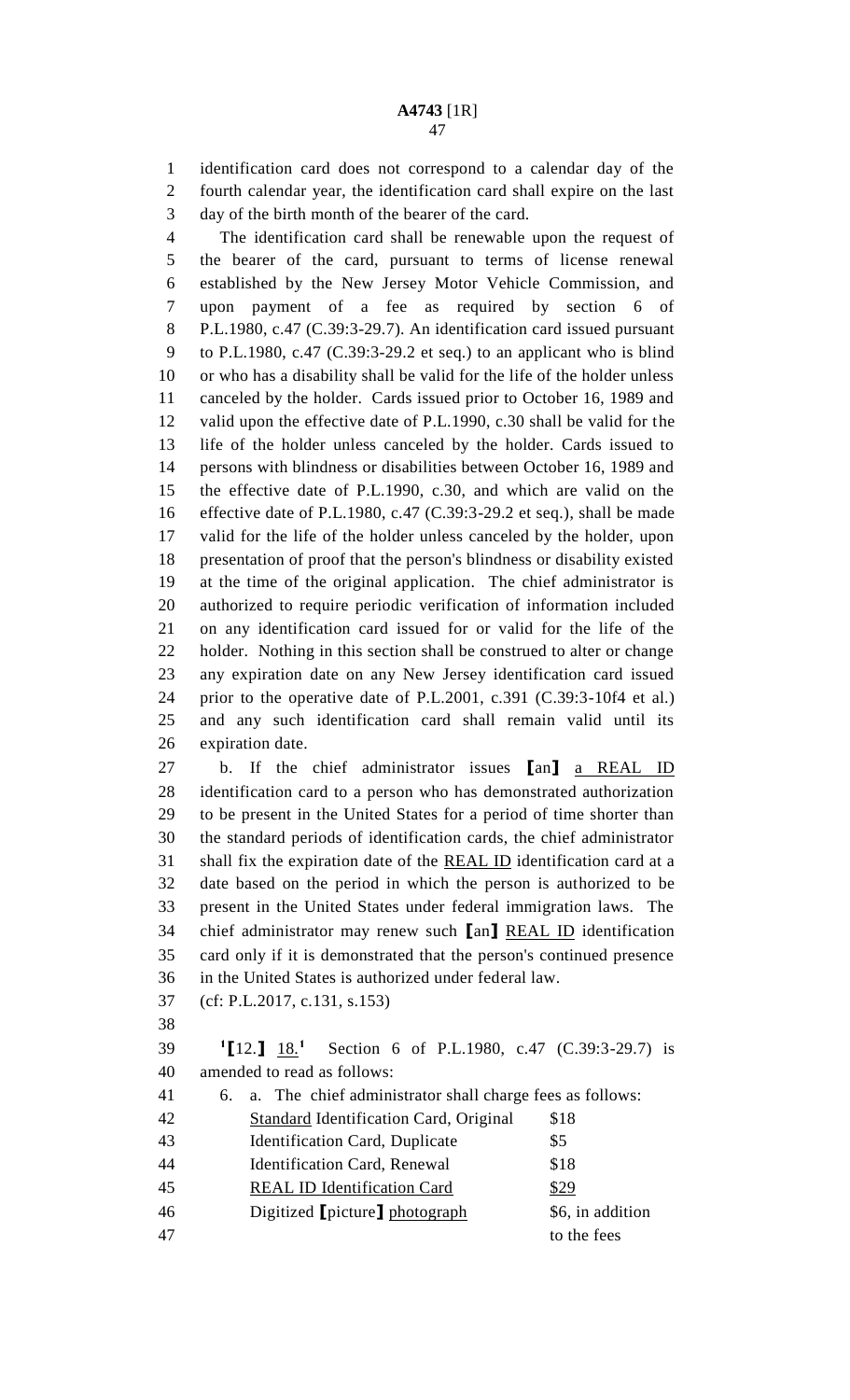identification card does not correspond to a calendar day of the fourth calendar year, the identification card shall expire on the last day of the birth month of the bearer of the card.

 The identification card shall be renewable upon the request of the bearer of the card, pursuant to terms of license renewal established by the New Jersey Motor Vehicle Commission, and upon payment of a fee as required by section 6 of P.L.1980, c.47 (C.39:3-29.7). An identification card issued pursuant to P.L.1980, c.47 (C.39:3-29.2 et seq.) to an applicant who is blind or who has a disability shall be valid for the life of the holder unless canceled by the holder. Cards issued prior to October 16, 1989 and valid upon the effective date of P.L.1990, c.30 shall be valid for the life of the holder unless canceled by the holder. Cards issued to persons with blindness or disabilities between October 16, 1989 and the effective date of P.L.1990, c.30, and which are valid on the effective date of P.L.1980, c.47 (C.39:3-29.2 et seq.), shall be made valid for the life of the holder unless canceled by the holder, upon presentation of proof that the person's blindness or disability existed at the time of the original application. The chief administrator is authorized to require periodic verification of information included on any identification card issued for or valid for the life of the holder. Nothing in this section shall be construed to alter or change any expiration date on any New Jersey identification card issued prior to the operative date of P.L.2001, c.391 (C.39:3-10f4 et al.) and any such identification card shall remain valid until its expiration date.

 b. If the chief administrator issues **[**an**]** a REAL ID identification card to a person who has demonstrated authorization to be present in the United States for a period of time shorter than the standard periods of identification cards, the chief administrator 31 shall fix the expiration date of the REAL ID identification card at a date based on the period in which the person is authorized to be present in the United States under federal immigration laws. The chief administrator may renew such **[**an**]** REAL ID identification card only if it is demonstrated that the person's continued presence in the United States is authorized under federal law.

- (cf: P.L.2017, c.131, s.153)
- 

 $^{1}$ [12.]  $18.$ <sup>1</sup> 39 <sup>1</sup>[12.] 18.<sup>1</sup> Section 6 of P.L.1980, c.47 (C.39:3-29.7) is amended to read as follows:

| 41 | 6. a. The chief administrator shall charge fees as follows: |                  |
|----|-------------------------------------------------------------|------------------|
| 42 | <b>Standard Identification Card, Original</b>               | \$18             |
| 43 | Identification Card, Duplicate                              | \$5              |
| 44 | <b>Identification Card, Renewal</b>                         | \$18             |
| 45 | <b>REAL ID Identification Card</b>                          | \$29             |
| 46 | Digitized [picture] photograph                              | \$6, in addition |
| 47 |                                                             | to the fees      |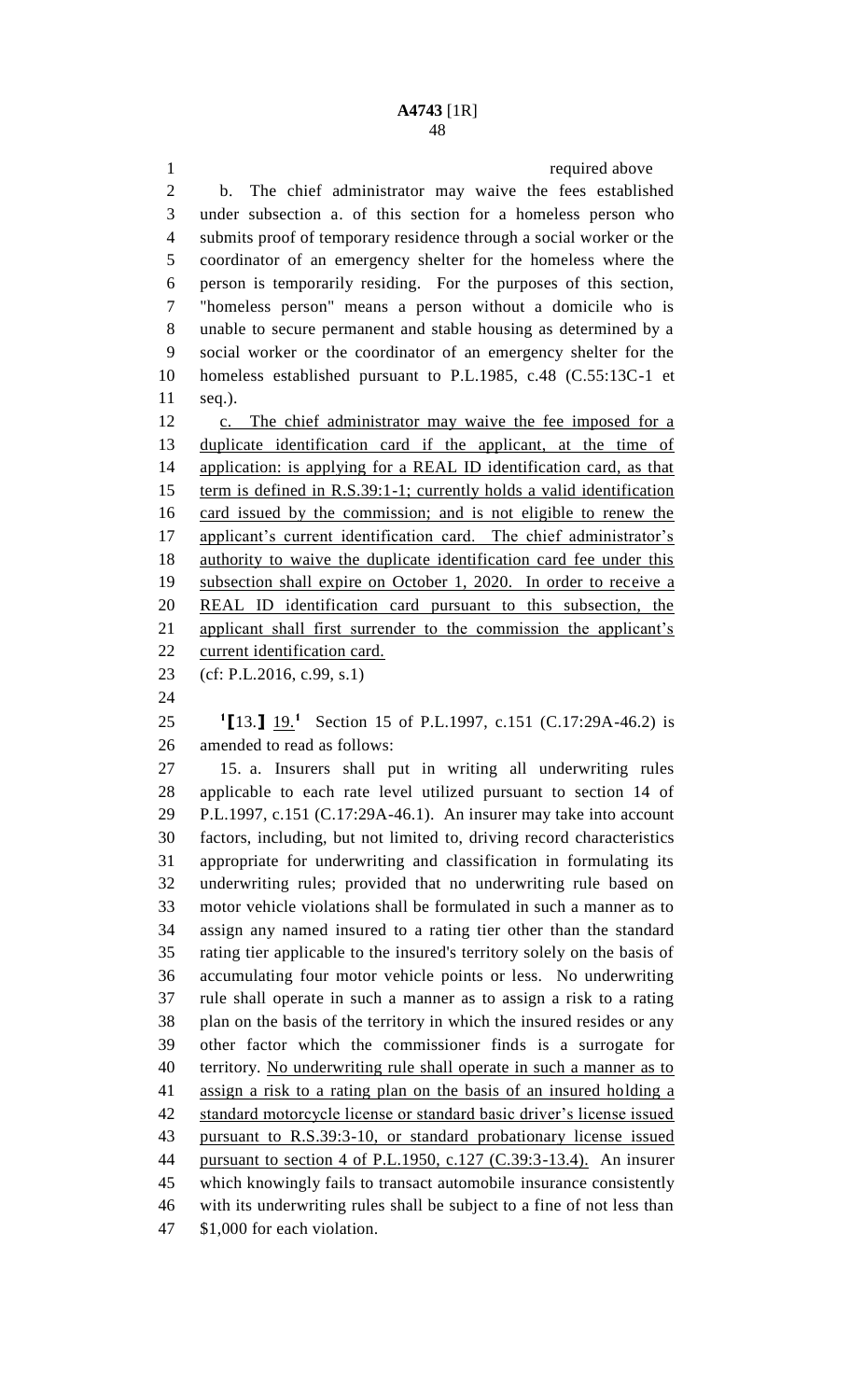1 required above b. The chief administrator may waive the fees established under subsection a. of this section for a homeless person who submits proof of temporary residence through a social worker or the coordinator of an emergency shelter for the homeless where the person is temporarily residing. For the purposes of this section, "homeless person" means a person without a domicile who is unable to secure permanent and stable housing as determined by a social worker or the coordinator of an emergency shelter for the homeless established pursuant to P.L.1985, c.48 (C.55:13C-1 et seq.). 12 c. The chief administrator may waive the fee imposed for a

 duplicate identification card if the applicant, at the time of application: is applying for a REAL ID identification card, as that 15 term is defined in R.S.39:1-1; currently holds a valid identification card issued by the commission; and is not eligible to renew the 17 applicant's current identification card. The chief administrator's authority to waive the duplicate identification card fee under this subsection shall expire on October 1, 2020. In order to receive a REAL ID identification card pursuant to this subsection, the applicant shall first surrender to the commission the applicant's current identification card.

25 <sup>1</sup>[13.] <u>19.</u><sup>1</sup> Section 15 of P.L.1997, c.151 (C.17:29A-46.2) is amended to read as follows:

 15. a. Insurers shall put in writing all underwriting rules applicable to each rate level utilized pursuant to section 14 of P.L.1997, c.151 (C.17:29A-46.1). An insurer may take into account factors, including, but not limited to, driving record characteristics appropriate for underwriting and classification in formulating its underwriting rules; provided that no underwriting rule based on motor vehicle violations shall be formulated in such a manner as to assign any named insured to a rating tier other than the standard rating tier applicable to the insured's territory solely on the basis of accumulating four motor vehicle points or less. No underwriting rule shall operate in such a manner as to assign a risk to a rating plan on the basis of the territory in which the insured resides or any other factor which the commissioner finds is a surrogate for territory. No underwriting rule shall operate in such a manner as to assign a risk to a rating plan on the basis of an insured holding a standard motorcycle license or standard basic driver's license issued pursuant to R.S.39:3-10, or standard probationary license issued 44 pursuant to section 4 of P.L.1950, c.127 (C.39:3-13.4). An insurer which knowingly fails to transact automobile insurance consistently with its underwriting rules shall be subject to a fine of not less than \$1,000 for each violation.

(cf: P.L.2016, c.99, s.1)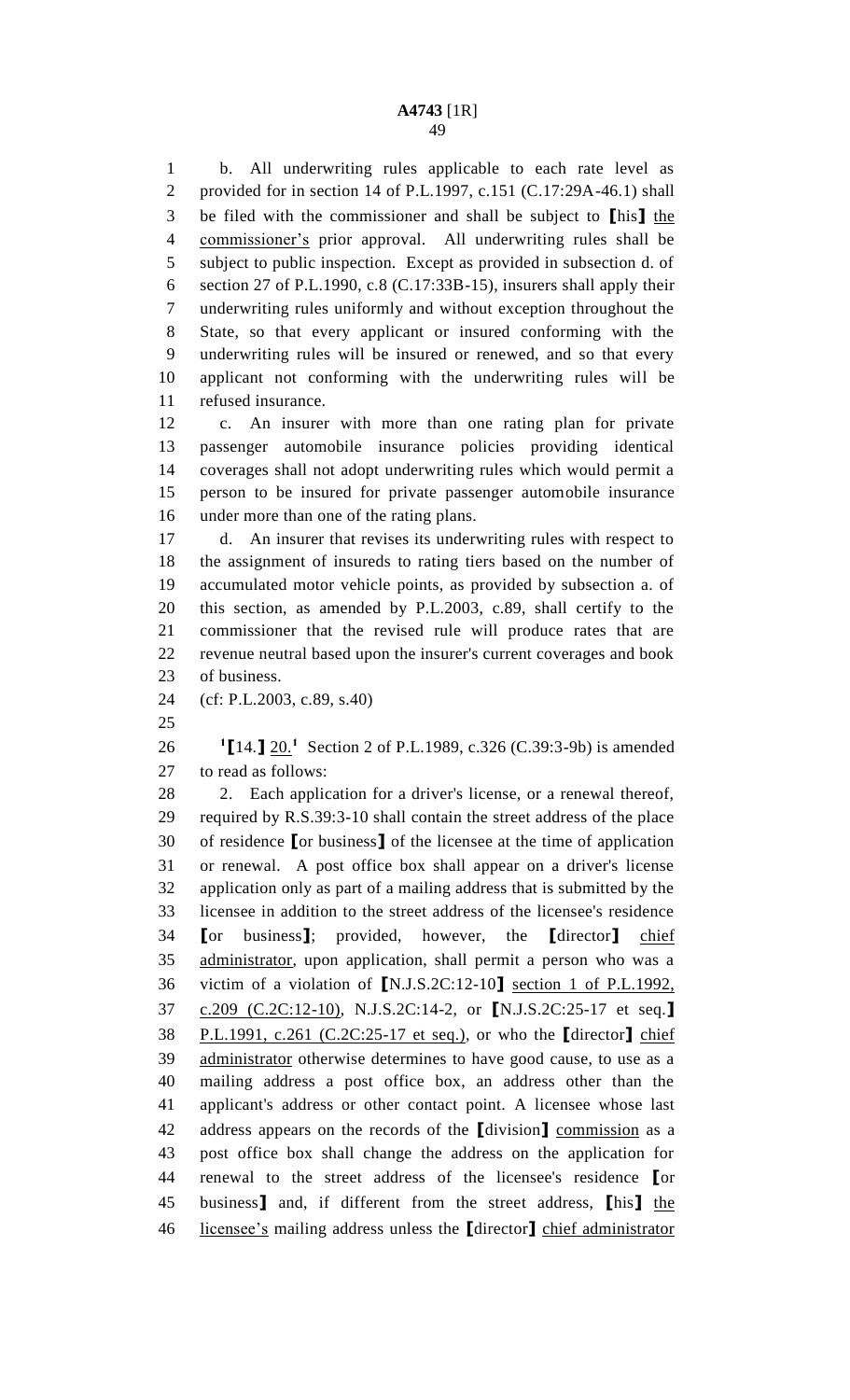b. All underwriting rules applicable to each rate level as provided for in section 14 of P.L.1997, c.151 (C.17:29A-46.1) shall be filed with the commissioner and shall be subject to **[**his**]** the commissioner's prior approval. All underwriting rules shall be subject to public inspection. Except as provided in subsection d. of section 27 of P.L.1990, c.8 (C.17:33B-15), insurers shall apply their underwriting rules uniformly and without exception throughout the State, so that every applicant or insured conforming with the underwriting rules will be insured or renewed, and so that every applicant not conforming with the underwriting rules will be refused insurance.

 c. An insurer with more than one rating plan for private passenger automobile insurance policies providing identical coverages shall not adopt underwriting rules which would permit a person to be insured for private passenger automobile insurance under more than one of the rating plans.

 d. An insurer that revises its underwriting rules with respect to the assignment of insureds to rating tiers based on the number of accumulated motor vehicle points, as provided by subsection a. of this section, as amended by P.L.2003, c.89, shall certify to the commissioner that the revised rule will produce rates that are revenue neutral based upon the insurer's current coverages and book of business.

(cf: P.L.2003, c.89, s.40)

26 <sup>1</sup>[14.] 20.<sup>1</sup> Section 2 of P.L.1989, c.326 (C.39:3-9b) is amended to read as follows:

 2. Each application for a driver's license, or a renewal thereof, required by R.S.39:3-10 shall contain the street address of the place of residence **[**or business**]** of the licensee at the time of application or renewal. A post office box shall appear on a driver's license application only as part of a mailing address that is submitted by the licensee in addition to the street address of the licensee's residence **[**or business**]**; provided, however, the **[**director**]** chief administrator, upon application, shall permit a person who was a victim of a violation of **[**N.J.S.2C:12-10**]** section 1 of P.L.1992, c.209 (C.2C:12-10), N.J.S.2C:14-2, or **[**N.J.S.2C:25-17 et seq.**]** P.L.1991, c.261 (C.2C:25-17 et seq.), or who the **[**director**]** chief 39 administrator otherwise determines to have good cause, to use as a mailing address a post office box, an address other than the applicant's address or other contact point. A licensee whose last address appears on the records of the **[**division**]** commission as a post office box shall change the address on the application for renewal to the street address of the licensee's residence **[**or business**]** and, if different from the street address, **[**his**]** the licensee's mailing address unless the **[**director**]** chief administrator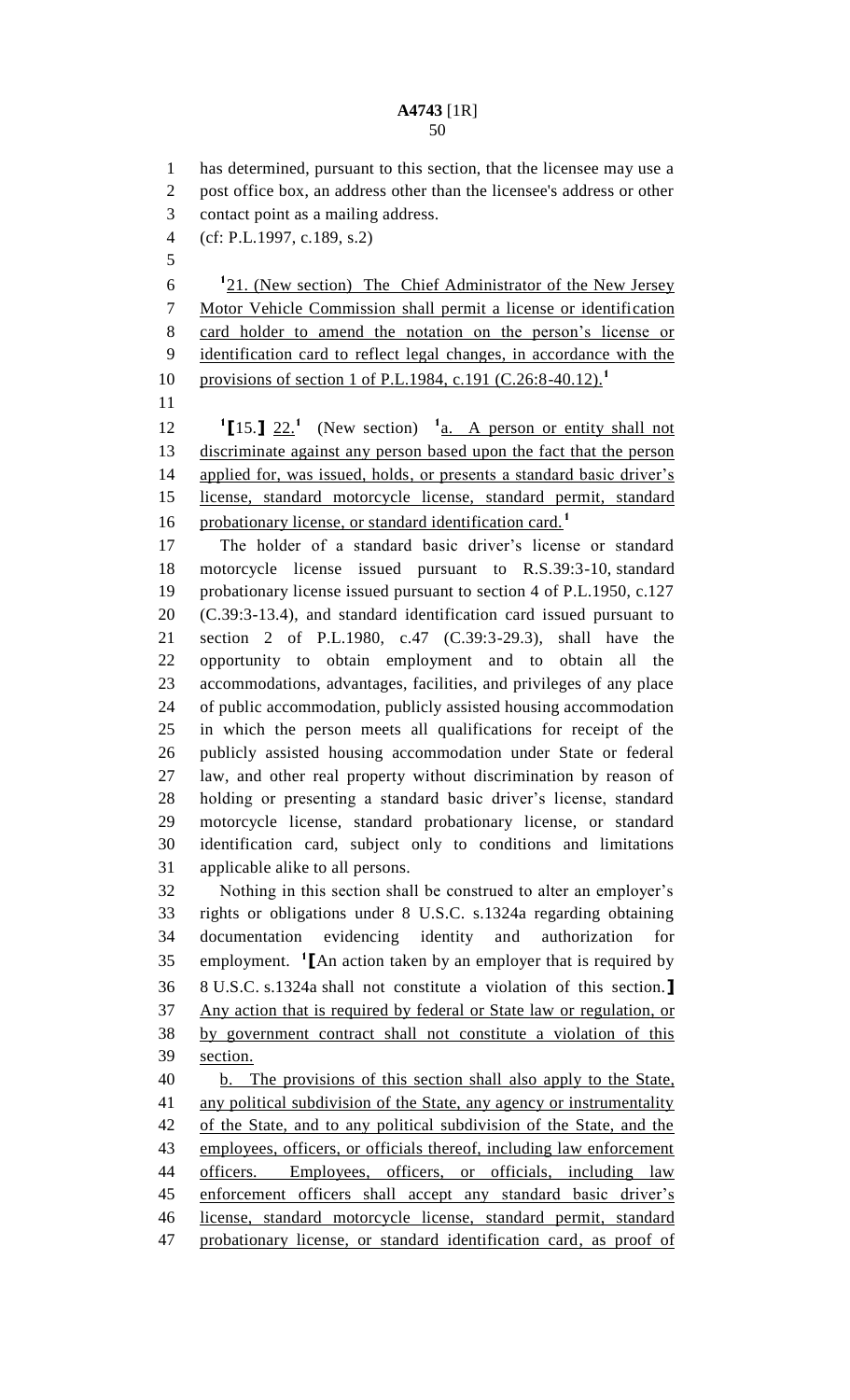has determined, pursuant to this section, that the licensee may use a post office box, an address other than the licensee's address or other contact point as a mailing address.

 (cf: P.L.1997, c.189, s.2) 

<sup>1</sup>21. (New section) The Chief Administrator of the New Jersey Motor Vehicle Commission shall permit a license or identification card holder to amend the notation on the person's license or identification card to reflect legal changes, in accordance with the provisions of section 1 of P.L.1984, c.191 (C.26:8-40.12).**<sup>1</sup>** 

12  $\textbf{1}$  **[**15.**]** 22<sup>1</sup> (New section) <sup>1</sup><sub>a</sub>. A person or entity shall not discriminate against any person based upon the fact that the person 14 applied for, was issued, holds, or presents a standard basic driver's license, standard motorcycle license, standard permit, standard probationary license, or standard identification card.**<sup>1</sup>** 

 The holder of a standard basic driver's license or standard motorcycle license issued pursuant to R.S.39:3-10, standard probationary license issued pursuant to section 4 of P.L.1950, c.127 (C.39:3-13.4), and standard identification card issued pursuant to section 2 of P.L.1980, c.47 (C.39:3-29.3), shall have the opportunity to obtain employment and to obtain all the accommodations, advantages, facilities, and privileges of any place of public accommodation, publicly assisted housing accommodation in which the person meets all qualifications for receipt of the publicly assisted housing accommodation under State or federal law, and other real property without discrimination by reason of holding or presenting a standard basic driver's license, standard motorcycle license, standard probationary license, or standard identification card, subject only to conditions and limitations applicable alike to all persons.

 Nothing in this section shall be construed to alter an employer's rights or obligations under 8 U.S.C. s.1324a regarding obtaining documentation evidencing identity and authorization for 35 employment. <sup>1</sup> [An action taken by an employer that is required by 8 U.S.C. s.1324a shall not constitute a violation of this section.**]** Any action that is required by federal or State law or regulation, or by government contract shall not constitute a violation of this section. b. The provisions of this section shall also apply to the State, 41 any political subdivision of the State, any agency or instrumentality

 of the State, and to any political subdivision of the State, and the employees, officers, or officials thereof, including law enforcement 44 officers. Employees, officers, or officials, including law enforcement officers shall accept any standard basic driver's license, standard motorcycle license, standard permit, standard probationary license, or standard identification card, as proof of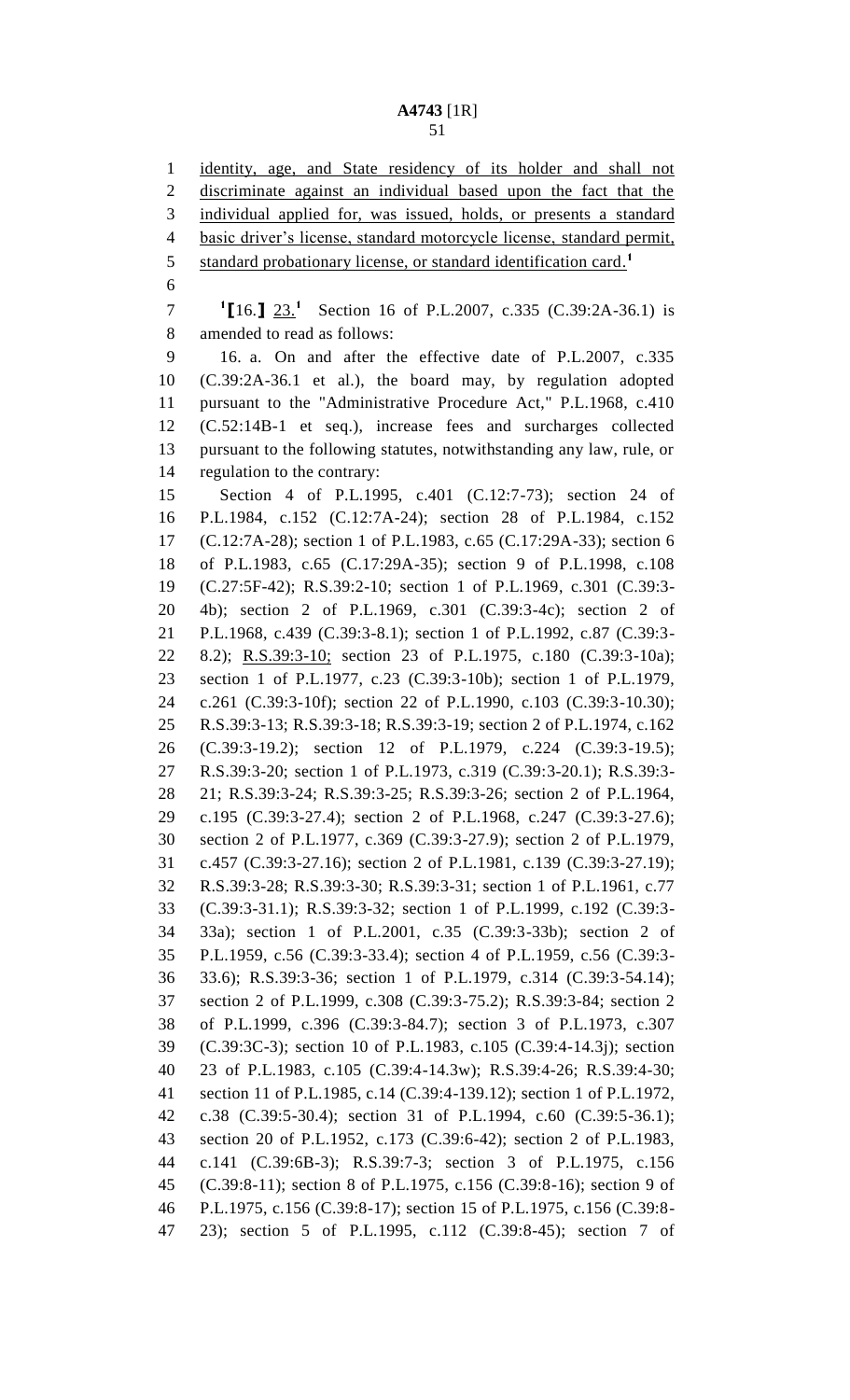identity, age, and State residency of its holder and shall not discriminate against an individual based upon the fact that the individual applied for, was issued, holds, or presents a standard

- basic driver's license, standard motorcycle license, standard permit,
- standard probationary license, or standard identification card. **1**
- 

**1 [**16.**]** 23.**<sup>1</sup>** 7 Section 16 of P.L.2007, c.335 (C.39:2A-36.1) is amended to read as follows:

 16. a. On and after the effective date of P.L.2007, c.335 (C.39:2A-36.1 et al.), the board may, by regulation adopted pursuant to the "Administrative Procedure Act," P.L.1968, c.410 (C.52:14B-1 et seq.), increase fees and surcharges collected pursuant to the following statutes, notwithstanding any law, rule, or regulation to the contrary:

 Section 4 of P.L.1995, c.401 (C.12:7-73); section 24 of P.L.1984, c.152 (C.12:7A-24); section 28 of P.L.1984, c.152 (C.12:7A-28); section 1 of P.L.1983, c.65 (C.17:29A-33); section 6 of P.L.1983, c.65 (C.17:29A-35); section 9 of P.L.1998, c.108 (C.27:5F-42); R.S.39:2-10; section 1 of P.L.1969, c.301 (C.39:3- 4b); section 2 of P.L.1969, c.301 (C.39:3-4c); section 2 of P.L.1968, c.439 (C.39:3-8.1); section 1 of P.L.1992, c.87 (C.39:3- 8.2); R.S.39:3-10; section 23 of P.L.1975, c.180 (C.39:3-10a); section 1 of P.L.1977, c.23 (C.39:3-10b); section 1 of P.L.1979, c.261 (C.39:3-10f); section 22 of P.L.1990, c.103 (C.39:3-10.30); R.S.39:3-13; R.S.39:3-18; R.S.39:3-19; section 2 of P.L.1974, c.162 (C.39:3-19.2); section 12 of P.L.1979, c.224 (C.39:3-19.5); R.S.39:3-20; section 1 of P.L.1973, c.319 (C.39:3-20.1); R.S.39:3- 21; R.S.39:3-24; R.S.39:3-25; R.S.39:3-26; section 2 of P.L.1964, c.195 (C.39:3-27.4); section 2 of P.L.1968, c.247 (C.39:3-27.6); section 2 of P.L.1977, c.369 (C.39:3-27.9); section 2 of P.L.1979, c.457 (C.39:3-27.16); section 2 of P.L.1981, c.139 (C.39:3-27.19); R.S.39:3-28; R.S.39:3-30; R.S.39:3-31; section 1 of P.L.1961, c.77 (C.39:3-31.1); R.S.39:3-32; section 1 of P.L.1999, c.192 (C.39:3- 33a); section 1 of P.L.2001, c.35 (C.39:3-33b); section 2 of P.L.1959, c.56 (C.39:3-33.4); section 4 of P.L.1959, c.56 (C.39:3- 33.6); R.S.39:3-36; section 1 of P.L.1979, c.314 (C.39:3-54.14); section 2 of P.L.1999, c.308 (C.39:3-75.2); R.S.39:3-84; section 2 of P.L.1999, c.396 (C.39:3-84.7); section 3 of P.L.1973, c.307 (C.39:3C-3); section 10 of P.L.1983, c.105 (C.39:4-14.3j); section 23 of P.L.1983, c.105 (C.39:4-14.3w); R.S.39:4-26; R.S.39:4-30; section 11 of P.L.1985, c.14 (C.39:4-139.12); section 1 of P.L.1972, c.38 (C.39:5-30.4); section 31 of P.L.1994, c.60 (C.39:5-36.1); section 20 of P.L.1952, c.173 (C.39:6-42); section 2 of P.L.1983, c.141 (C.39:6B-3); R.S.39:7-3; section 3 of P.L.1975, c.156 (C.39:8-11); section 8 of P.L.1975, c.156 (C.39:8-16); section 9 of P.L.1975, c.156 (C.39:8-17); section 15 of P.L.1975, c.156 (C.39:8- 23); section 5 of P.L.1995, c.112 (C.39:8-45); section 7 of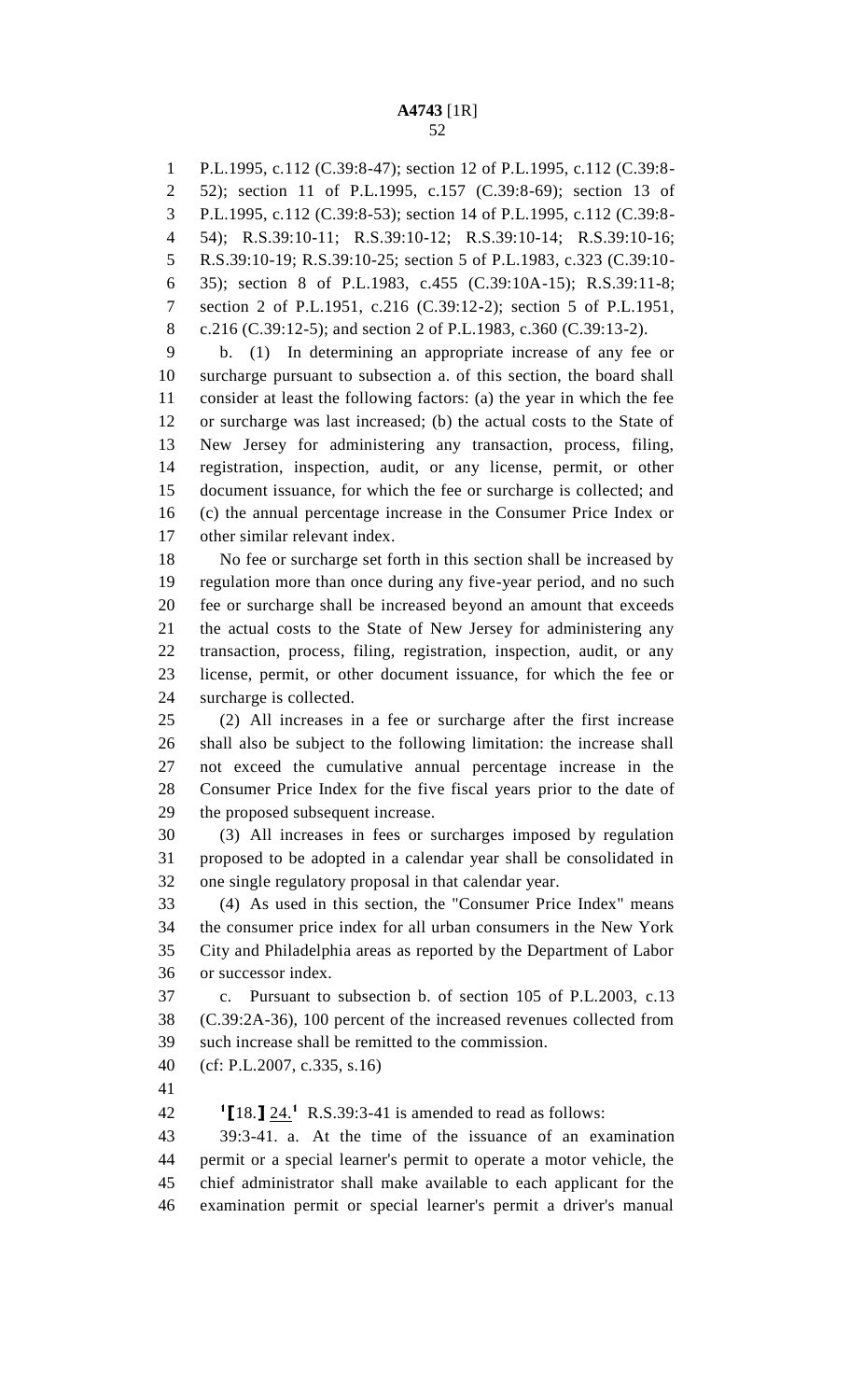P.L.1995, c.112 (C.39:8-47); section 12 of P.L.1995, c.112 (C.39:8- 52); section 11 of P.L.1995, c.157 (C.39:8-69); section 13 of P.L.1995, c.112 (C.39:8-53); section 14 of P.L.1995, c.112 (C.39:8- 54); R.S.39:10-11; R.S.39:10-12; R.S.39:10-14; R.S.39:10-16; R.S.39:10-19; R.S.39:10-25; section 5 of P.L.1983, c.323 (C.39:10- 35); section 8 of P.L.1983, c.455 (C.39:10A-15); R.S.39:11-8; section 2 of P.L.1951, c.216 (C.39:12-2); section 5 of P.L.1951, c.216 (C.39:12-5); and section 2 of P.L.1983, c.360 (C.39:13-2). b. (1) In determining an appropriate increase of any fee or surcharge pursuant to subsection a. of this section, the board shall consider at least the following factors: (a) the year in which the fee or surcharge was last increased; (b) the actual costs to the State of New Jersey for administering any transaction, process, filing, registration, inspection, audit, or any license, permit, or other document issuance, for which the fee or surcharge is collected; and (c) the annual percentage increase in the Consumer Price Index or other similar relevant index. No fee or surcharge set forth in this section shall be increased by regulation more than once during any five-year period, and no such fee or surcharge shall be increased beyond an amount that exceeds

 the actual costs to the State of New Jersey for administering any transaction, process, filing, registration, inspection, audit, or any license, permit, or other document issuance, for which the fee or surcharge is collected.

 (2) All increases in a fee or surcharge after the first increase shall also be subject to the following limitation: the increase shall not exceed the cumulative annual percentage increase in the Consumer Price Index for the five fiscal years prior to the date of the proposed subsequent increase.

 (3) All increases in fees or surcharges imposed by regulation proposed to be adopted in a calendar year shall be consolidated in one single regulatory proposal in that calendar year.

 (4) As used in this section, the "Consumer Price Index" means the consumer price index for all urban consumers in the New York City and Philadelphia areas as reported by the Department of Labor or successor index.

 c. Pursuant to subsection b. of section 105 of P.L.2003, c.13 (C.39:2A-36), 100 percent of the increased revenues collected from such increase shall be remitted to the commission.

(cf: P.L.2007, c.335, s.16)

**1 [**18.**]** 24.**<sup>1</sup>** 42 R.S.39:3-41 is amended to read as follows:

 39:3-41. a. At the time of the issuance of an examination permit or a special learner's permit to operate a motor vehicle, the chief administrator shall make available to each applicant for the examination permit or special learner's permit a driver's manual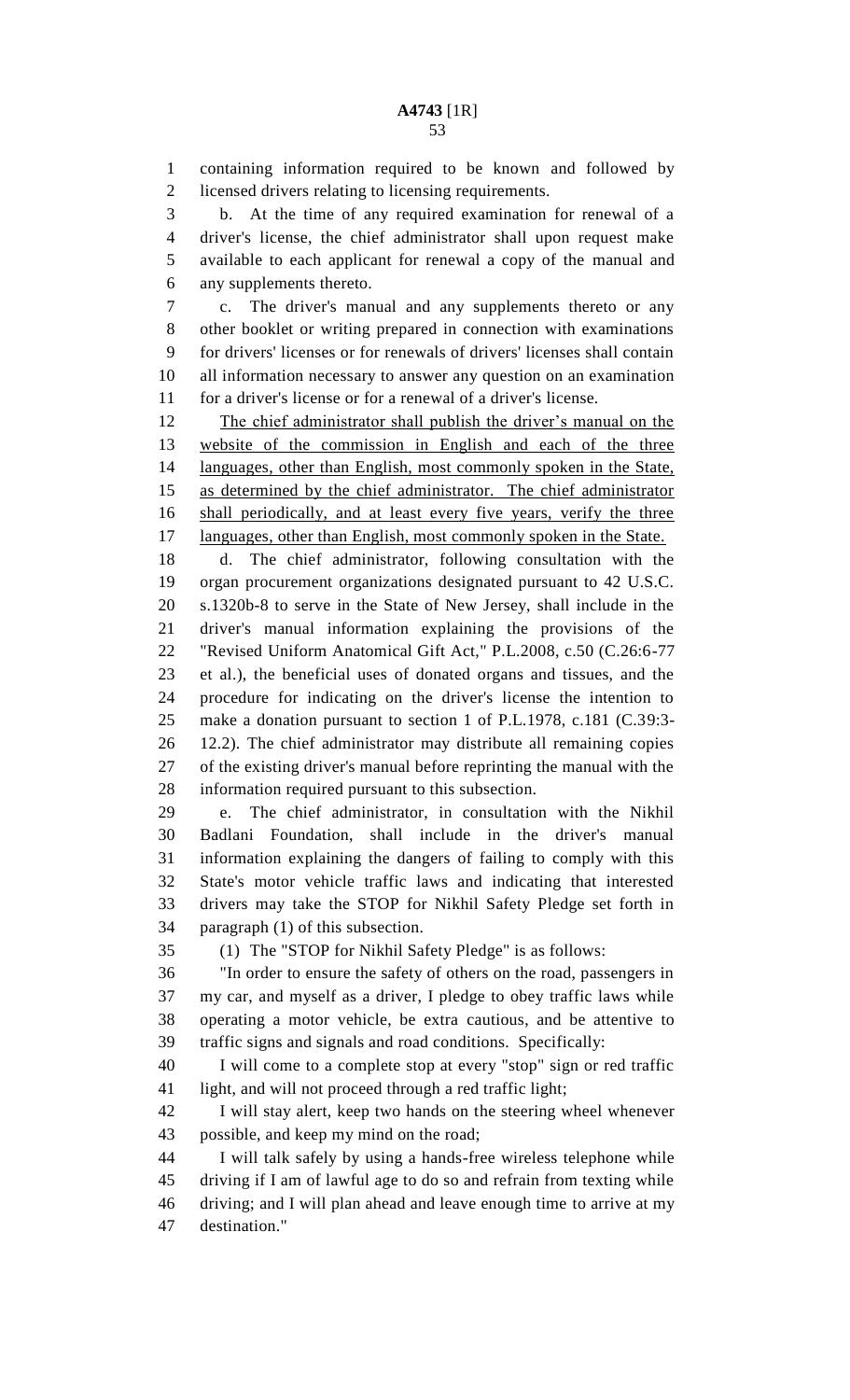containing information required to be known and followed by licensed drivers relating to licensing requirements.

 b. At the time of any required examination for renewal of a driver's license, the chief administrator shall upon request make available to each applicant for renewal a copy of the manual and any supplements thereto.

 c. The driver's manual and any supplements thereto or any other booklet or writing prepared in connection with examinations for drivers' licenses or for renewals of drivers' licenses shall contain all information necessary to answer any question on an examination for a driver's license or for a renewal of a driver's license.

12 The chief administrator shall publish the driver's manual on the website of the commission in English and each of the three languages, other than English, most commonly spoken in the State, as determined by the chief administrator. The chief administrator shall periodically, and at least every five years, verify the three 17 languages, other than English, most commonly spoken in the State.

 d. The chief administrator, following consultation with the organ procurement organizations designated pursuant to 42 U.S.C. s.1320b-8 to serve in the State of New Jersey, shall include in the driver's manual information explaining the provisions of the "Revised Uniform Anatomical Gift Act," P.L.2008, c.50 (C.26:6-77 et al.), the beneficial uses of donated organs and tissues, and the procedure for indicating on the driver's license the intention to make a donation pursuant to section 1 of P.L.1978, c.181 (C.39:3- 12.2). The chief administrator may distribute all remaining copies of the existing driver's manual before reprinting the manual with the information required pursuant to this subsection.

 e. The chief administrator, in consultation with the Nikhil Badlani Foundation, shall include in the driver's manual information explaining the dangers of failing to comply with this State's motor vehicle traffic laws and indicating that interested drivers may take the STOP for Nikhil Safety Pledge set forth in paragraph (1) of this subsection.

(1) The "STOP for Nikhil Safety Pledge" is as follows:

 "In order to ensure the safety of others on the road, passengers in my car, and myself as a driver, I pledge to obey traffic laws while operating a motor vehicle, be extra cautious, and be attentive to traffic signs and signals and road conditions. Specifically:

 I will come to a complete stop at every "stop" sign or red traffic light, and will not proceed through a red traffic light;

 I will stay alert, keep two hands on the steering wheel whenever possible, and keep my mind on the road;

 I will talk safely by using a hands-free wireless telephone while driving if I am of lawful age to do so and refrain from texting while driving; and I will plan ahead and leave enough time to arrive at my destination."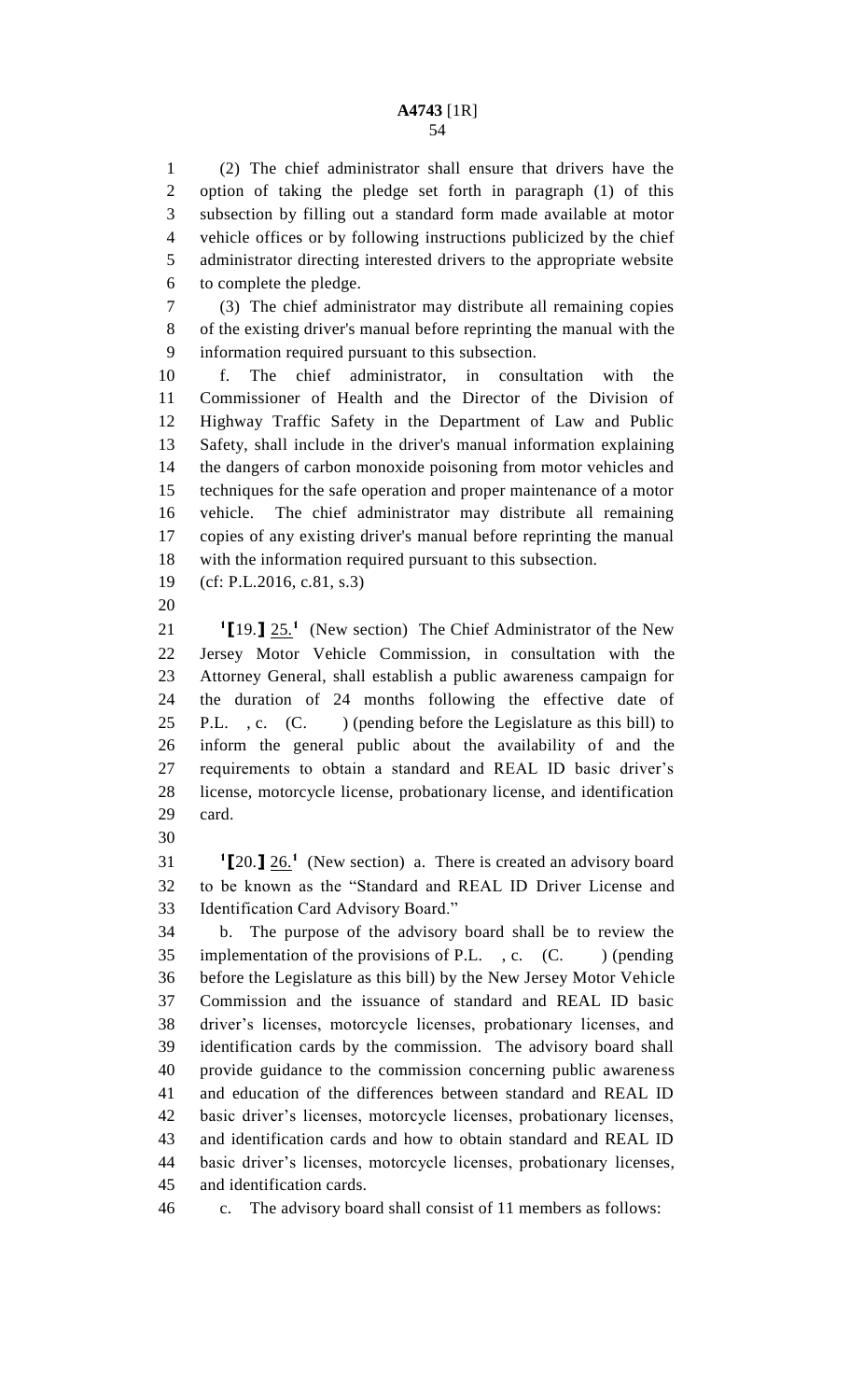(2) The chief administrator shall ensure that drivers have the option of taking the pledge set forth in paragraph (1) of this subsection by filling out a standard form made available at motor vehicle offices or by following instructions publicized by the chief administrator directing interested drivers to the appropriate website to complete the pledge.

 (3) The chief administrator may distribute all remaining copies of the existing driver's manual before reprinting the manual with the information required pursuant to this subsection.

 f. The chief administrator, in consultation with the Commissioner of Health and the Director of the Division of Highway Traffic Safety in the Department of Law and Public Safety, shall include in the driver's manual information explaining the dangers of carbon monoxide poisoning from motor vehicles and techniques for the safe operation and proper maintenance of a motor vehicle. The chief administrator may distribute all remaining copies of any existing driver's manual before reprinting the manual with the information required pursuant to this subsection.

(cf: P.L.2016, c.81, s.3)

 **[**19.**]** 25.**<sup>1</sup>** 21 (New section) The Chief Administrator of the New Jersey Motor Vehicle Commission, in consultation with the Attorney General, shall establish a public awareness campaign for the duration of 24 months following the effective date of 25 P.L., c.  $(C.$  ) (pending before the Legislature as this bill) to inform the general public about the availability of and the requirements to obtain a standard and REAL ID basic driver's license, motorcycle license, probationary license, and identification card.

**1 [**20.**]** 26.**<sup>1</sup>** 31 (New section) a. There is created an advisory board to be known as the "Standard and REAL ID Driver License and Identification Card Advisory Board."

 b. The purpose of the advisory board shall be to review the 35 implementation of the provisions of P.L., c. (C.) (pending before the Legislature as this bill) by the New Jersey Motor Vehicle Commission and the issuance of standard and REAL ID basic driver's licenses, motorcycle licenses, probationary licenses, and identification cards by the commission. The advisory board shall provide guidance to the commission concerning public awareness and education of the differences between standard and REAL ID basic driver's licenses, motorcycle licenses, probationary licenses, and identification cards and how to obtain standard and REAL ID basic driver's licenses, motorcycle licenses, probationary licenses, and identification cards.

c. The advisory board shall consist of 11 members as follows: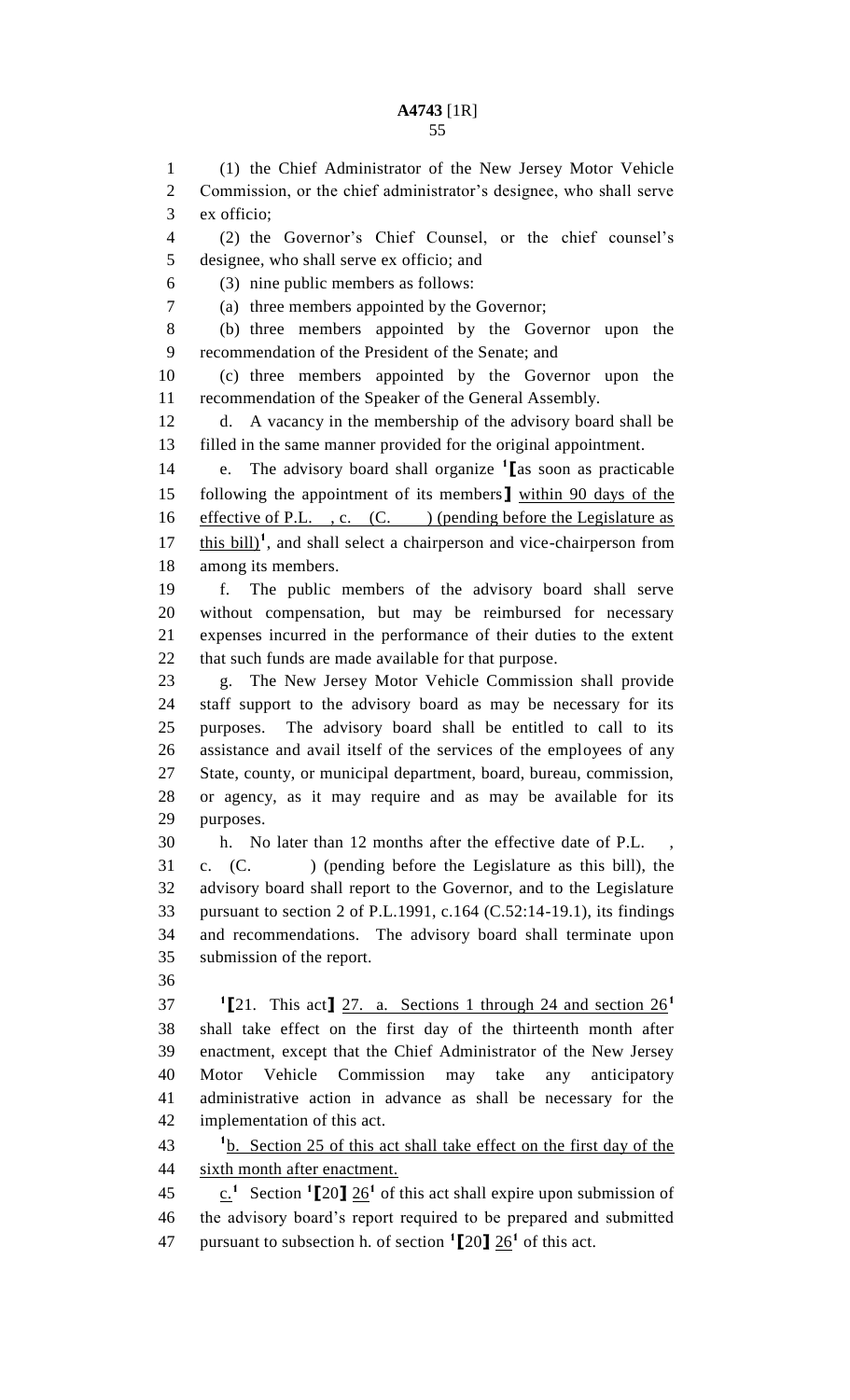# 

 (1) the Chief Administrator of the New Jersey Motor Vehicle Commission, or the chief administrator's designee, who shall serve ex officio; (2) the Governor's Chief Counsel, or the chief counsel's designee, who shall serve ex officio; and (3) nine public members as follows: (a) three members appointed by the Governor; (b) three members appointed by the Governor upon the recommendation of the President of the Senate; and (c) three members appointed by the Governor upon the recommendation of the Speaker of the General Assembly. d. A vacancy in the membership of the advisory board shall be filled in the same manner provided for the original appointment. e. The advisory board shall organize **<sup>1</sup> [**as soon as practicable following the appointment of its members**]** within 90 days of the 16 effective of P.L., c.  $(C.$  ) (pending before the Legislature as this bill)<sup>1</sup>, and shall select a chairperson and vice-chairperson from among its members. f. The public members of the advisory board shall serve without compensation, but may be reimbursed for necessary expenses incurred in the performance of their duties to the extent 22 that such funds are made available for that purpose. g. The New Jersey Motor Vehicle Commission shall provide staff support to the advisory board as may be necessary for its purposes. The advisory board shall be entitled to call to its assistance and avail itself of the services of the employees of any State, county, or municipal department, board, bureau, commission, or agency, as it may require and as may be available for its purposes. h. No later than 12 months after the effective date of P.L. , c. (C. ) (pending before the Legislature as this bill), the advisory board shall report to the Governor, and to the Legislature pursuant to section 2 of P.L.1991, c.164 (C.52:14-19.1), its findings and recommendations. The advisory board shall terminate upon submission of the report. [21. This act]  $\frac{27}{10}$ . a. Sections 1 through 24 and section  $26<sup>1</sup>$  shall take effect on the first day of the thirteenth month after enactment, except that the Chief Administrator of the New Jersey Motor Vehicle Commission may take any anticipatory administrative action in advance as shall be necessary for the implementation of this act. <sup>1</sup>b. Section 25 of this act shall take effect on the first day of the sixth month after enactment.  $\therefore$  **1** Section **1** [20]  $26^1$  of this act shall expire upon submission of the advisory board's report required to be prepared and submitted

47 pursuant to subsection h. of section  $\binom{1}{2}$   $\frac{26}{1}$  of this act.